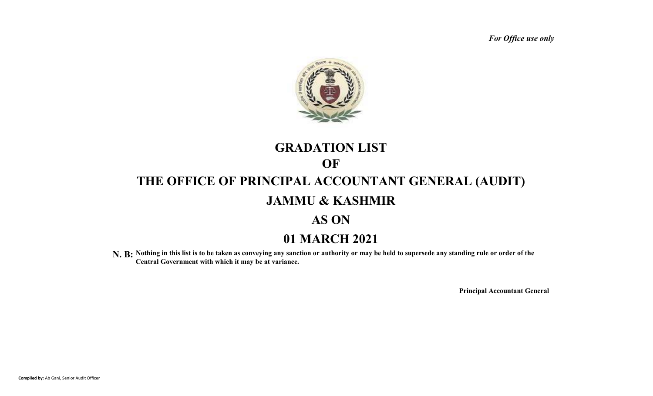*For Office use only*



# **GRADATION LIST THE OFFICE OF PRINCIPAL ACCOUNTANT GENERAL (AUDIT) JAMMU & KASHMIR AS ON OF**

# **01 MARCH 2021**

N. B: Nothing in this list is to be taken as conveying any sanction or authority or may be held to supersede any standing rule or order of the **Central Government with which it may be at variance.**

**Principal Accountant General**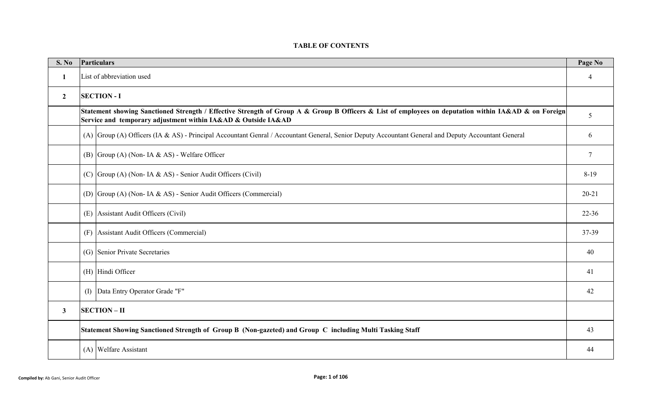#### **TABLE OF CONTENTS**

| S. No          |                           | Particulars                                                                                                                                                                                                           | Page No   |  |  |  |  |  |  |  |  |  |  |
|----------------|---------------------------|-----------------------------------------------------------------------------------------------------------------------------------------------------------------------------------------------------------------------|-----------|--|--|--|--|--|--|--|--|--|--|
| $\mathbf{1}$   | List of abbreviation used |                                                                                                                                                                                                                       |           |  |  |  |  |  |  |  |  |  |  |
| $\overline{2}$ |                           | <b>SECTION - I</b>                                                                                                                                                                                                    |           |  |  |  |  |  |  |  |  |  |  |
|                |                           | Statement showing Sanctioned Strength / Effective Strength of Group A & Group B Officers & List of employees on deputation within IA&AD & on Foreign<br>Service and temporary adjustment within IA&AD & Outside IA&AD | 5         |  |  |  |  |  |  |  |  |  |  |
|                |                           | (A) Group (A) Officers (IA & AS) - Principal Accountant Genral / Accountant General, Senior Deputy Accountant General and Deputy Accountant General                                                                   | 6         |  |  |  |  |  |  |  |  |  |  |
|                |                           | (B) Group (A) (Non- IA & AS) - Welfare Officer                                                                                                                                                                        | $\tau$    |  |  |  |  |  |  |  |  |  |  |
|                |                           | (C) Group (A) (Non- IA & AS) - Senior Audit Officers (Civil)                                                                                                                                                          | $8-19$    |  |  |  |  |  |  |  |  |  |  |
|                |                           | (D) Group (A) (Non- IA & AS) - Senior Audit Officers (Commercial)                                                                                                                                                     | $20 - 21$ |  |  |  |  |  |  |  |  |  |  |
|                |                           | (E) Assistant Audit Officers (Civil)                                                                                                                                                                                  | $22 - 36$ |  |  |  |  |  |  |  |  |  |  |
|                |                           | (F) Assistant Audit Officers (Commercial)                                                                                                                                                                             | 37-39     |  |  |  |  |  |  |  |  |  |  |
|                |                           | (G) Senior Private Secretaries                                                                                                                                                                                        | 40        |  |  |  |  |  |  |  |  |  |  |
|                |                           | (H) Hindi Officer                                                                                                                                                                                                     | 41        |  |  |  |  |  |  |  |  |  |  |
|                | (1)                       | Data Entry Operator Grade "F"                                                                                                                                                                                         | 42        |  |  |  |  |  |  |  |  |  |  |
| $\mathbf{3}$   |                           | <b>SECTION-II</b>                                                                                                                                                                                                     |           |  |  |  |  |  |  |  |  |  |  |
|                |                           | Statement Showing Sanctioned Strength of Group B (Non-gazeted) and Group C including Multi Tasking Staff                                                                                                              | 43        |  |  |  |  |  |  |  |  |  |  |
|                |                           | (A) Welfare Assistant                                                                                                                                                                                                 | 44        |  |  |  |  |  |  |  |  |  |  |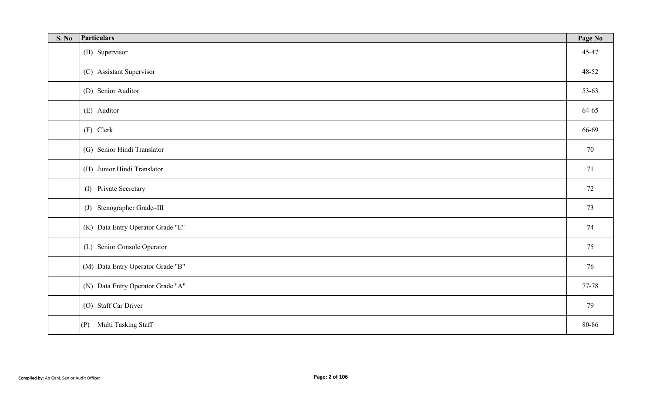| S. No | Particulars<br>Page No |                                   |       |  |  |  |  |  |  |  |  |  |
|-------|------------------------|-----------------------------------|-------|--|--|--|--|--|--|--|--|--|
|       |                        | (B) Supervisor                    | 45-47 |  |  |  |  |  |  |  |  |  |
|       |                        | (C) Assistant Supervisor          | 48-52 |  |  |  |  |  |  |  |  |  |
|       |                        | (D) Senior Auditor                | 53-63 |  |  |  |  |  |  |  |  |  |
|       |                        | (E) Auditor                       | 64-65 |  |  |  |  |  |  |  |  |  |
|       |                        | $(F)$ Clerk                       | 66-69 |  |  |  |  |  |  |  |  |  |
|       |                        | (G) Senior Hindi Translator       | 70    |  |  |  |  |  |  |  |  |  |
|       |                        | (H) Junior Hindi Translator       | 71    |  |  |  |  |  |  |  |  |  |
|       |                        | (I) Private Secretary             | 72    |  |  |  |  |  |  |  |  |  |
|       |                        | (J) Stenographer Grade-III        | 73    |  |  |  |  |  |  |  |  |  |
|       |                        | (K) Data Entry Operator Grade "E" | 74    |  |  |  |  |  |  |  |  |  |
|       |                        | (L) Senior Console Operator       | 75    |  |  |  |  |  |  |  |  |  |
|       |                        | (M) Data Entry Operator Grade "B" | 76    |  |  |  |  |  |  |  |  |  |
|       |                        | (N) Data Entry Operator Grade "A" | 77-78 |  |  |  |  |  |  |  |  |  |
|       |                        | (O) Staff Car Driver              | 79    |  |  |  |  |  |  |  |  |  |
|       | (P)                    | Multi Tasking Staff               | 80-86 |  |  |  |  |  |  |  |  |  |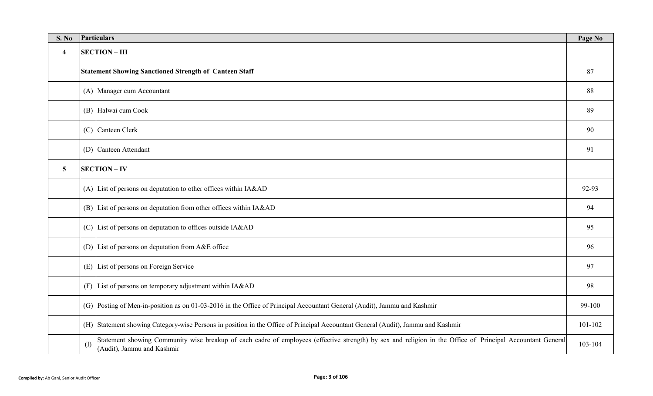| <b>S. No</b>            | Particulars<br>Page No |                                                                                                                                                                                                     |         |  |  |  |  |  |  |  |  |  |  |
|-------------------------|------------------------|-----------------------------------------------------------------------------------------------------------------------------------------------------------------------------------------------------|---------|--|--|--|--|--|--|--|--|--|--|
| $\overline{\mathbf{4}}$ | <b>SECTION - III</b>   |                                                                                                                                                                                                     |         |  |  |  |  |  |  |  |  |  |  |
|                         |                        | <b>Statement Showing Sanctioned Strength of Canteen Staff</b>                                                                                                                                       | 87      |  |  |  |  |  |  |  |  |  |  |
|                         |                        | (A) Manager cum Accountant                                                                                                                                                                          | 88      |  |  |  |  |  |  |  |  |  |  |
|                         |                        | (B) Halwai cum Cook                                                                                                                                                                                 | 89      |  |  |  |  |  |  |  |  |  |  |
|                         |                        | (C) Canteen Clerk                                                                                                                                                                                   |         |  |  |  |  |  |  |  |  |  |  |
|                         |                        | (D) Canteen Attendant                                                                                                                                                                               |         |  |  |  |  |  |  |  |  |  |  |
| $5\phantom{.0}$         |                        | <b>SECTION - IV</b>                                                                                                                                                                                 |         |  |  |  |  |  |  |  |  |  |  |
|                         |                        | (A) List of persons on deputation to other offices within IA&AD                                                                                                                                     |         |  |  |  |  |  |  |  |  |  |  |
|                         |                        | (B) List of persons on deputation from other offices within IA&AD                                                                                                                                   | 94      |  |  |  |  |  |  |  |  |  |  |
|                         |                        | (C) List of persons on deputation to offices outside IA&AD                                                                                                                                          | 95      |  |  |  |  |  |  |  |  |  |  |
|                         |                        | (D) List of persons on deputation from $A&E$ office                                                                                                                                                 | 96      |  |  |  |  |  |  |  |  |  |  |
|                         |                        | (E) List of persons on Foreign Service                                                                                                                                                              | 97      |  |  |  |  |  |  |  |  |  |  |
|                         |                        | (F) List of persons on temporary adjustment within IA&AD                                                                                                                                            | 98      |  |  |  |  |  |  |  |  |  |  |
|                         |                        | (G) Posting of Men-in-position as on 01-03-2016 in the Office of Principal Accountant General (Audit), Jammu and Kashmir<br>99-100                                                                  |         |  |  |  |  |  |  |  |  |  |  |
|                         |                        | (H) Statement showing Category-wise Persons in position in the Office of Principal Accountant General (Audit), Jammu and Kashmir                                                                    | 101-102 |  |  |  |  |  |  |  |  |  |  |
|                         | $($ $\Gamma$           | Statement showing Community wise breakup of each cadre of employees (effective strength) by sex and religion in the Office of Principal Accountant General<br>103-104<br>(Audit), Jammu and Kashmir |         |  |  |  |  |  |  |  |  |  |  |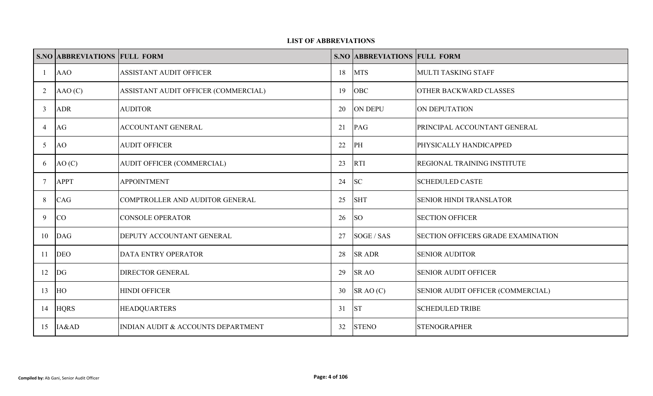#### **LIST OF ABBREVIATIONS**

|        | <b>S.NO ABBREVIATIONS FULL FORM</b> |                                      |    | <b>S.NO ABBREVIATIONS FULL FORM</b> |                                           |
|--------|-------------------------------------|--------------------------------------|----|-------------------------------------|-------------------------------------------|
| -1     | <b>AAO</b>                          | ASSISTANT AUDIT OFFICER              | 18 | <b>MTS</b>                          | <b>MULTI TASKING STAFF</b>                |
| 2      | AAO(C)                              | ASSISTANT AUDIT OFFICER (COMMERCIAL) | 19 | OBC                                 | <b>OTHER BACKWARD CLASSES</b>             |
| 3      | <b>ADR</b>                          | <b>AUDITOR</b>                       | 20 | <b>ON DEPU</b>                      | ON DEPUTATION                             |
| 4      | AG                                  | ACCOUNTANT GENERAL                   | 21 | PAG                                 | PRINCIPAL ACCOUNTANT GENERAL              |
| 5      | <b>AO</b>                           | <b>AUDIT OFFICER</b>                 | 22 | PH                                  | PHYSICALLY HANDICAPPED                    |
| 6      | AO(C)                               | AUDIT OFFICER (COMMERCIAL)           | 23 | <b>RTI</b>                          | <b>REGIONAL TRAINING INSTITUTE</b>        |
| $\tau$ | <b>APPT</b>                         | <b>APPOINTMENT</b>                   | 24 | <b>SC</b>                           | <b>SCHEDULED CASTE</b>                    |
| 8      | CAG                                 | COMPTROLLER AND AUDITOR GENERAL      | 25 | <b>SHT</b>                          | SENIOR HINDI TRANSLATOR                   |
| 9      | CO                                  | <b>CONSOLE OPERATOR</b>              | 26 | <b>SO</b>                           | <b>SECTION OFFICER</b>                    |
| 10     | <b>DAG</b>                          | DEPUTY ACCOUNTANT GENERAL            | 27 | SOGE / SAS                          | <b>SECTION OFFICERS GRADE EXAMINATION</b> |
| 11     | <b>DEO</b>                          | DATA ENTRY OPERATOR                  | 28 | <b>SR ADR</b>                       | <b>SENIOR AUDITOR</b>                     |
| 12     | DG                                  | DIRECTOR GENERAL                     | 29 | <b>SR AO</b>                        | <b>SENIOR AUDIT OFFICER</b>               |
| 13     | HO                                  | <b>HINDI OFFICER</b>                 | 30 | SRAO(C)                             | SENIOR AUDIT OFFICER (COMMERCIAL)         |
| 14     | <b>HQRS</b>                         | <b>HEADQUARTERS</b>                  | 31 | <b>ST</b>                           | <b>SCHEDULED TRIBE</b>                    |
| 15     | IA&AD                               | INDIAN AUDIT & ACCOUNTS DEPARTMENT   | 32 | <b>STENO</b>                        | <b>STENOGRAPHER</b>                       |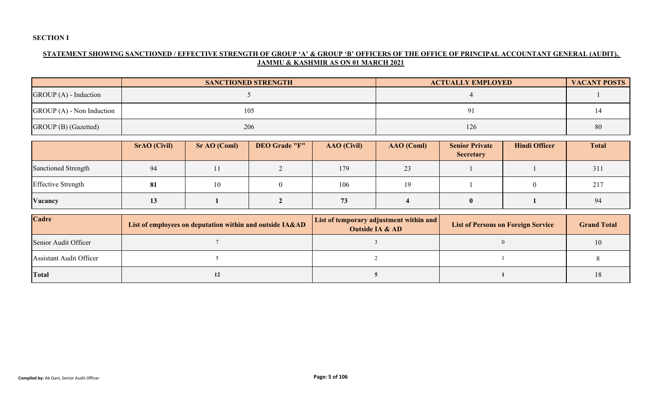#### **SECTION I**

#### **STATEMENT SHOWING SANCTIONED / EFFECTIVE STRENGTH OF GROUP 'A' & GROUP 'B' OFFICERS OF THE OFFICE OF PRINCIPAL ACCOUNTANT GENERAL (AUDIT), JAMMU & KASHMIR AS ON 01 MARCH 2021**

|                            | <b>SANCTIONED STRENGTH</b> | <b>ACTUALLY EMPLOYED</b> | <b>VACANT POSTS</b> |
|----------------------------|----------------------------|--------------------------|---------------------|
| $GROUP(A)$ - Induction     |                            |                          |                     |
| $GROUP(A)$ - Non Induction | 105                        |                          |                     |
| GROUP (B) (Gazetted)       | 206                        | 126                      | 80                  |

|                            | <b>SrAO</b> (Civil) | Sr AO (Coml) | <b>DEO Grade "F"</b> | <b>AAO</b> (Civil) | AAO (Coml) | <b>Senior Private</b><br><b>Secretary</b> | <b>Hindi Officer</b> | <b>Total</b> |
|----------------------------|---------------------|--------------|----------------------|--------------------|------------|-------------------------------------------|----------------------|--------------|
| <b>Sanctioned Strength</b> | 94                  |              |                      | 179                | 23         |                                           |                      | 311          |
| <b>Effective Strength</b>  | 81                  | 10           |                      | 106                |            |                                           |                      | 217          |
| Vacancy                    | <b>13</b>           |              |                      | 73                 |            | $\bullet$                                 |                      | 94           |

| Cadre                          | List of employees on deputation within and outside IA&AD | <b>List of temporary adjustment within and</b><br><b>Outside IA &amp; AD</b> | <b>List of Persons on Foreign Service</b> | <b>Grand Total</b> |
|--------------------------------|----------------------------------------------------------|------------------------------------------------------------------------------|-------------------------------------------|--------------------|
| Senior Audit Officer           |                                                          |                                                                              |                                           |                    |
| <b>Assistant Audit Officer</b> |                                                          |                                                                              |                                           |                    |
| <b>Total</b>                   |                                                          |                                                                              |                                           |                    |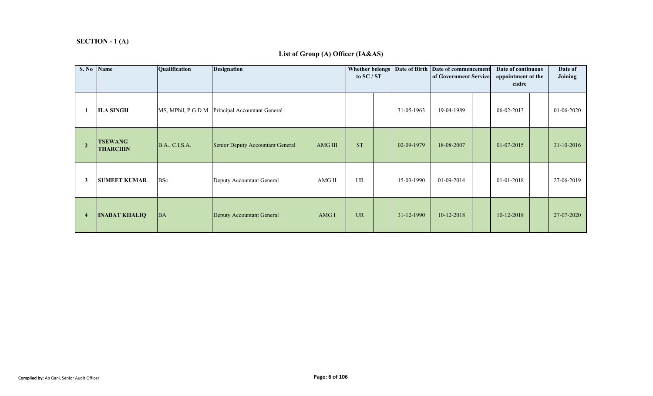#### **SECTION - 1 (A)**

# **S. No Name Cualification Designation Designation COLOGY Birth Date of Birth Date of commencement Date of continuous Date of Joining<sup>1</sup> ILA SINGH**MS, MPhil, P.G.D.M. Principal Accountant General 19-05-1963 19-04-1989 06-02-2013 01-06-2020 **2 TSEWANG THARCHIN** $\sum_{i=1}^{3}$  B.A., C.I.S.A. Senior Deputy Accountant General AMG III ST 02-09-1979 18-08-2007 01-07-2015 31-10-2016 **3 SUMEET KUMAR** BSc **Deputy Accountant General** AMG II UR 15-03-1990 01-09-2014 01-01-2018 27-06-2019 **<sup>4</sup> INABAT KHALIQ** $\mathbf{Q}$  BA Deputy Accountant General AMG I UR 31-12-1990 10-12-2018 10-12-2018 27-07-2020 **Date of continuous appointment ot the cadreof Government Serviceto SC / STDesignation**

#### **List of Group (A) Officer (IA&AS)**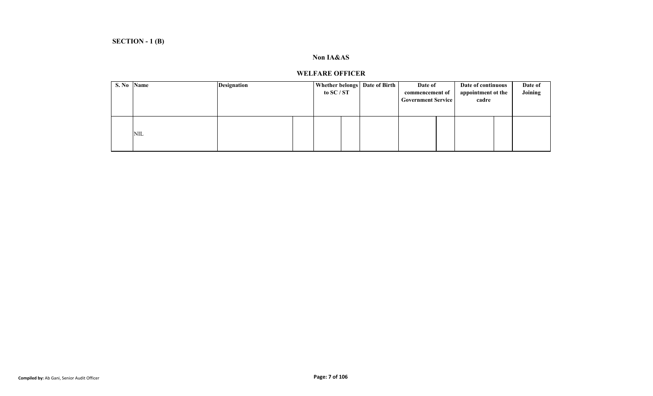#### **Non IA&AS**

# **WELFARE OFFICER**

| S. No Name |            | <b>Designation</b> | Whether belongs   Date of Birth  <br>to SC / ST | Date of<br>commencement of<br><b>Government Service</b> | Date of continuous<br>appointment ot the<br>cadre | Date of<br>Joining |
|------------|------------|--------------------|-------------------------------------------------|---------------------------------------------------------|---------------------------------------------------|--------------------|
|            | <b>NIL</b> |                    |                                                 |                                                         |                                                   |                    |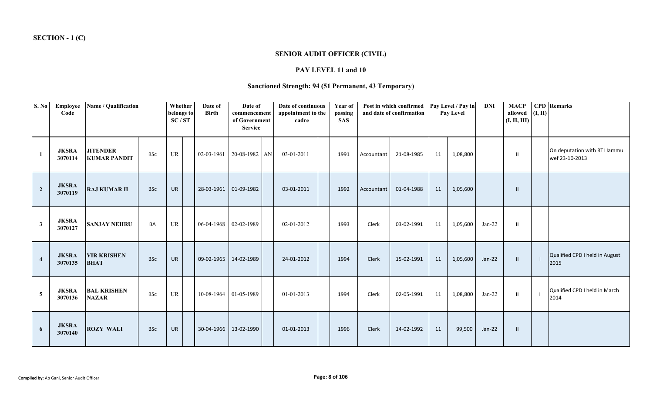# **SENIOR AUDIT OFFICER (CIVIL)**

#### **PAY LEVEL 11 and 10**

# **Sanctioned Strength: 94 (51 Permanent, 43 Temporary)**

| S. No          | Employee<br>Code        |                                        |            |           |  | Name / Qualification<br>Whether<br>belongs to<br>SC/ST |               | Date of<br><b>Birth</b> | Date of<br>commencement<br>of Government<br><b>Service</b> |  | Date of continuous<br>appointment to the<br>cadre |            | Year of<br>passing<br><b>SAS</b> | Post in which confirmed<br>and date of confirmation |          | Pay Level / Pay in<br>Pay Level |               | <b>DNI</b>                                     | <b>MACP</b><br>allowed $(I, II)$<br>(I, II, III) | <b>CPD</b> Remarks |
|----------------|-------------------------|----------------------------------------|------------|-----------|--|--------------------------------------------------------|---------------|-------------------------|------------------------------------------------------------|--|---------------------------------------------------|------------|----------------------------------|-----------------------------------------------------|----------|---------------------------------|---------------|------------------------------------------------|--------------------------------------------------|--------------------|
| 1              | <b>JKSRA</b><br>3070114 | <b>JITENDER</b><br><b>KUMAR PANDIT</b> | BSc        | UR        |  | 02-03-1961                                             | 20-08-1982 AN |                         | 03-01-2011                                                 |  | 1991                                              | Accountant | 21-08-1985                       | 11                                                  | 1,08,800 |                                 | $\mathbf{H}$  | On deputation with RTI Jammu<br>wef 23-10-2013 |                                                  |                    |
| $\overline{2}$ | <b>JKSRA</b><br>3070119 | <b>RAJ KUMAR II</b>                    | <b>BSc</b> | <b>UR</b> |  | 28-03-1961                                             | 01-09-1982    |                         | 03-01-2011                                                 |  | 1992                                              | Accountant | 01-04-1988                       | 11                                                  | 1,05,600 |                                 | $\mathbf{I}$  |                                                |                                                  |                    |
| $\mathbf{3}$   | <b>JKSRA</b><br>3070127 | <b>SANJAY NEHRU</b>                    | BA         | UR        |  | 06-04-1968 02-02-1989                                  |               |                         | 02-01-2012                                                 |  | 1993                                              | Clerk      | 03-02-1991                       | 11                                                  | 1,05,600 | $Jan-22$                        | $\mathbf{H}$  |                                                |                                                  |                    |
| $\overline{4}$ | <b>JKSRA</b><br>3070135 | <b>VIR KRISHEN</b><br><b>BHAT</b>      | <b>BSc</b> | <b>UR</b> |  | 09-02-1965                                             | 14-02-1989    |                         | 24-01-2012                                                 |  | 1994                                              | Clerk      | 15-02-1991                       | 11                                                  | 1,05,600 | $Jan-22$                        | $\mathbf{H}$  | Qualified CPD I held in August<br>2015         |                                                  |                    |
| 5              | <b>JKSRA</b><br>3070136 | <b>BAL KRISHEN</b><br><b>NAZAR</b>     | <b>BSc</b> | UR        |  | 10-08-1964 01-05-1989                                  |               |                         | 01-01-2013                                                 |  | 1994                                              | Clerk      | 02-05-1991                       | 11                                                  | 1,08,800 | $Jan-22$                        | $\mathbf{II}$ | Qualified CPD I held in March<br>2014          |                                                  |                    |
| 6              | <b>JKSRA</b><br>3070140 | <b>ROZY WALI</b>                       | <b>BSc</b> | <b>UR</b> |  | 30-04-1966                                             | 13-02-1990    |                         | 01-01-2013                                                 |  | 1996                                              | Clerk      | 14-02-1992                       | 11                                                  | 99,500   | $Jan-22$                        | $\mathbf{I}$  |                                                |                                                  |                    |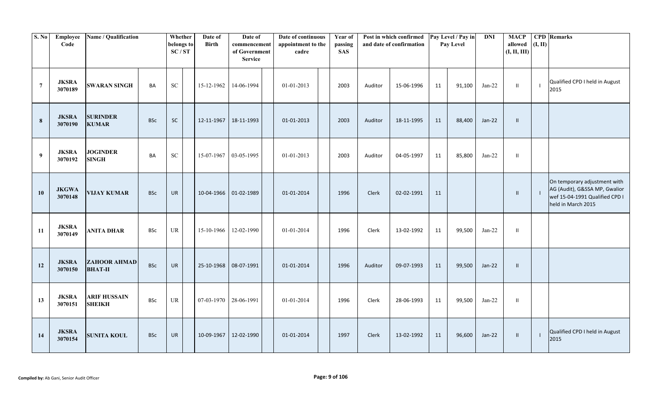| S. No            | Employee<br>Code        | Name / Qualification<br>Whether<br>belongs to<br>SC/ST |            | Date of<br><b>Birth</b> | Date of<br>commencement<br>of Government<br><b>Service</b> |                       | Date of continuous<br>appointment to the<br>cadre |            | Post in which confirmed<br>Year of<br>passing<br>and date of confirmation<br><b>SAS</b> |      | Pay Level / Pay in<br>Pay Level |            | $\mathbf{DNI}$ | <b>MACP</b><br>allowed<br>(I, II, III) | (I, II)  | <b>CPD</b> Remarks |                |                                                                                                                       |
|------------------|-------------------------|--------------------------------------------------------|------------|-------------------------|------------------------------------------------------------|-----------------------|---------------------------------------------------|------------|-----------------------------------------------------------------------------------------|------|---------------------------------|------------|----------------|----------------------------------------|----------|--------------------|----------------|-----------------------------------------------------------------------------------------------------------------------|
| $\overline{7}$   | <b>JKSRA</b><br>3070189 | <b>SWARAN SINGH</b>                                    | BA         | ${\rm SC}$              | 15-12-1962                                                 | 14-06-1994            |                                                   | 01-01-2013 |                                                                                         | 2003 | Auditor                         | 15-06-1996 | 11             | 91,100                                 | $Jan-22$ | $\mathbf{I}$       | $\blacksquare$ | Qualified CPD I held in August<br>2015                                                                                |
| $\bf{8}$         | <b>JKSRA</b><br>3070190 | <b>SURINDER</b><br><b>KUMAR</b>                        | <b>BSc</b> | <b>SC</b>               | 12-11-1967                                                 | 18-11-1993            |                                                   | 01-01-2013 |                                                                                         | 2003 | Auditor                         | 18-11-1995 | 11             | 88,400                                 | Jan-22   | $\mathbf{II}$      |                |                                                                                                                       |
| $\boldsymbol{9}$ | <b>JKSRA</b><br>3070192 | <b>JOGINDER</b><br><b>SINGH</b>                        | BA         | <b>SC</b>               | 15-07-1967                                                 | 03-05-1995            |                                                   | 01-01-2013 |                                                                                         | 2003 | Auditor                         | 04-05-1997 | 11             | 85,800                                 | $Jan-22$ | $\mathbf{II}$      |                |                                                                                                                       |
| 10               | <b>JKGWA</b><br>3070148 | <b>VIJAY KUMAR</b>                                     | <b>BSc</b> | <b>UR</b>               |                                                            | 10-04-1966 01-02-1989 |                                                   | 01-01-2014 |                                                                                         | 1996 | Clerk                           | 02-02-1991 | 11             |                                        |          | $\mathbf{H}$       | $\perp$        | On temporary adjustment with<br>AG (Audit), G&SSA MP, Gwalior<br>wef 15-04-1991 Qualified CPD I<br>held in March 2015 |
| 11               | <b>JKSRA</b><br>3070149 | <b>ANITA DHAR</b>                                      | <b>BSc</b> | UR                      | 15-10-1966                                                 | 12-02-1990            |                                                   | 01-01-2014 |                                                                                         | 1996 | Clerk                           | 13-02-1992 | 11             | 99,500                                 | $Jan-22$ | $\mathbf{I}$       |                |                                                                                                                       |
| 12               | <b>JKSRA</b><br>3070150 | <b>ZAHOOR AHMAD</b><br><b>BHAT-II</b>                  | <b>BSc</b> | <b>UR</b>               | 25-10-1968                                                 | 08-07-1991            |                                                   | 01-01-2014 |                                                                                         | 1996 | Auditor                         | 09-07-1993 | 11             | 99,500                                 | $Jan-22$ | $\mathbf{H}$       |                |                                                                                                                       |
| 13               | <b>JKSRA</b><br>3070151 | <b>ARIF HUSSAIN</b><br><b>SHEIKH</b>                   | <b>BSc</b> | UR                      | 07-03-1970                                                 | 28-06-1991            |                                                   | 01-01-2014 |                                                                                         | 1996 | Clerk                           | 28-06-1993 | 11             | 99,500                                 | $Jan-22$ | $\mathbf{II}$      |                |                                                                                                                       |
| 14               | <b>JKSRA</b><br>3070154 | <b>SUNITA KOUL</b>                                     | <b>BSc</b> | <b>UR</b>               | 10-09-1967                                                 | 12-02-1990            |                                                   | 01-01-2014 |                                                                                         | 1997 | Clerk                           | 13-02-1992 | 11             | 96,600                                 | $Jan-22$ | $\mathbf{H}$       | $\blacksquare$ | Qualified CPD I held in August<br>2015                                                                                |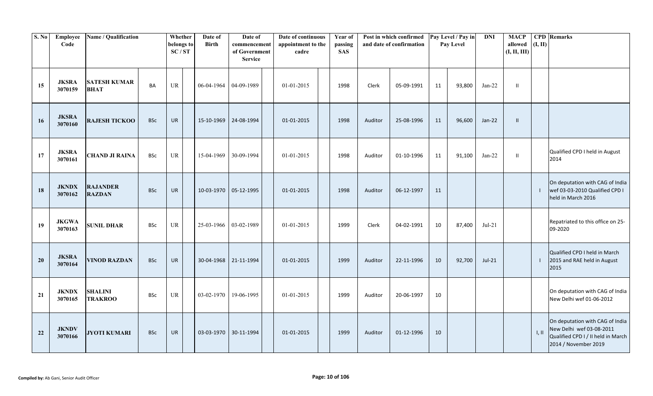| S. No | Employee<br>Code        | Name / Qualification               | Whether<br>belongs to<br>SC/ST |           | Date of<br><b>Birth</b> | Date of<br>commencement<br>of Government<br><b>Service</b> |            | Date of continuous<br>appointment to the<br>cadre |            | Year of<br>passing<br><b>SAS</b> | Post in which confirmed<br>and date of confirmation |         |            | Pay Level / Pay in<br>Pay Level | $\mathbf{DNI}$ | <b>MACP</b><br>allowed<br>(I, II, III) | (I, II)      | <b>CPD</b> Remarks        |                                                                                                                           |
|-------|-------------------------|------------------------------------|--------------------------------|-----------|-------------------------|------------------------------------------------------------|------------|---------------------------------------------------|------------|----------------------------------|-----------------------------------------------------|---------|------------|---------------------------------|----------------|----------------------------------------|--------------|---------------------------|---------------------------------------------------------------------------------------------------------------------------|
| 15    | <b>JKSRA</b><br>3070159 | <b>SATESH KUMAR</b><br><b>BHAT</b> | BA                             | <b>UR</b> |                         | 06-04-1964                                                 | 04-09-1989 |                                                   | 01-01-2015 |                                  | 1998                                                | Clerk   | 05-09-1991 | 11                              | 93,800         | $Jan-22$                               | $\mathbf{H}$ |                           |                                                                                                                           |
| 16    | <b>JKSRA</b><br>3070160 | <b>RAJESH TICKOO</b>               | <b>BSc</b>                     | UR        |                         | 15-10-1969                                                 | 24-08-1994 |                                                   | 01-01-2015 |                                  | 1998                                                | Auditor | 25-08-1996 | 11                              | 96,600         | $Jan-22$                               | $\mathbf{I}$ |                           |                                                                                                                           |
| 17    | <b>JKSRA</b><br>3070161 | <b>CHAND JI RAINA</b>              | <b>BSc</b>                     | UR        |                         | 15-04-1969                                                 | 30-09-1994 |                                                   | 01-01-2015 |                                  | 1998                                                | Auditor | 01-10-1996 | 11                              | 91,100         | $Jan-22$                               | $\mathbf{H}$ |                           | Qualified CPD I held in August<br>2014                                                                                    |
| 18    | <b>JKNDX</b><br>3070162 | <b>RAJANDER</b><br><b>RAZDAN</b>   | <b>BSc</b>                     | <b>UR</b> |                         | 10-03-1970                                                 | 05-12-1995 |                                                   | 01-01-2015 |                                  | 1998                                                | Auditor | 06-12-1997 | 11                              |                |                                        |              |                           | On deputation with CAG of India<br>wef 03-03-2010 Qualified CPD I<br>held in March 2016                                   |
| 19    | <b>JKGWA</b><br>3070163 | <b>SUNIL DHAR</b>                  | <b>BSc</b>                     | <b>UR</b> |                         | 25-03-1966 03-02-1989                                      |            |                                                   | 01-01-2015 |                                  | 1999                                                | Clerk   | 04-02-1991 | 10                              | 87,400         | $Jul-21$                               |              |                           | Repatriated to this office on 25-<br>09-2020                                                                              |
| 20    | <b>JKSRA</b><br>3070164 | <b>VINOD RAZDAN</b>                | <b>BSc</b>                     | <b>UR</b> |                         | 30-04-1968                                                 | 21-11-1994 |                                                   | 01-01-2015 |                                  | 1999                                                | Auditor | 22-11-1996 | 10                              | 92,700         | $Jul-21$                               |              |                           | Qualified CPD I held in March<br>2015 and RAE held in August<br>2015                                                      |
| 21    | <b>JKNDX</b><br>3070165 | <b>SHALINI</b><br><b>TRAKROO</b>   | <b>BSc</b>                     | <b>UR</b> |                         | 03-02-1970                                                 | 19-06-1995 |                                                   | 01-01-2015 |                                  | 1999                                                | Auditor | 20-06-1997 | 10                              |                |                                        |              |                           | On deputation with CAG of India<br>New Delhi wef 01-06-2012                                                               |
| 22    | <b>JKNDV</b><br>3070166 | <b>JYOTI KUMARI</b>                | <b>BSc</b>                     | <b>UR</b> |                         | 03-03-1970                                                 | 30-11-1994 |                                                   | 01-01-2015 |                                  | 1999                                                | Auditor | 01-12-1996 | 10                              |                |                                        |              | $\parallel$ , $\parallel$ | On deputation with CAG of India<br>New Delhi wef 03-08-2011<br>Qualified CPD I / II held in March<br>2014 / November 2019 |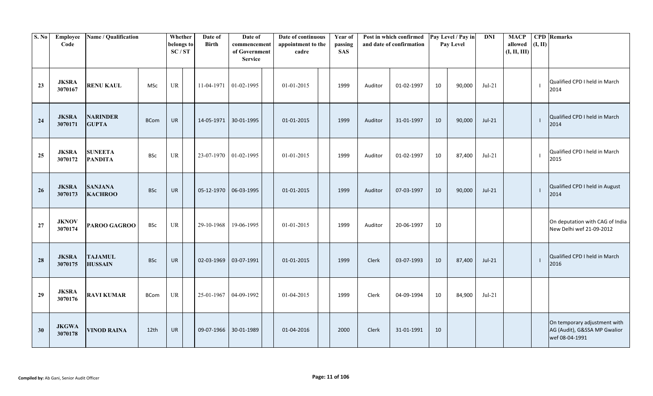| S. No | Employee<br>Code        | Name / Qualification             |             | Whether<br>Date of<br><b>Birth</b><br>belongs to<br>SC/ST |  |                         | Date of<br>Date of continuous<br>appointment to the<br>commencement<br>of Government<br>cadre<br><b>Service</b> |  |            | Year of<br>passing<br><b>SAS</b> | Post in which confirmed<br>and date of confirmation |              |            | Pay Level / Pay in<br>Pay Level |        | <b>MACP</b><br>allowed<br>(I, II, III) | (I, II) | <b>CPD</b> Remarks |                                                                                |
|-------|-------------------------|----------------------------------|-------------|-----------------------------------------------------------|--|-------------------------|-----------------------------------------------------------------------------------------------------------------|--|------------|----------------------------------|-----------------------------------------------------|--------------|------------|---------------------------------|--------|----------------------------------------|---------|--------------------|--------------------------------------------------------------------------------|
| 23    | <b>JKSRA</b><br>3070167 | <b>RENU KAUL</b>                 | <b>MSc</b>  | UR                                                        |  | 11-04-1971 01-02-1995   |                                                                                                                 |  | 01-01-2015 |                                  | 1999                                                | Auditor      | 01-02-1997 | 10                              | 90,000 | $Jul-21$                               |         |                    | Qualified CPD I held in March<br>2014                                          |
| 24    | <b>JKSRA</b><br>3070171 | <b>NARINDER</b><br><b>GUPTA</b>  | <b>BCom</b> | <b>UR</b>                                                 |  |                         | 14-05-1971 30-01-1995                                                                                           |  | 01-01-2015 |                                  | 1999                                                | Auditor      | 31-01-1997 | 10                              | 90,000 | $Jul-21$                               |         |                    | Qualified CPD I held in March<br>2014                                          |
| 25    | <b>JKSRA</b><br>3070172 | <b>SUNEETA</b><br><b>PANDITA</b> | <b>BSc</b>  | UR                                                        |  | 23-07-1970   01-02-1995 |                                                                                                                 |  | 01-01-2015 |                                  | 1999                                                | Auditor      | 01-02-1997 | 10                              | 87,400 | $Jul-21$                               |         |                    | Qualified CPD I held in March<br>2015                                          |
| 26    | <b>JKSRA</b><br>3070173 | <b>SANJANA</b><br><b>KACHROO</b> | <b>BSc</b>  | <b>UR</b>                                                 |  | 05-12-1970 06-03-1995   |                                                                                                                 |  | 01-01-2015 |                                  | 1999                                                | Auditor      | 07-03-1997 | 10                              | 90,000 | $Jul-21$                               |         |                    | Qualified CPD I held in August<br>2014                                         |
| 27    | <b>JKNOV</b><br>3070174 | PAROO GAGROO                     | <b>BSc</b>  | UR                                                        |  | 29-10-1968              | 19-06-1995                                                                                                      |  | 01-01-2015 |                                  | 1999                                                | Auditor      | 20-06-1997 | 10                              |        |                                        |         |                    | On deputation with CAG of India<br>New Delhi wef 21-09-2012                    |
| 28    | <b>JKSRA</b><br>3070175 | <b>TAJAMUL</b><br><b>HUSSAIN</b> | <b>BSc</b>  | <b>UR</b>                                                 |  | 02-03-1969              | 03-07-1991                                                                                                      |  | 01-01-2015 |                                  | 1999                                                | <b>Clerk</b> | 03-07-1993 | 10                              | 87,400 | $Jul-21$                               |         |                    | Qualified CPD I held in March<br>2016                                          |
| 29    | <b>JKSRA</b><br>3070176 | <b>RAVI KUMAR</b>                | <b>BCom</b> | UR                                                        |  | 25-01-1967              | 04-09-1992                                                                                                      |  | 01-04-2015 |                                  | 1999                                                | Clerk        | 04-09-1994 | 10                              | 84,900 | $Jul-21$                               |         |                    |                                                                                |
| 30    | <b>JKGWA</b><br>3070178 | <b>VINOD RAINA</b>               | 12th        | <b>UR</b>                                                 |  |                         | 09-07-1966 30-01-1989                                                                                           |  | 01-04-2016 |                                  | 2000                                                | Clerk        | 31-01-1991 | 10                              |        |                                        |         |                    | On temporary adjustment with<br>AG (Audit), G&SSA MP Gwalior<br>wef 08-04-1991 |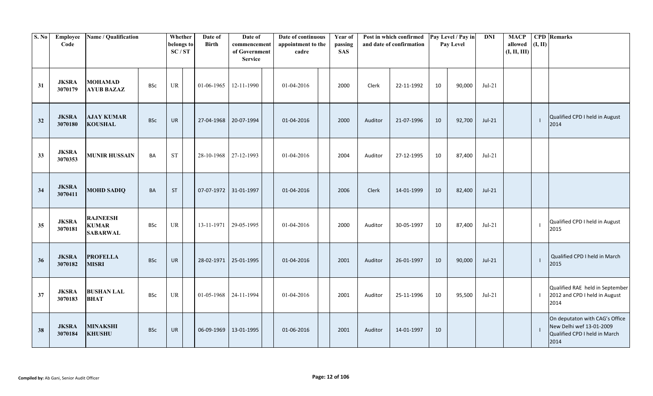| S. No | Employee<br>Code        | Name / Qualification                               |            | Whether<br>belongs to<br>SC/ST | Date of<br><b>Birth</b> | Date of<br>commencement<br>of Government<br><b>Service</b> | Date of continuous<br>appointment to the<br>cadre | Year of<br>passing<br><b>SAS</b> |         | Post in which confirmed<br>and date of confirmation |    | Pay Level / Pay in<br>Pay Level | <b>DNI</b> | <b>MACP</b><br>allowed<br>(I, II, III) | (I, II)      | <b>CPD</b> Remarks                                                                                  |
|-------|-------------------------|----------------------------------------------------|------------|--------------------------------|-------------------------|------------------------------------------------------------|---------------------------------------------------|----------------------------------|---------|-----------------------------------------------------|----|---------------------------------|------------|----------------------------------------|--------------|-----------------------------------------------------------------------------------------------------|
| 31    | <b>JKSRA</b><br>3070179 | <b>MOHAMAD</b><br><b>AYUB BAZAZ</b>                | <b>BSc</b> | UR                             | 01-06-1965              | 12-11-1990                                                 | 01-04-2016                                        | 2000                             | Clerk   | 22-11-1992                                          | 10 | 90,000                          | $Jul-21$   |                                        |              |                                                                                                     |
| 32    | <b>JKSRA</b><br>3070180 | <b>AJAY KUMAR</b><br><b>KOUSHAL</b>                | <b>BSc</b> | <b>UR</b>                      | 27-04-1968              | 20-07-1994                                                 | 01-04-2016                                        | 2000                             | Auditor | 21-07-1996                                          | 10 | 92,700                          | $Jul-21$   |                                        | $\mathbf{I}$ | Qualified CPD I held in August<br>2014                                                              |
| 33    | <b>JKSRA</b><br>3070353 | <b>MUNIR HUSSAIN</b>                               | <b>BA</b>  | <b>ST</b>                      | 28-10-1968              | 27-12-1993                                                 | 01-04-2016                                        | 2004                             | Auditor | 27-12-1995                                          | 10 | 87,400                          | $Jul-21$   |                                        |              |                                                                                                     |
| 34    | <b>JKSRA</b><br>3070411 | <b>MOHD SADIQ</b>                                  | BA         | ST                             | 07-07-1972              | 31-01-1997                                                 | 01-04-2016                                        | 2006                             | Clerk   | 14-01-1999                                          | 10 | 82,400                          | $Jul-21$   |                                        |              |                                                                                                     |
| 35    | <b>JKSRA</b><br>3070181 | <b>RAJNEESH</b><br><b>KUMAR</b><br><b>SABARWAL</b> | <b>BSc</b> | <b>UR</b>                      | 13-11-1971              | 29-05-1995                                                 | 01-04-2016                                        | 2000                             | Auditor | 30-05-1997                                          | 10 | 87,400                          | $Jul-21$   |                                        |              | Qualified CPD I held in August<br>2015                                                              |
| 36    | <b>JKSRA</b><br>3070182 | <b>PROFELLA</b><br><b>MISRI</b>                    | <b>BSc</b> | <b>UR</b>                      | 28-02-1971              | 25-01-1995                                                 | 01-04-2016                                        | 2001                             | Auditor | 26-01-1997                                          | 10 | 90,000                          | $Jul-21$   |                                        | $\mathbf{I}$ | Qualified CPD I held in March<br>2015                                                               |
| 37    | <b>JKSRA</b><br>3070183 | <b>BUSHAN LAL</b><br><b>BHAT</b>                   | <b>BSc</b> | UR                             | 01-05-1968              | 24-11-1994                                                 | 01-04-2016                                        | 2001                             | Auditor | 25-11-1996                                          | 10 | 95,500                          | $Jul-21$   |                                        |              | Qualified RAE held in September<br>2012 and CPD I held in August<br>2014                            |
| 38    | <b>JKSRA</b><br>3070184 | <b>MINAKSHI</b><br><b>KHUSHU</b>                   | <b>BSc</b> | <b>UR</b>                      | 06-09-1969              | 13-01-1995                                                 | 01-06-2016                                        | 2001                             | Auditor | 14-01-1997                                          | 10 |                                 |            |                                        |              | On deputaton with CAG's Office<br>New Delhi wef 13-01-2009<br>Qualified CPD I held in March<br>2014 |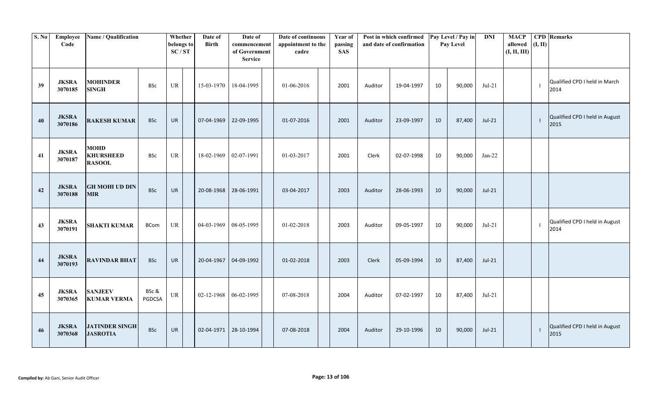| S. No | Employee<br>Code        | Name / Qualification                             |                 | Whether<br>belongs to<br>SC/ST    | Date of<br><b>Birth</b> | Date of<br>commencement<br>of Government<br><b>Service</b> | Date of continuous<br>appointment to the<br>cadre | Year of<br>passing<br><b>SAS</b> |         | Post in which confirmed<br>and date of confirmation |    | Pay Level / Pay in<br>Pay Level | <b>DNI</b> | <b>MACP</b><br>allowed<br>(I, II, III) | (I, II) | <b>CPD</b> Remarks                     |
|-------|-------------------------|--------------------------------------------------|-----------------|-----------------------------------|-------------------------|------------------------------------------------------------|---------------------------------------------------|----------------------------------|---------|-----------------------------------------------------|----|---------------------------------|------------|----------------------------------------|---------|----------------------------------------|
| 39    | <b>JKSRA</b><br>3070185 | <b>MOHINDER</b><br><b>SINGH</b>                  | <b>BSc</b>      | UR                                | 15-03-1970 18-04-1995   |                                                            | 01-06-2016                                        | 2001                             | Auditor | 19-04-1997                                          | 10 | 90,000                          | $Jul-21$   |                                        |         | Qualified CPD I held in March<br>2014  |
| 40    | <b>JKSRA</b><br>3070186 | <b>RAKESH KUMAR</b>                              | <b>BSc</b>      | <b>UR</b>                         |                         | 07-04-1969 22-09-1995                                      | 01-07-2016                                        | 2001                             | Auditor | 23-09-1997                                          | 10 | 87,400                          | $Jul-21$   |                                        |         | Qualified CPD I held in August<br>2015 |
| 41    | <b>JKSRA</b><br>3070187 | <b>MOHD</b><br><b>KHURSHEED</b><br><b>RASOOL</b> | <b>BSc</b>      | UR                                | 18-02-1969              | 02-07-1991                                                 | 01-03-2017                                        | 2001                             | Clerk   | 02-07-1998                                          | 10 | 90,000                          | $Jan-22$   |                                        |         |                                        |
| 42    | <b>JKSRA</b><br>3070188 | <b>GH MOHI UD DIN</b><br><b>MIR</b>              | <b>BSc</b>      | <b>UR</b>                         | 20-08-1968 28-06-1991   |                                                            | 03-04-2017                                        | 2003                             | Auditor | 28-06-1993                                          | 10 | 90,000                          | $Jul-21$   |                                        |         |                                        |
| 43    | <b>JKSRA</b><br>3070191 | <b>SHAKTI KUMAR</b>                              | <b>BCom</b>     | UR                                | 04-03-1969              | 08-05-1995                                                 | 01-02-2018                                        | 2003                             | Auditor | 09-05-1997                                          | 10 | 90,000                          | $Jul-21$   |                                        |         | Qualified CPD I held in August<br>2014 |
| 44    | <b>JKSRA</b><br>3070193 | <b>RAVINDAR BHAT</b>                             | <b>BSc</b>      | <b>UR</b>                         | 20-04-1967              | 04-09-1992                                                 | 01-02-2018                                        | 2003                             | Clerk   | 05-09-1994                                          | 10 | 87,400                          | $Jul-21$   |                                        |         |                                        |
| 45    | <b>JKSRA</b><br>3070365 | <b>SANJEEV</b><br><b>KUMAR VERMA</b>             | BSc &<br>PGDCSA | $\ensuremath{\mathsf{UR}}\xspace$ | $02 - 12 - 1968$        | 06-02-1995                                                 | 07-08-2018                                        | 2004                             | Auditor | 07-02-1997                                          | 10 | 87,400                          | $Jul-21$   |                                        |         |                                        |
| 46    | <b>JKSRA</b><br>3070368 | <b>JATINDER SINGH</b><br><b>JASROTIA</b>         | <b>BSc</b>      | <b>UR</b>                         | 02-04-1971 28-10-1994   |                                                            | 07-08-2018                                        | 2004                             | Auditor | 29-10-1996                                          | 10 | 90,000                          | $Jul-21$   |                                        |         | Qualified CPD I held in August<br>2015 |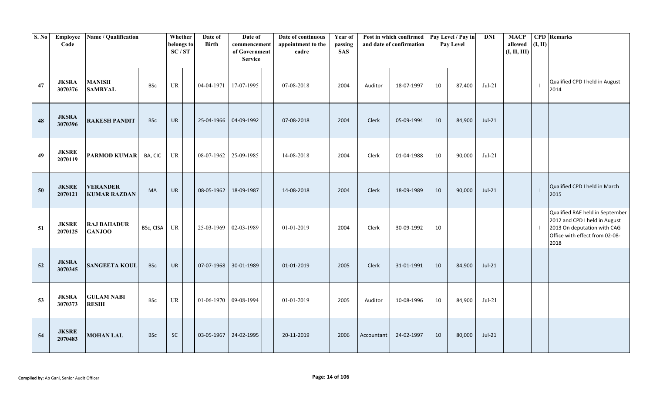| S. No | Employee<br>Code        | Name / Qualification                   |            | Whether<br>belongs to<br>SC/ST | Date of<br><b>Birth</b> | Date of<br>commencement<br>of Government<br><b>Service</b> | Date of continuous<br>appointment to the<br>cadre | Year of<br>passing<br><b>SAS</b> |            | Post in which confirmed<br>and date of confirmation |    | Pay Level / Pay in<br>Pay Level | $\mathbf{DNI}$ | <b>MACP</b><br>allowed<br>(I, II, III) | (I, II) | <b>CPD</b> Remarks                                                                                                                        |
|-------|-------------------------|----------------------------------------|------------|--------------------------------|-------------------------|------------------------------------------------------------|---------------------------------------------------|----------------------------------|------------|-----------------------------------------------------|----|---------------------------------|----------------|----------------------------------------|---------|-------------------------------------------------------------------------------------------------------------------------------------------|
| 47    | <b>JKSRA</b><br>3070376 | <b>MANISH</b><br><b>SAMBYAL</b>        | <b>BSc</b> | UR                             | 04-04-1971              | 17-07-1995                                                 | 07-08-2018                                        | 2004                             | Auditor    | 18-07-1997                                          | 10 | 87,400                          | $Jul-21$       |                                        |         | Qualified CPD I held in August<br>2014                                                                                                    |
| 48    | <b>JKSRA</b><br>3070396 | <b>RAKESH PANDIT</b>                   | <b>BSc</b> | <b>UR</b>                      | 25-04-1966              | 04-09-1992                                                 | 07-08-2018                                        | 2004                             | Clerk      | 05-09-1994                                          | 10 | 84,900                          | $Jul-21$       |                                        |         |                                                                                                                                           |
| 49    | <b>JKSRE</b><br>2070119 | <b>PARMOD KUMAR</b>                    | BA, CIC    | UR                             | 08-07-1962              | 25-09-1985                                                 | 14-08-2018                                        | 2004                             | Clerk      | 01-04-1988                                          | 10 | 90,000                          | $Jul-21$       |                                        |         |                                                                                                                                           |
| 50    | <b>JKSRE</b><br>2070121 | <b>VERANDER</b><br><b>KUMAR RAZDAN</b> | <b>MA</b>  | <b>UR</b>                      | 08-05-1962              | 18-09-1987                                                 | 14-08-2018                                        | 2004                             | Clerk      | 18-09-1989                                          | 10 | 90,000                          | $Jul-21$       |                                        | -1      | Qualified CPD I held in March<br>2015                                                                                                     |
| 51    | <b>JKSRE</b><br>2070125 | <b>RAJ BAHADUR</b><br><b>GANJOO</b>    | BSc, CISA  | UR                             | 25-03-1969              | 02-03-1989                                                 | 01-01-2019                                        | 2004                             | Clerk      | 30-09-1992                                          | 10 |                                 |                |                                        |         | Qualified RAE held in September<br>2012 and CPD I held in August<br>2013 On deputation with CAG<br>Office with effect from 02-08-<br>2018 |
| 52    | <b>JKSRA</b><br>3070345 | <b>SANGEETA KOUL</b>                   | <b>BSc</b> | <b>UR</b>                      | 07-07-1968              | 30-01-1989                                                 | 01-01-2019                                        | 2005                             | Clerk      | 31-01-1991                                          | 10 | 84,900                          | $Jul-21$       |                                        |         |                                                                                                                                           |
| 53    | <b>JKSRA</b><br>3070373 | <b>GULAM NABI</b><br><b>RESHI</b>      | <b>BSc</b> | UR                             | 01-06-1970              | 09-08-1994                                                 | 01-01-2019                                        | 2005                             | Auditor    | 10-08-1996                                          | 10 | 84,900                          | $Jul-21$       |                                        |         |                                                                                                                                           |
| 54    | <b>JKSRE</b><br>2070483 | <b>MOHAN LAL</b>                       | <b>BSc</b> | SC                             | 03-05-1967              | 24-02-1995                                                 | 20-11-2019                                        | 2006                             | Accountant | 24-02-1997                                          | 10 | 80,000                          | $Jul-21$       |                                        |         |                                                                                                                                           |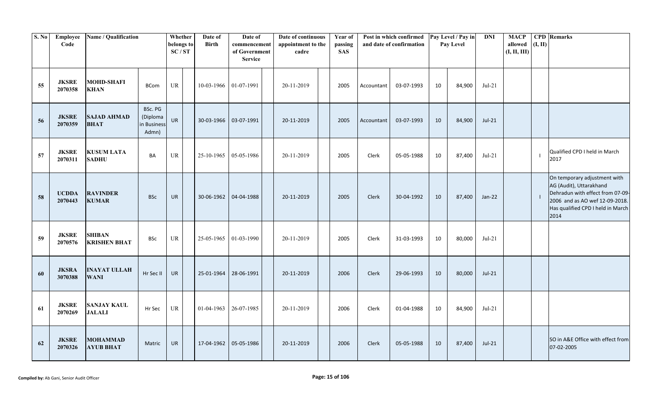| S. No | Employee<br>Code        | Name / Qualification                 |                                             | Whether<br>belongs to<br>SC/ST | Date of<br><b>Birth</b> | Date of<br>commencement<br>of Government<br><b>Service</b> | Date of continuous<br>appointment to the<br>cadre | Year of<br>passing<br><b>SAS</b> |              | Post in which confirmed<br>and date of confirmation |    | Pay Level / Pay in<br>Pay Level | $\bf{DNI}$ | <b>MACP</b><br>allowed<br>(I, II, III) | (I, II) | <b>CPD</b> Remarks                                                                                                                                                         |
|-------|-------------------------|--------------------------------------|---------------------------------------------|--------------------------------|-------------------------|------------------------------------------------------------|---------------------------------------------------|----------------------------------|--------------|-----------------------------------------------------|----|---------------------------------|------------|----------------------------------------|---------|----------------------------------------------------------------------------------------------------------------------------------------------------------------------------|
| 55    | <b>JKSRE</b><br>2070358 | <b>MOHD-SHAFI</b><br><b>KHAN</b>     | <b>BCom</b>                                 | UR                             | 10-03-1966 01-07-1991   |                                                            | 20-11-2019                                        | 2005                             | Accountant   | 03-07-1993                                          | 10 | 84,900                          | $Jul-21$   |                                        |         |                                                                                                                                                                            |
| 56    | <b>JKSRE</b><br>2070359 | <b>SAJAD AHMAD</b><br><b>BHAT</b>    | BSc. PG<br>(Diploma<br>in Business<br>Admn) | <b>UR</b>                      | 30-03-1966 03-07-1991   |                                                            | 20-11-2019                                        | 2005                             | Accountant   | 03-07-1993                                          | 10 | 84,900                          | $Jul-21$   |                                        |         |                                                                                                                                                                            |
| 57    | <b>JKSRE</b><br>2070311 | <b>KUSUM LATA</b><br><b>SADHU</b>    | BA                                          | UR                             | 25-10-1965              | 05-05-1986                                                 | 20-11-2019                                        | 2005                             | Clerk        | 05-05-1988                                          | 10 | 87,400                          | $Jul-21$   |                                        |         | Qualified CPD I held in March<br>2017                                                                                                                                      |
| 58    | <b>UCDDA</b><br>2070443 | <b>RAVINDER</b><br><b>KUMAR</b>      | <b>BSc</b>                                  | <b>UR</b>                      |                         | 30-06-1962 04-04-1988                                      | 20-11-2019                                        | 2005                             | Clerk        | 30-04-1992                                          | 10 | 87,400                          | $Jan-22$   |                                        |         | On temporary adjustment with<br>AG (Audit), Uttarakhand<br>Dehradun with effect from 07-09-<br>2006 and as AO wef 12-09-2018.<br>Has qualified CPD I held in March<br>2014 |
| 59    | <b>JKSRE</b><br>2070576 | <b>SHIBAN</b><br><b>KRISHEN BHAT</b> | <b>BSc</b>                                  | UR                             | 25-05-1965              | 01-03-1990                                                 | 20-11-2019                                        | 2005                             | Clerk        | 31-03-1993                                          | 10 | 80,000                          | $Jul-21$   |                                        |         |                                                                                                                                                                            |
| 60    | <b>JKSRA</b><br>3070388 | <b>INAYAT ULLAH</b><br><b>WANI</b>   | Hr Sec II                                   | <b>UR</b>                      | 25-01-1964              | 28-06-1991                                                 | 20-11-2019                                        | 2006                             | <b>Clerk</b> | 29-06-1993                                          | 10 | 80,000                          | $Jul-21$   |                                        |         |                                                                                                                                                                            |
| 61    | <b>JKSRE</b><br>2070269 | <b>SANJAY KAUL</b><br><b>JALALI</b>  | Hr Sec                                      | UR                             | 01-04-1963              | 26-07-1985                                                 | 20-11-2019                                        | 2006                             | <b>Clerk</b> | 01-04-1988                                          | 10 | 84,900                          | $Jul-21$   |                                        |         |                                                                                                                                                                            |
| 62    | <b>JKSRE</b><br>2070326 | <b>MOHAMMAD</b><br><b>AYUB BHAT</b>  | Matric                                      | <b>UR</b>                      | 17-04-1962              | 05-05-1986                                                 | 20-11-2019                                        | 2006                             | Clerk        | 05-05-1988                                          | 10 | 87,400                          | $Jul-21$   |                                        |         | SO in A&E Office with effect from<br>07-02-2005                                                                                                                            |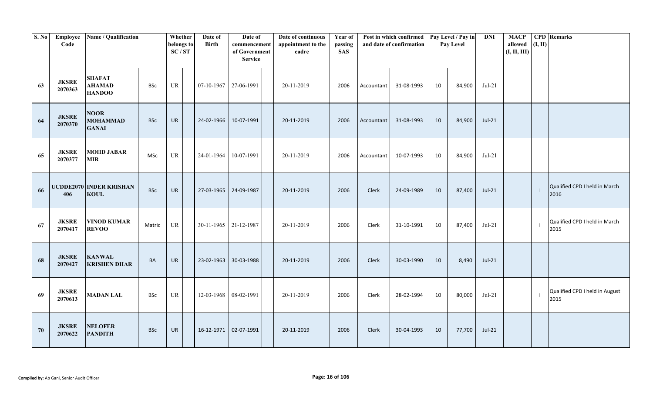| S. No | Employee<br>Code        | Name / Qualification                            |            | Whether<br>belongs to<br>SC/ST | Date of<br><b>Birth</b> | Date of<br>commencement<br>of Government<br><b>Service</b> | Date of continuous<br>appointment to the<br>cadre | Year of<br>passing<br><b>SAS</b> |              | Post in which confirmed<br>and date of confirmation |    | Pay Level / Pay in<br>Pay Level | <b>DNI</b> | <b>MACP</b><br>allowed<br>(I, II, III) | (I, II) | <b>CPD</b> Remarks                     |
|-------|-------------------------|-------------------------------------------------|------------|--------------------------------|-------------------------|------------------------------------------------------------|---------------------------------------------------|----------------------------------|--------------|-----------------------------------------------------|----|---------------------------------|------------|----------------------------------------|---------|----------------------------------------|
| 63    | <b>JKSRE</b><br>2070363 | <b>SHAFAT</b><br><b>AHAMAD</b><br><b>HANDOO</b> | <b>BSc</b> | UR                             | 07-10-1967              | 27-06-1991                                                 | 20-11-2019                                        | 2006                             | Accountant   | 31-08-1993                                          | 10 | 84,900                          | $Jul-21$   |                                        |         |                                        |
| 64    | <b>JKSRE</b><br>2070370 | <b>NOOR</b><br><b>MOHAMMAD</b><br><b>GANAI</b>  | <b>BSc</b> | <b>UR</b>                      | 24-02-1966              | 10-07-1991                                                 | 20-11-2019                                        | 2006                             | Accountant   | 31-08-1993                                          | 10 | 84,900                          | $Jul-21$   |                                        |         |                                        |
| 65    | <b>JKSRE</b><br>2070377 | <b>MOHD JABAR</b><br><b>MIR</b>                 | <b>MSc</b> | UR                             | 24-01-1964              | 10-07-1991                                                 | 20-11-2019                                        | 2006                             | Accountant   | 10-07-1993                                          | 10 | 84,900                          | $Jul-21$   |                                        |         |                                        |
| 66    | 406                     | <b>UCDDE2070 INDER KRISHAN</b><br><b>KOUL</b>   | <b>BSc</b> | <b>UR</b>                      | 27-03-1965 24-09-1987   |                                                            | 20-11-2019                                        | 2006                             | <b>Clerk</b> | 24-09-1989                                          | 10 | 87,400                          | $Jul-21$   |                                        |         | Qualified CPD I held in March<br>2016  |
| 67    | <b>JKSRE</b><br>2070417 | <b>VINOD KUMAR</b><br><b>REVOO</b>              | Matric     | UR                             | 30-11-1965              | 21-12-1987                                                 | 20-11-2019                                        | 2006                             | Clerk        | 31-10-1991                                          | 10 | 87,400                          | Jul-21     |                                        |         | Qualified CPD I held in March<br>2015  |
| 68    | <b>JKSRE</b><br>2070427 | <b>KANWAL</b><br><b>KRISHEN DHAR</b>            | <b>BA</b>  | <b>UR</b>                      | 23-02-1963              | 30-03-1988                                                 | 20-11-2019                                        | 2006                             | Clerk        | 30-03-1990                                          | 10 | 8,490                           | $Jul-21$   |                                        |         |                                        |
| 69    | <b>JKSRE</b><br>2070613 | <b>MADAN LAL</b>                                | <b>BSc</b> | UR                             | 12-03-1968              | 08-02-1991                                                 | 20-11-2019                                        | 2006                             | Clerk        | 28-02-1994                                          | 10 | 80,000                          | $Jul-21$   |                                        |         | Qualified CPD I held in August<br>2015 |
| 70    | <b>JKSRE</b><br>2070622 | <b>NELOFER</b><br><b>PANDITH</b>                | <b>BSc</b> | <b>UR</b>                      |                         | 16-12-1971 02-07-1991                                      | 20-11-2019                                        | 2006                             | Clerk        | 30-04-1993                                          | 10 | 77,700                          | $Jul-21$   |                                        |         |                                        |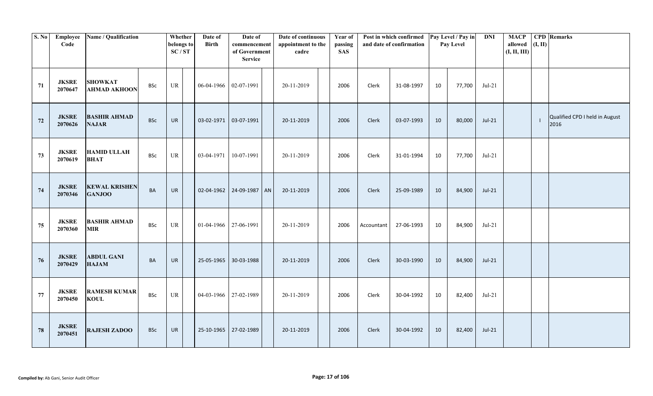| S. No | Employee<br>Code        | Name / Qualification                  |            | Whether<br>belongs to<br>SC/ST | Date of<br><b>Birth</b> | Date of<br>commencement<br>of Government<br><b>Service</b> | Date of continuous<br>appointment to the<br>cadre | Year of<br>passing<br><b>SAS</b> |            | Post in which confirmed<br>and date of confirmation |    | Pay Level / Pay in<br>Pay Level | <b>DNI</b> | <b>MACP</b><br>allowed<br>(I, II, III) | (I, II) | <b>CPD</b> Remarks                     |
|-------|-------------------------|---------------------------------------|------------|--------------------------------|-------------------------|------------------------------------------------------------|---------------------------------------------------|----------------------------------|------------|-----------------------------------------------------|----|---------------------------------|------------|----------------------------------------|---------|----------------------------------------|
| 71    | <b>JKSRE</b><br>2070647 | <b>SHOWKAT</b><br><b>AHMAD AKHOON</b> | <b>BSc</b> | UR                             | 06-04-1966              | 02-07-1991                                                 | 20-11-2019                                        | 2006                             | Clerk      | 31-08-1997                                          | 10 | 77,700                          | $Jul-21$   |                                        |         |                                        |
| 72    | <b>JKSRE</b><br>2070626 | <b>BASHIR AHMAD</b><br><b>NAJAR</b>   | <b>BSc</b> | <b>UR</b>                      | 03-02-1971              | 03-07-1991                                                 | 20-11-2019                                        | 2006                             | Clerk      | 03-07-1993                                          | 10 | 80,000                          | $Jul-21$   |                                        |         | Qualified CPD I held in August<br>2016 |
| 73    | <b>JKSRE</b><br>2070619 | <b>HAMID ULLAH</b><br><b>BHAT</b>     | <b>BSc</b> | UR                             | 03-04-1971              | 10-07-1991                                                 | 20-11-2019                                        | 2006                             | Clerk      | 31-01-1994                                          | 10 | 77,700                          | $Jul-21$   |                                        |         |                                        |
| 74    | <b>JKSRE</b><br>2070346 | <b>KEWAL KRISHEN</b><br><b>GANJOO</b> | BA         | UR                             |                         | 02-04-1962 24-09-1987 AN                                   | 20-11-2019                                        | 2006                             | Clerk      | 25-09-1989                                          | 10 | 84,900                          | $Jul-21$   |                                        |         |                                        |
| 75    | <b>JKSRE</b><br>2070360 | <b>BASHIR AHMAD</b><br><b>MIR</b>     | <b>BSc</b> | UR                             | 01-04-1966 27-06-1991   |                                                            | 20-11-2019                                        | 2006                             | Accountant | 27-06-1993                                          | 10 | 84,900                          | $Jul-21$   |                                        |         |                                        |
| 76    | <b>JKSRE</b><br>2070429 | <b>ABDUL GANI</b><br><b>HAJAM</b>     | BA         | <b>UR</b>                      | 25-05-1965              | 30-03-1988                                                 | 20-11-2019                                        | 2006                             | Clerk      | 30-03-1990                                          | 10 | 84,900                          | $Jul-21$   |                                        |         |                                        |
| 77    | <b>JKSRE</b><br>2070450 | <b>RAMESH KUMAR</b><br><b>KOUL</b>    | <b>BSc</b> | UR                             |                         | 04-03-1966 27-02-1989                                      | 20-11-2019                                        | 2006                             | Clerk      | 30-04-1992                                          | 10 | 82,400                          | $Jul-21$   |                                        |         |                                        |
| 78    | <b>JKSRE</b><br>2070451 | <b>RAJESH ZADOO</b>                   | <b>BSc</b> | <b>UR</b>                      | 25-10-1965              | 27-02-1989                                                 | 20-11-2019                                        | 2006                             | Clerk      | 30-04-1992                                          | 10 | 82,400                          | $Jul-21$   |                                        |         |                                        |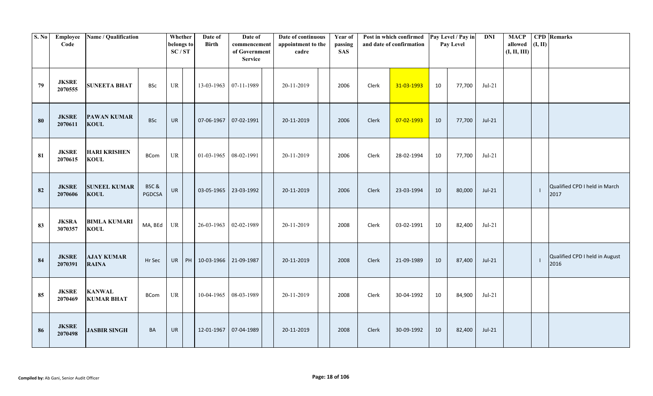| S. No | Employee<br>Code        | Name / Qualification               |                       | Whether<br>belongs to<br>SC/ST | Date of<br><b>Birth</b>           | Date of<br>commencement<br>of Government<br><b>Service</b> | Date of continuous<br>appointment to the<br>cadre | Year of<br>passing<br><b>SAS</b> |       | Post in which confirmed<br>and date of confirmation |    | Pay Level / Pay in<br>Pay Level | <b>DNI</b> | <b>MACP</b><br>allowed<br>(I, II, III) | (I, II) | <b>CPD</b> Remarks                     |
|-------|-------------------------|------------------------------------|-----------------------|--------------------------------|-----------------------------------|------------------------------------------------------------|---------------------------------------------------|----------------------------------|-------|-----------------------------------------------------|----|---------------------------------|------------|----------------------------------------|---------|----------------------------------------|
| 79    | <b>JKSRE</b><br>2070555 | <b>SUNEETA BHAT</b>                | <b>BSc</b>            | UR                             | 13-03-1963                        | 07-11-1989                                                 | 20-11-2019                                        | 2006                             | Clerk | 31-03-1993                                          | 10 | 77,700                          | $Jul-21$   |                                        |         |                                        |
| 80    | <b>JKSRE</b><br>2070611 | <b>PAWAN KUMAR</b><br><b>KOUL</b>  | <b>BSc</b>            | <b>UR</b>                      | 07-06-1967                        | 07-02-1991                                                 | 20-11-2019                                        | 2006                             | Clerk | 07-02-1993                                          | 10 | 77,700                          | $Jul-21$   |                                        |         |                                        |
| 81    | <b>JKSRE</b><br>2070615 | <b>HARI KRISHEN</b><br><b>KOUL</b> | <b>BCom</b>           | UR                             | 01-03-1965                        | 08-02-1991                                                 | 20-11-2019                                        | 2006                             | Clerk | 28-02-1994                                          | 10 | 77,700                          | $Jul-21$   |                                        |         |                                        |
| 82    | <b>JKSRE</b><br>2070606 | <b>SUNEEL KUMAR</b><br><b>KOUL</b> | BSC&<br><b>PGDCSA</b> | <b>UR</b>                      |                                   | 03-05-1965 23-03-1992                                      | 20-11-2019                                        | 2006                             | Clerk | 23-03-1994                                          | 10 | 80,000                          | $Jul-21$   |                                        |         | Qualified CPD I held in March<br>2017  |
| 83    | <b>JKSRA</b><br>3070357 | <b>BIMLA KUMARI</b><br><b>KOUL</b> | MA, BEd               | UR                             | 26-03-1963                        | 02-02-1989                                                 | 20-11-2019                                        | 2008                             | Clerk | 03-02-1991                                          | 10 | 82,400                          | $Jul-21$   |                                        |         |                                        |
| 84    | <b>JKSRE</b><br>2070391 | <b>AJAY KUMAR</b><br><b>RAINA</b>  | Hr Sec                |                                | UR   PH   10-03-1966   21-09-1987 |                                                            | 20-11-2019                                        | 2008                             | Clerk | 21-09-1989                                          | 10 | 87,400                          | $Jul-21$   |                                        |         | Qualified CPD I held in August<br>2016 |
| 85    | <b>JKSRE</b><br>2070469 | <b>KANWAL</b><br><b>KUMAR BHAT</b> | <b>BCom</b>           | UR                             | 10-04-1965                        | 08-03-1989                                                 | 20-11-2019                                        | 2008                             | Clerk | 30-04-1992                                          | 10 | 84,900                          | $Jul-21$   |                                        |         |                                        |
| 86    | <b>JKSRE</b><br>2070498 | <b>JASBIR SINGH</b>                | BA                    | <b>UR</b>                      | 12-01-1967                        | 07-04-1989                                                 | 20-11-2019                                        | 2008                             | Clerk | 30-09-1992                                          | 10 | 82,400                          | $Jul-21$   |                                        |         |                                        |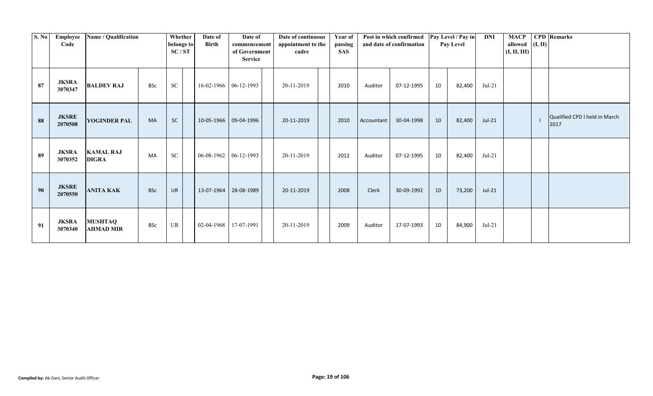| <b>S. No</b> | Employee<br>Code        | Name / Qualification               |            | Whether<br>belongs to<br>SC/ST | Date of<br><b>Birth</b> | Date of<br>commencement<br>of Government<br><b>Service</b> | Date of continuous<br>appointment to the<br>cadre | Year of<br>passing<br><b>SAS</b> |            | Post in which confirmed<br>and date of confirmation |    | Pay Level / Pay in<br>Pay Level | <b>DNI</b> | <b>MACP</b><br>allowed $(I, II)$<br>(I, II, III) | <b>CPD</b> Remarks                    |
|--------------|-------------------------|------------------------------------|------------|--------------------------------|-------------------------|------------------------------------------------------------|---------------------------------------------------|----------------------------------|------------|-----------------------------------------------------|----|---------------------------------|------------|--------------------------------------------------|---------------------------------------|
| 87           | <b>JKSRA</b><br>3070347 | <b>BALDEV RAJ</b>                  | <b>BSc</b> | <b>SC</b>                      |                         | 16-02-1966 06-12-1993                                      | 20-11-2019                                        | 2010                             | Auditor    | 07-12-1995                                          | 10 | 82,400                          | $Jul-21$   |                                                  |                                       |
| 88           | <b>JKSRE</b><br>2070508 | <b>YOGINDER PAL</b>                | <b>MA</b>  | <b>SC</b>                      |                         | 10-05-1966 09-04-1996                                      | 20-11-2019                                        | 2010                             | Accountant | 30-04-1998                                          | 10 | 82,400                          | $Jul-21$   |                                                  | Qualified CPD I held in March<br>2017 |
| 89           | <b>JKSRA</b><br>3070352 | <b>KAMAL RAJ</b><br><b>DIGRA</b>   | MA         | SC                             |                         | $06-08-1962$ 06-12-1993                                    | 20-11-2019                                        | 2012                             | Auditor    | 07-12-1995                                          | 10 | 82,400                          | $Jul-21$   |                                                  |                                       |
| 90           | <b>JKSRE</b><br>2070550 | <b>ANITA KAK</b>                   | <b>BSc</b> | UR                             | 13-07-1964              | 28-08-1989                                                 | 20-11-2019                                        | 2008                             | Clerk      | 30-09-1992                                          | 10 | 73,200                          | $Jul-21$   |                                                  |                                       |
| 91           | <b>JKSRA</b><br>3070340 | <b>MUSHTAQ</b><br><b>AHMAD MIR</b> | <b>BSc</b> | UR                             | 02-04-1968              | 17-07-1991                                                 | 20-11-2019                                        | 2009                             | Auditor    | 17-07-1993                                          | 10 | 84,900                          | $Jul-21$   |                                                  |                                       |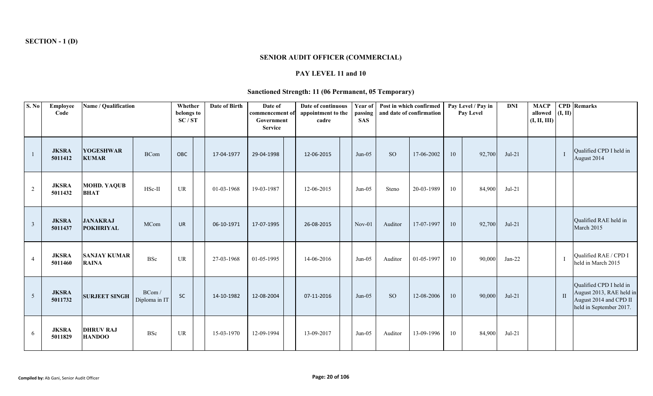# **SENIOR AUDIT OFFICER (COMMERCIAL)**

# **PAY LEVEL 11 and 10**

# **Sanctioned Strength: 11 (06 Permanent, 05 Temporary)**

| S. No          | Employee<br>Code        | Name / Qualification                |                        | Whether<br>belongs to<br>SC/ST | Date of Birth | Date of<br>commencement of<br>Government<br><b>Service</b> | Date of continuous<br>appointment to the<br>cadre | Year of<br>passing<br><b>SAS</b> | Post in which confirmed | and date of confirmation |    | Pay Level / Pay in<br><b>Pay Level</b> | <b>DNI</b> | <b>MACP</b><br>allowed<br>(I, II, III) | (I, II)        | <b>CPD</b> Remarks                                                                                       |
|----------------|-------------------------|-------------------------------------|------------------------|--------------------------------|---------------|------------------------------------------------------------|---------------------------------------------------|----------------------------------|-------------------------|--------------------------|----|----------------------------------------|------------|----------------------------------------|----------------|----------------------------------------------------------------------------------------------------------|
|                | <b>JKSRA</b><br>5011412 | <b>YOGESHWAR</b><br><b>KUMAR</b>    | <b>BCom</b>            | <b>OBC</b>                     | 17-04-1977    | 29-04-1998                                                 | 12-06-2015                                        | $Jun-05$                         | <sub>SO</sub>           | 17-06-2002               | 10 | 92,700                                 | $Jul-21$   |                                        | $\blacksquare$ | Qualified CPD I held in<br>August 2014                                                                   |
| 2              | <b>JKSRA</b><br>5011432 | <b>MOHD. YAQUB</b><br><b>BHAT</b>   | HSc-II                 | UR                             | 01-03-1968    | 19-03-1987                                                 | 12-06-2015                                        | $Jun-05$                         | Steno                   | 20-03-1989               | 10 | 84,900                                 | $Jul-21$   |                                        |                |                                                                                                          |
| $\mathbf{3}$   | <b>JKSRA</b><br>5011437 | <b>JANAKRAJ</b><br><b>POKHRIYAL</b> | MCom                   | <b>UR</b>                      | 06-10-1971    | 17-07-1995                                                 | 26-08-2015                                        | $Nov-01$                         | Auditor                 | 17-07-1997               | 10 | 92,700                                 | $Jul-21$   |                                        |                | Qualified RAE held in<br>March 2015                                                                      |
| $\overline{4}$ | <b>JKSRA</b><br>5011460 | <b>SANJAY KUMAR</b><br><b>RAINA</b> | BSc                    | UR                             | 27-03-1968    | 01-05-1995                                                 | 14-06-2016                                        | $Jun-05$                         | Auditor                 | 01-05-1997               | 10 | 90,000                                 | $Jan-22$   |                                        |                | Qualified RAE / CPD I<br>held in March 2015                                                              |
| 5 <sup>5</sup> | <b>JKSRA</b><br>5011732 | <b>SURJEET SINGH</b>                | BCom/<br>Diploma in IT | <b>SC</b>                      | 14-10-1982    | 12-08-2004                                                 | 07-11-2016                                        | $Jun-05$                         | <b>SO</b>               | 12-08-2006               | 10 | 90,000                                 | $Jul-21$   |                                        | $\;$ II        | Qualified CPD I held in<br>August 2013, RAE held in<br>August 2014 and CPD II<br>held in September 2017. |
| 6              | <b>JKSRA</b><br>5011829 | <b>DHRUV RAJ</b><br><b>HANDOO</b>   | <b>BSc</b>             | <b>UR</b>                      | 15-03-1970    | 12-09-1994                                                 | 13-09-2017                                        | $Jun-05$                         | Auditor                 | 13-09-1996               | 10 | 84,900                                 | $Jul-21$   |                                        |                |                                                                                                          |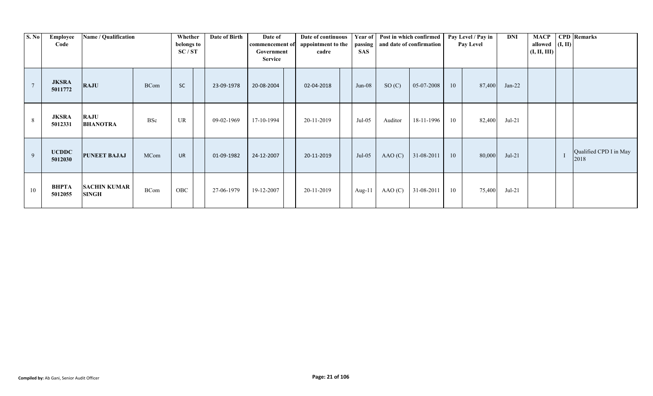| S. No  | Employee<br>Code        | Name / Qualification                |             | Whether<br>belongs to<br>SC/ST | Date of Birth | Date of<br>commencement of<br>Government<br><b>Service</b> | Date of continuous<br>appointment to the<br>cadre | <b>SAS</b> | Year of Post in which confirmed | passing   and date of confirmation |    | Pay Level / Pay in<br>Pay Level | DNI      | <b>MACP</b><br>allowed $($ I, II)<br>(I, II, III) | <b>CPD</b> Remarks             |
|--------|-------------------------|-------------------------------------|-------------|--------------------------------|---------------|------------------------------------------------------------|---------------------------------------------------|------------|---------------------------------|------------------------------------|----|---------------------------------|----------|---------------------------------------------------|--------------------------------|
| $\tau$ | <b>JKSRA</b><br>5011772 | <b>RAJU</b>                         | <b>BCom</b> | <b>SC</b>                      | 23-09-1978    | 20-08-2004                                                 | 02-04-2018                                        | $Jun-08$   | SO(C)                           | 05-07-2008                         | 10 | 87,400                          | $Jan-22$ |                                                   |                                |
| 8      | <b>JKSRA</b><br>5012331 | <b>RAJU</b><br><b>BHANOTRA</b>      | BSc         | UR                             | 09-02-1969    | 17-10-1994                                                 | 20-11-2019                                        | Jul-05     | Auditor                         | 18-11-1996                         | 10 | 82,400                          | $Jul-21$ |                                                   |                                |
| 9      | <b>UCDDC</b><br>5012030 | <b>PUNEET BAJAJ</b>                 | MCom        | <b>UR</b>                      | 01-09-1982    | 24-12-2007                                                 | 20-11-2019                                        | $Jul-05$   | AAO(C)                          | 31-08-2011                         | 10 | 80,000                          | $Jul-21$ |                                                   | Qualified CPD I in May<br>2018 |
| 10     | ВНРТА<br>5012055        | <b>SACHIN KUMAR</b><br><b>SINGH</b> | <b>BCom</b> | OBC                            | 27-06-1979    | 19-12-2007                                                 | 20-11-2019                                        | Aug-11     | AAO(C)                          | 31-08-2011                         | 10 | 75,400                          | $Jul-21$ |                                                   |                                |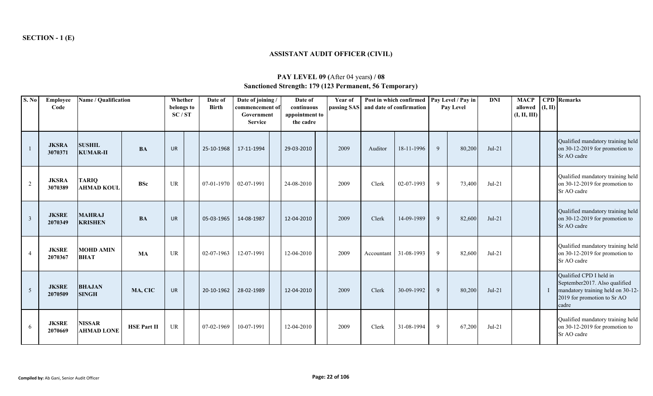# **ASSISTANT AUDIT OFFICER (CIVIL)**

| S. No          | <b>Employee</b><br>Code | Name / Qualification               |                    | Whether<br>belongs to<br>SC/ST | Date of<br><b>Birth</b> | Date of joining /<br>commencement of<br>Government<br><b>Service</b> | Date of<br>continuous<br>appointment to<br>the cadre | Year of<br>passing SAS |            | Post in which confirmed   Pay Level / Pay in<br>and date of confirmation |   | Pay Level | <b>DNI</b> | <b>MACP</b><br>allowed $(I, II)$<br>(I, II, III) | <b>CPD</b> Remarks                                                                                                                    |
|----------------|-------------------------|------------------------------------|--------------------|--------------------------------|-------------------------|----------------------------------------------------------------------|------------------------------------------------------|------------------------|------------|--------------------------------------------------------------------------|---|-----------|------------|--------------------------------------------------|---------------------------------------------------------------------------------------------------------------------------------------|
|                | <b>JKSRA</b><br>3070371 | <b>SUSHIL</b><br><b>KUMAR-II</b>   | <b>BA</b>          | <b>UR</b>                      | 25-10-1968              | 17-11-1994                                                           | 29-03-2010                                           | 2009                   | Auditor    | 18-11-1996                                                               | 9 | 80,200    | $Jul-21$   |                                                  | Qualified mandatory training held<br>on 30-12-2019 for promotion to<br>Sr AO cadre                                                    |
| $\overline{2}$ | <b>JKSRA</b><br>3070389 | <b>TARIQ</b><br><b>AHMAD KOUL</b>  | <b>BSc</b>         | UR                             | 07-01-1970              | 02-07-1991                                                           | 24-08-2010                                           | 2009                   | Clerk      | 02-07-1993                                                               | 9 | 73,400    | $Jul-21$   |                                                  | Qualified mandatory training held<br>on 30-12-2019 for promotion to<br>Sr AO cadre                                                    |
| $\overline{3}$ | <b>JKSRE</b><br>2070349 | <b>MAHRAJ</b><br><b>KRISHEN</b>    | <b>BA</b>          | <b>UR</b>                      | 05-03-1965              | 14-08-1987                                                           | 12-04-2010                                           | 2009                   | Clerk      | 14-09-1989                                                               | 9 | 82,600    | $Jul-21$   |                                                  | Qualified mandatory training held<br>on 30-12-2019 for promotion to<br>Sr AO cadre                                                    |
|                | <b>JKSRE</b><br>2070367 | <b>MOHD AMIN</b><br><b>BHAT</b>    | MA                 | UR                             | 02-07-1963              | 12-07-1991                                                           | 12-04-2010                                           | 2009                   | Accountant | 31-08-1993                                                               | 9 | 82,600    | $Jul-21$   |                                                  | Qualified mandatory training held<br>on 30-12-2019 for promotion to<br>Sr AO cadre                                                    |
| 5              | <b>JKSRE</b><br>2070509 | <b>BHAJAN</b><br><b>SINGH</b>      | MA, CIC            | <b>UR</b>                      | 20-10-1962              | 28-02-1989                                                           | 12-04-2010                                           | 2009                   | Clerk      | 30-09-1992                                                               | 9 | 80,200    | $Jul-21$   |                                                  | Qualified CPD I held in<br>September2017. Also qualified<br>mandatory training held on 30-12-<br>2019 for promotion to Sr AO<br>cadre |
| 6              | <b>JKSRE</b><br>2070669 | <b>NISSAR</b><br><b>AHMAD LONE</b> | <b>HSE Part II</b> | UR                             | 07-02-1969              | 10-07-1991                                                           | 12-04-2010                                           | 2009                   | Clerk      | 31-08-1994                                                               | 9 | 67,200    | $Jul-21$   |                                                  | Qualified mandatory training held<br>on 30-12-2019 for promotion to<br>Sr AO cadre                                                    |

# **PAY LEVEL 09 (**After 04 years**) / 08 Sanctioned Strength: 179 (123 Permanent, 56 Temporary)**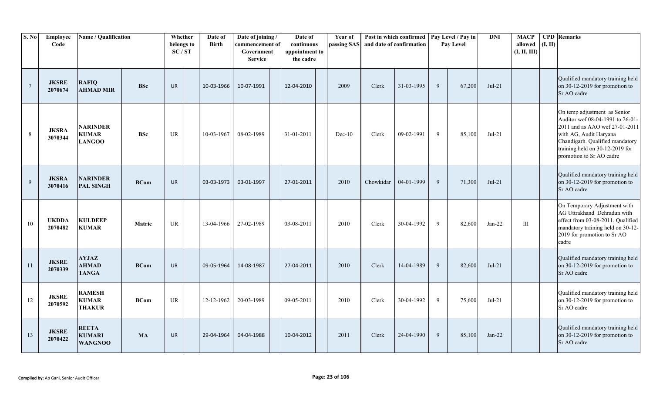| S. No          | Employee<br>Code        | Name / Qualification                             |             | Whether<br>belongs to<br>SC/ST | Date of<br><b>Birth</b> | Date of joining/<br>commencement of<br>Government<br><b>Service</b> | Date of<br>continuous<br>appointment to<br>the cadre | Year of<br>passing SAS |           | Post in which confirmed<br>and date of confirmation |   | Pay Level / Pay in<br>Pay Level | $\mathbf{DNI}$ | <b>MACP</b><br>allowed<br>(I, II, III) | (I, II) | <b>CPD</b> Remarks                                                                                                                                                                                                             |
|----------------|-------------------------|--------------------------------------------------|-------------|--------------------------------|-------------------------|---------------------------------------------------------------------|------------------------------------------------------|------------------------|-----------|-----------------------------------------------------|---|---------------------------------|----------------|----------------------------------------|---------|--------------------------------------------------------------------------------------------------------------------------------------------------------------------------------------------------------------------------------|
| $\overline{7}$ | <b>JKSRE</b><br>2070674 | <b>RAFIQ</b><br><b>AHMAD MIR</b>                 | <b>BSc</b>  | <b>UR</b>                      | 10-03-1966              | 10-07-1991                                                          | 12-04-2010                                           | 2009                   | Clerk     | 31-03-1995                                          | 9 | 67,200                          | $Jul-21$       |                                        |         | Qualified mandatory training held<br>on 30-12-2019 for promotion to<br>Sr AO cadre                                                                                                                                             |
| 8              | <b>JKSRA</b><br>3070344 | <b>NARINDER</b><br><b>KUMAR</b><br><b>LANGOO</b> | <b>BSc</b>  | UR                             | 10-03-1967              | 08-02-1989                                                          | 31-01-2011                                           | $Dec-10$               | Clerk     | 09-02-1991                                          | 9 | 85,100                          | $Jul-21$       |                                        |         | On temp adjustment as Senior<br>Auditor wef 08-04-1991 to 26-01-<br>2011 and as AAO wef 27-01-2011<br>with AG, Audit Haryana<br>Chandigarh. Qualified mandatory<br>training held on 30-12-2019 for<br>promotion to Sr AO cadre |
| 9              | <b>JKSRA</b><br>3070416 | <b>NARINDER</b><br><b>PAL SINGH</b>              | <b>BCom</b> | <b>UR</b>                      | 03-03-1973              | 03-01-1997                                                          | 27-01-2011                                           | 2010                   | Chowkidar | 04-01-1999                                          | 9 | 71,300                          | $Jul-21$       |                                        |         | Qualified mandatory training held<br>on 30-12-2019 for promotion to<br>Sr AO cadre                                                                                                                                             |
| 10             | <b>UKDDA</b><br>2070482 | <b>KULDEEP</b><br><b>KUMAR</b>                   | Matric      | UR                             | 13-04-1966              | 27-02-1989                                                          | 03-08-2011                                           | 2010                   | Clerk     | 30-04-1992                                          | 9 | 82,600                          | Jan-22         | III                                    |         | On Temporary Adjustment with<br>AG Uttrakhand Dehradun with<br>effect from 03-08-2011. Qualified<br>mandatory training held on 30-12-<br>2019 for promotion to Sr AO<br>cadre                                                  |
| 11             | <b>JKSRE</b><br>2070339 | <b>AYJAZ</b><br><b>AHMAD</b><br><b>TANGA</b>     | <b>BCom</b> | <b>UR</b>                      | 09-05-1964              | 14-08-1987                                                          | 27-04-2011                                           | 2010                   | Clerk     | 14-04-1989                                          | 9 | 82,600                          | $Jul-21$       |                                        |         | Qualified mandatory training held<br>on 30-12-2019 for promotion to<br>Sr AO cadre                                                                                                                                             |
| 12             | <b>JKSRE</b><br>2070592 | <b>RAMESH</b><br><b>KUMAR</b><br><b>THAKUR</b>   | <b>BCom</b> | UR                             | 12-12-1962              | 20-03-1989                                                          | 09-05-2011                                           | 2010                   | Clerk     | 30-04-1992                                          | 9 | 75,600                          | $Jul-21$       |                                        |         | Qualified mandatory training held<br>on 30-12-2019 for promotion to<br>Sr AO cadre                                                                                                                                             |
| 13             | <b>JKSRE</b><br>2070422 | <b>REETA</b><br><b>KUMARI</b><br><b>WANGNOO</b>  | <b>MA</b>   | <b>UR</b>                      | 29-04-1964              | 04-04-1988                                                          | 10-04-2012                                           | 2011                   | Clerk     | 24-04-1990                                          | 9 | 85,100                          | $Jan-22$       |                                        |         | Qualified mandatory training held<br>on 30-12-2019 for promotion to<br>Sr AO cadre                                                                                                                                             |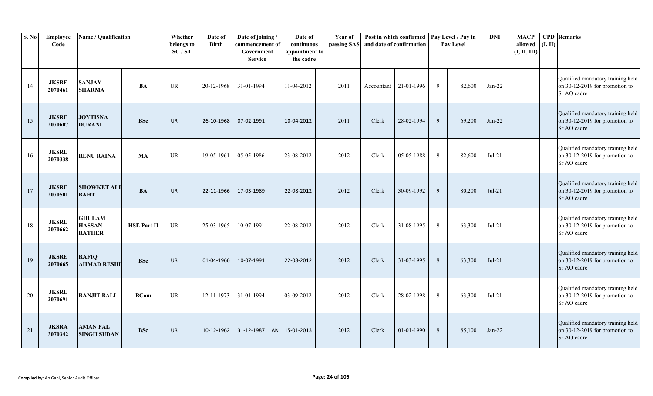| S. No | Employee<br>Code        | Name / Qualification                            |                    | Whether<br>belongs to<br>SC/ST | Date of<br><b>Birth</b> | Date of joining /<br>commencement of<br>Government<br><b>Service</b> | Date of<br>continuous<br>appointment to<br>the cadre | Year of<br>passing SAS and date of confirmation |            | Post in which confirmed   Pay Level / Pay in |   | Pay Level | <b>DNI</b> | <b>MACP</b><br>allowed<br>(I, II, III) | (I, II) | <b>CPD</b> Remarks                                                                 |
|-------|-------------------------|-------------------------------------------------|--------------------|--------------------------------|-------------------------|----------------------------------------------------------------------|------------------------------------------------------|-------------------------------------------------|------------|----------------------------------------------|---|-----------|------------|----------------------------------------|---------|------------------------------------------------------------------------------------|
| 14    | <b>JKSRE</b><br>2070461 | <b>SANJAY</b><br><b>SHARMA</b>                  | BA                 | <b>UR</b>                      | 20-12-1968              | 31-01-1994                                                           | 11-04-2012                                           | 2011                                            | Accountant | 21-01-1996                                   | 9 | 82,600    | $Jan-22$   |                                        |         | Qualified mandatory training held<br>on 30-12-2019 for promotion to<br>Sr AO cadre |
| 15    | <b>JKSRE</b><br>2070607 | <b>JOYTISNA</b><br><b>DURANI</b>                | <b>BSc</b>         | <b>UR</b>                      | 26-10-1968              | 07-02-1991                                                           | 10-04-2012                                           | 2011                                            | Clerk      | 28-02-1994                                   | 9 | 69,200    | $Jan-22$   |                                        |         | Qualified mandatory training held<br>on 30-12-2019 for promotion to<br>Sr AO cadre |
| 16    | <b>JKSRE</b><br>2070338 | <b>RENU RAINA</b>                               | MA                 | UR                             | 19-05-1961              | 05-05-1986                                                           | 23-08-2012                                           | 2012                                            | Clerk      | 05-05-1988                                   | 9 | 82,600    | $Jul-21$   |                                        |         | Qualified mandatory training held<br>on 30-12-2019 for promotion to<br>Sr AO cadre |
| 17    | <b>JKSRE</b><br>2070501 | <b>SHOWKET ALI</b><br><b>BAHT</b>               | <b>BA</b>          | <b>UR</b>                      | 22-11-1966              | 17-03-1989                                                           | 22-08-2012                                           | 2012                                            | Clerk      | 30-09-1992                                   | 9 | 80,200    | $Jul-21$   |                                        |         | Qualified mandatory training held<br>on 30-12-2019 for promotion to<br>Sr AO cadre |
| 18    | <b>JKSRE</b><br>2070662 | <b>GHULAM</b><br><b>HASSAN</b><br><b>RATHER</b> | <b>HSE Part II</b> | UR                             | 25-03-1965              | 10-07-1991                                                           | 22-08-2012                                           | 2012                                            | Clerk      | 31-08-1995                                   | 9 | 63,300    | $Jul-21$   |                                        |         | Qualified mandatory training held<br>on 30-12-2019 for promotion to<br>Sr AO cadre |
| 19    | <b>JKSRE</b><br>2070665 | <b>RAFIQ</b><br><b>AHMAD RESHI</b>              | <b>BSc</b>         | <b>UR</b>                      | 01-04-1966              | 10-07-1991                                                           | 22-08-2012                                           | 2012                                            | Clerk      | 31-03-1995                                   | 9 | 63,300    | $Jul-21$   |                                        |         | Qualified mandatory training held<br>on 30-12-2019 for promotion to<br>Sr AO cadre |
| 20    | <b>JKSRE</b><br>2070691 | <b>RANJIT BALI</b>                              | <b>BCom</b>        | UR                             | 12-11-1973              | 31-01-1994                                                           | 03-09-2012                                           | 2012                                            | Clerk      | 28-02-1998                                   | 9 | 63,300    | $Jul-21$   |                                        |         | Qualified mandatory training held<br>on 30-12-2019 for promotion to<br>Sr AO cadre |
| 21    | <b>JKSRA</b><br>3070342 | <b>AMAN PAL</b><br><b>SINGH SUDAN</b>           | <b>BSc</b>         | <b>UR</b>                      | 10-12-1962              | 31-12-1987                                                           | AN 15-01-2013                                        | 2012                                            | Clerk      | $01 - 01 - 1990$                             | 9 | 85,100    | $Jan-22$   |                                        |         | Qualified mandatory training held<br>on 30-12-2019 for promotion to<br>Sr AO cadre |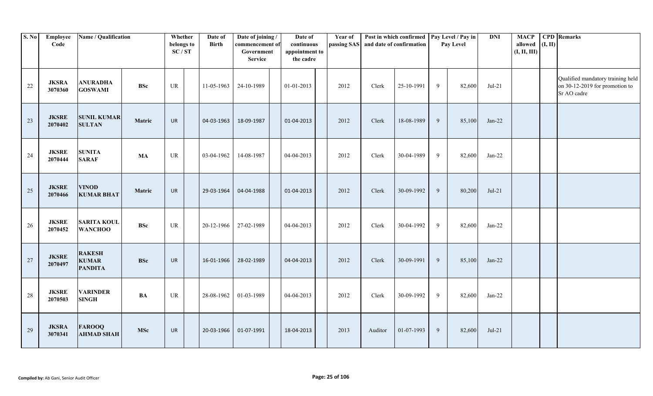| S. No | Employee<br>Code        | Name / Qualification                            |            | Whether<br>belongs to<br>SC/ST | Date of<br><b>Birth</b> | Date of joining /<br>commencement of<br>Government<br><b>Service</b> | Date of<br>continuous<br>appointment to<br>the cadre | Year of<br>passing SAS and date of confirmation |         | Post in which confirmed   Pay Level / Pay in |   | Pay Level | <b>DNI</b> | <b>MACP</b><br>allowed<br>(I, II, III) | (I, II) | <b>CPD</b> Remarks                                                                 |
|-------|-------------------------|-------------------------------------------------|------------|--------------------------------|-------------------------|----------------------------------------------------------------------|------------------------------------------------------|-------------------------------------------------|---------|----------------------------------------------|---|-----------|------------|----------------------------------------|---------|------------------------------------------------------------------------------------|
| 22    | <b>JKSRA</b><br>3070360 | <b>ANURADHA</b><br><b>GOSWAMI</b>               | <b>BSc</b> | UR                             | 11-05-1963              | 24-10-1989                                                           | 01-01-2013                                           | 2012                                            | Clerk   | 25-10-1991                                   | 9 | 82,600    | $Jul-21$   |                                        |         | Qualified mandatory training held<br>on 30-12-2019 for promotion to<br>Sr AO cadre |
| 23    | <b>JKSRE</b><br>2070402 | <b>SUNIL KUMAR</b><br><b>SULTAN</b>             | Matric     | <b>UR</b>                      | 04-03-1963              | 18-09-1987                                                           | 01-04-2013                                           | 2012                                            | Clerk   | 18-08-1989                                   | 9 | 85,100    | $Jan-22$   |                                        |         |                                                                                    |
| 24    | <b>JKSRE</b><br>2070444 | <b>SUNITA</b><br><b>SARAF</b>                   | MA         | UR                             | 03-04-1962              | 14-08-1987                                                           | 04-04-2013                                           | 2012                                            | Clerk   | 30-04-1989                                   | 9 | 82,600    | $Jan-22$   |                                        |         |                                                                                    |
| 25    | <b>JKSRE</b><br>2070466 | <b>VINOD</b><br><b>KUMAR BHAT</b>               | Matric     | <b>UR</b>                      | 29-03-1964              | 04-04-1988                                                           | 01-04-2013                                           | 2012                                            | Clerk   | 30-09-1992                                   | 9 | 80,200    | $Jul-21$   |                                        |         |                                                                                    |
| 26    | <b>JKSRE</b><br>2070452 | <b>SARITA KOUL</b><br><b>WANCHOO</b>            | <b>BSc</b> | UR                             | 20-12-1966              | 27-02-1989                                                           | 04-04-2013                                           | 2012                                            | Clerk   | 30-04-1992                                   | 9 | 82,600    | $Jan-22$   |                                        |         |                                                                                    |
| 27    | <b>JKSRE</b><br>2070497 | <b>RAKESH</b><br><b>KUMAR</b><br><b>PANDITA</b> | <b>BSc</b> | UR                             | 16-01-1966              | 28-02-1989                                                           | 04-04-2013                                           | 2012                                            | Clerk   | 30-09-1991                                   | 9 | 85,100    | $Jan-22$   |                                        |         |                                                                                    |
| 28    | <b>JKSRE</b><br>2070503 | <b>VARINDER</b><br><b>SINGH</b>                 | BA         | UR                             | 28-08-1962              | 01-03-1989                                                           | 04-04-2013                                           | 2012                                            | Clerk   | 30-09-1992                                   | 9 | 82,600    | $Jan-22$   |                                        |         |                                                                                    |
| 29    | <b>JKSRA</b><br>3070341 | <b>FAROOQ</b><br><b>AHMAD SHAH</b>              | <b>MSc</b> | <b>UR</b>                      | 20-03-1966              | 01-07-1991                                                           | 18-04-2013                                           | 2013                                            | Auditor | 01-07-1993                                   | 9 | 82,600    | $Jul-21$   |                                        |         |                                                                                    |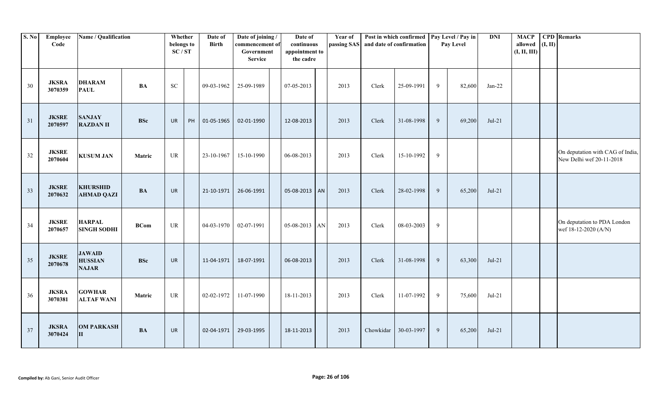| S. No | Employee<br>Code        | Name / Qualification                            |             | Whether<br>belongs to<br>SC/ST |    | Date of<br><b>Birth</b> | Date of joining /<br>commencement of<br>Government<br><b>Service</b> | Date of<br>continuous<br>appointment to<br>the cadre | Year of<br>passing SAS |           | Post in which confirmed   Pay Level / Pay in<br>and date of confirmation |                | Pay Level | <b>DNI</b> | <b>MACP</b><br>allowed<br>(I, II, III) | (I, II) | <b>CPD</b> Remarks                                           |
|-------|-------------------------|-------------------------------------------------|-------------|--------------------------------|----|-------------------------|----------------------------------------------------------------------|------------------------------------------------------|------------------------|-----------|--------------------------------------------------------------------------|----------------|-----------|------------|----------------------------------------|---------|--------------------------------------------------------------|
| 30    | <b>JKSRA</b><br>3070359 | <b>DHARAM</b><br><b>PAUL</b>                    | <b>BA</b>   | $\rm SC$                       |    | 09-03-1962              | 25-09-1989                                                           | 07-05-2013                                           | 2013                   | Clerk     | 25-09-1991                                                               | 9              | 82,600    | $Jan-22$   |                                        |         |                                                              |
| 31    | <b>JKSRE</b><br>2070597 | <b>SANJAY</b><br><b>RAZDAN II</b>               | <b>BSc</b>  | UR                             | PH | 01-05-1965              | 02-01-1990                                                           | 12-08-2013                                           | 2013                   | Clerk     | 31-08-1998                                                               | 9              | 69,200    | $Jul-21$   |                                        |         |                                                              |
| 32    | <b>JKSRE</b><br>2070604 | <b>KUSUM JAN</b>                                | Matric      | UR                             |    | 23-10-1967              | 15-10-1990                                                           | 06-08-2013                                           | 2013                   | Clerk     | 15-10-1992                                                               | 9              |           |            |                                        |         | On deputation with CAG of India,<br>New Delhi wef 20-11-2018 |
| 33    | <b>JKSRE</b><br>2070632 | <b>KHURSHID</b><br><b>AHMAD QAZI</b>            | <b>BA</b>   | UR                             |    | 21-10-1971              | 26-06-1991                                                           | 05-08-2013 AN                                        | 2013                   | Clerk     | 28-02-1998                                                               | 9              | 65,200    | $Jul-21$   |                                        |         |                                                              |
| 34    | <b>JKSRE</b><br>2070657 | <b>HARPAL</b><br><b>SINGH SODHI</b>             | <b>BCom</b> | UR                             |    | 04-03-1970              | 02-07-1991                                                           | 05-08-2013 AN                                        | 2013                   | Clerk     | 08-03-2003                                                               | 9              |           |            |                                        |         | On deputation to PDA London<br>wef 18-12-2020 (A/N)          |
| 35    | <b>JKSRE</b><br>2070678 | <b>JAWAID</b><br><b>HUSSIAN</b><br><b>NAJAR</b> | <b>BSc</b>  | UR                             |    | 11-04-1971              | 18-07-1991                                                           | 06-08-2013                                           | 2013                   | Clerk     | 31-08-1998                                                               | 9              | 63,300    | $Jul-21$   |                                        |         |                                                              |
| 36    | <b>JKSRA</b><br>3070381 | <b>GOWHAR</b><br><b>ALTAF WANI</b>              | Matric      | UR                             |    | 02-02-1972              | 11-07-1990                                                           | 18-11-2013                                           | 2013                   | Clerk     | 11-07-1992                                                               | 9              | 75,600    | $Jul-21$   |                                        |         |                                                              |
| 37    | <b>JKSRA</b><br>3070424 | <b>OM PARKASH</b><br>$\mathbf{I}$               | <b>BA</b>   | <b>UR</b>                      |    | 02-04-1971              | 29-03-1995                                                           | 18-11-2013                                           | 2013                   | Chowkidar | 30-03-1997                                                               | $\overline{9}$ | 65,200    | $Jul-21$   |                                        |         |                                                              |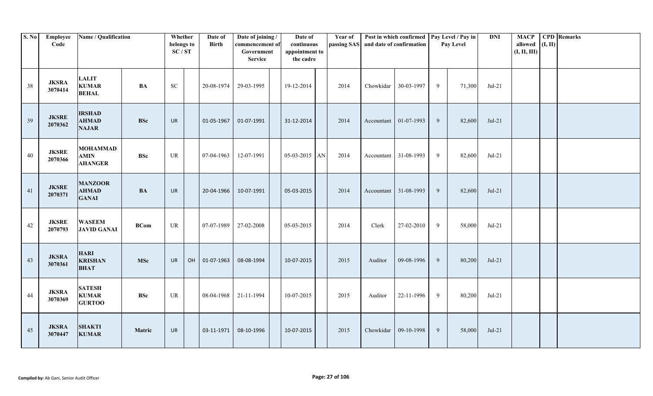| S. No | Employee<br>Code        | Name / Qualification                             |               | Whether<br>belongs to<br>SC/ST | Date of<br><b>Birth</b> | Date of joining /<br>commencement of<br>Government<br><b>Service</b> | Date of<br>continuous<br>appointment to<br>the cadre |                        | Year of | passing SAS and date of confirmation | Post in which confirmed   Pay Level / Pay in |   | Pay Level | <b>DNI</b> | <b>MACP</b><br>allowed<br>(I, II, III) | (I, II) | <b>CPD</b> Remarks |
|-------|-------------------------|--------------------------------------------------|---------------|--------------------------------|-------------------------|----------------------------------------------------------------------|------------------------------------------------------|------------------------|---------|--------------------------------------|----------------------------------------------|---|-----------|------------|----------------------------------------|---------|--------------------|
| 38    | <b>JKSRA</b><br>3070414 | <b>LALIT</b><br><b>KUMAR</b><br><b>BEHAL</b>     | <b>BA</b>     | ${\rm SC}$                     | 20-08-1974              | 29-03-1995                                                           | 19-12-2014                                           |                        | 2014    | Chowkidar                            | 30-03-1997                                   | 9 | 71,300    | $Jul-21$   |                                        |         |                    |
| 39    | <b>JKSRE</b><br>2070362 | <b>IRSHAD</b><br><b>AHMAD</b><br><b>NAJAR</b>    | <b>BSc</b>    | <b>UR</b>                      | 01-05-1967              | 01-07-1991                                                           | 31-12-2014                                           |                        | 2014    |                                      | Accountant $\vert$ 01-07-1993                | 9 | 82,600    | $Jul-21$   |                                        |         |                    |
| 40    | <b>JKSRE</b><br>2070366 | <b>MOHAMMAD</b><br><b>AMIN</b><br><b>AHANGER</b> | <b>BSc</b>    | UR                             | 07-04-1963              | 12-07-1991                                                           | $05-03-2015$                                         | $\mathbf{A}\mathbf{N}$ | 2014    | Accountant                           | 31-08-1993                                   | 9 | 82,600    | $Jul-21$   |                                        |         |                    |
| 41    | <b>JKSRE</b><br>2070371 | <b>MANZOOR</b><br><b>AHMAD</b><br><b>GANAI</b>   | $\mathbf{BA}$ | <b>UR</b>                      | 20-04-1966              | 10-07-1991                                                           | 05-03-2015                                           |                        | 2014    |                                      | Accountant 31-08-1993                        | 9 | 82,600    | $Jul-21$   |                                        |         |                    |
| 42    | <b>JKSRE</b><br>2070793 | <b>WASEEM</b><br><b>JAVID GANAI</b>              | <b>BCom</b>   | UR                             | 07-07-1989              | 27-02-2008                                                           | 05-03-2015                                           |                        | 2014    | Clerk                                | 27-02-2010                                   | 9 | 58,000    | $Jul-21$   |                                        |         |                    |
| 43    | <b>JKSRA</b><br>3070361 | <b>HARI</b><br><b>KRISHAN</b><br><b>BHAT</b>     | <b>MSc</b>    | <b>UR</b>                      | OH 01-07-1963           | 08-08-1994                                                           | 10-07-2015                                           |                        | 2015    | Auditor                              | 09-08-1996                                   | 9 | 80,200    | $Jul-21$   |                                        |         |                    |
| 44    | <b>JKSRA</b><br>3070369 | <b>SATESH</b><br><b>KUMAR</b><br><b>GURTOO</b>   | <b>BSc</b>    | UR                             | 08-04-1968              | 21-11-1994                                                           | 10-07-2015                                           |                        | 2015    | Auditor                              | 22-11-1996                                   | 9 | 80,200    | $Jul-21$   |                                        |         |                    |
| 45    | <b>JKSRA</b><br>3070447 | <b>SHAKTI</b><br><b>KUMAR</b>                    | Matric        | <b>UR</b>                      | 03-11-1971              | 08-10-1996                                                           | 10-07-2015                                           |                        | 2015    | Chowkidar                            | 09-10-1998                                   | 9 | 58,000    | $Jul-21$   |                                        |         |                    |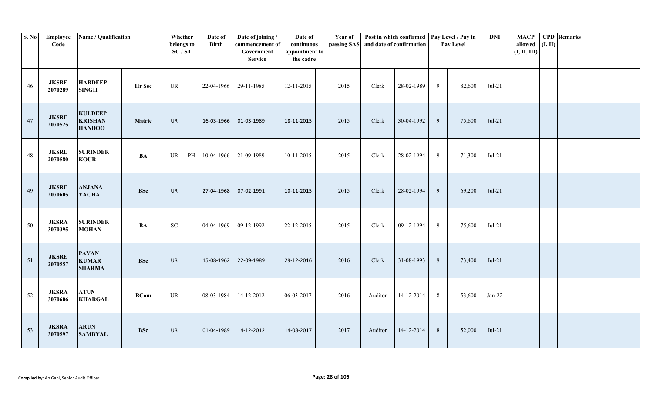| S. No | <b>Employee</b><br>Code | Name / Qualification                              |               | Whether<br>belongs to<br>SC/ST  |    | Date of<br><b>Birth</b> | Date of joining /<br>commencement of<br>Government<br><b>Service</b> | Date of<br>continuous<br>appointment to<br>the cadre | Year of | passing SAS and date of confirmation | Post in which confirmed   Pay Level / Pay in |                 | Pay Level | <b>DNI</b> | <b>MACP</b><br>allowed<br>(I, II, III) | (I, II) | <b>CPD</b> Remarks |
|-------|-------------------------|---------------------------------------------------|---------------|---------------------------------|----|-------------------------|----------------------------------------------------------------------|------------------------------------------------------|---------|--------------------------------------|----------------------------------------------|-----------------|-----------|------------|----------------------------------------|---------|--------------------|
| 46    | <b>JKSRE</b><br>2070289 | <b>HARDEEP</b><br><b>SINGH</b>                    | Hr Sec        | $\ensuremath{\text{UR}}\xspace$ |    | 22-04-1966              | 29-11-1985                                                           | 12-11-2015                                           | 2015    | Clerk                                | 28-02-1989                                   | 9               | 82,600    | $Jul-21$   |                                        |         |                    |
| 47    | <b>JKSRE</b><br>2070525 | <b>KULDEEP</b><br><b>KRISHAN</b><br><b>HANDOO</b> | Matric        | UR                              |    | 16-03-1966              | 01-03-1989                                                           | 18-11-2015                                           | 2015    | Clerk                                | 30-04-1992                                   | 9               | 75,600    | $Jul-21$   |                                        |         |                    |
| 48    | <b>JKSRE</b><br>2070580 | <b>SURINDER</b><br><b>KOUR</b>                    | <b>BA</b>     | UR                              | PH | 10-04-1966              | 21-09-1989                                                           | 10-11-2015                                           | 2015    | Clerk                                | 28-02-1994                                   | 9               | 71,300    | $Jul-21$   |                                        |         |                    |
| 49    | <b>JKSRE</b><br>2070605 | <b>ANJANA</b><br><b>YACHA</b>                     | <b>BSc</b>    | UR                              |    | 27-04-1968              | 07-02-1991                                                           | 10-11-2015                                           | 2015    | Clerk                                | 28-02-1994                                   | 9               | 69,200    | $Jul-21$   |                                        |         |                    |
| 50    | <b>JKSRA</b><br>3070395 | <b>SURINDER</b><br><b>MOHAN</b>                   | $\mathbf{BA}$ | ${\rm SC}$                      |    | 04-04-1969              | 09-12-1992                                                           | 22-12-2015                                           | 2015    | Clerk                                | 09-12-1994                                   | 9               | 75,600    | $Jul-21$   |                                        |         |                    |
| 51    | <b>JKSRE</b><br>2070557 | <b>PAVAN</b><br><b>KUMAR</b><br><b>SHARMA</b>     | <b>BSc</b>    | UR                              |    | 15-08-1962              | 22-09-1989                                                           | 29-12-2016                                           | 2016    | Clerk                                | 31-08-1993                                   | 9               | 73,400    | $Jul-21$   |                                        |         |                    |
| 52    | <b>JKSRA</b><br>3070606 | <b>ATUN</b><br><b>KHARGAL</b>                     | <b>BCom</b>   | $\ensuremath{\text{UR}}\xspace$ |    | 08-03-1984              | 14-12-2012                                                           | 06-03-2017                                           | 2016    | Auditor                              | 14-12-2014                                   | $8\phantom{.0}$ | 53,600    | $Jan-22$   |                                        |         |                    |
| 53    | <b>JKSRA</b><br>3070597 | <b>ARUN</b><br><b>SAMBYAL</b>                     | <b>BSc</b>    | <b>UR</b>                       |    | 01-04-1989              | 14-12-2012                                                           | 14-08-2017                                           | 2017    | Auditor                              | 14-12-2014                                   | 8               | 52,000    | $Jul-21$   |                                        |         |                    |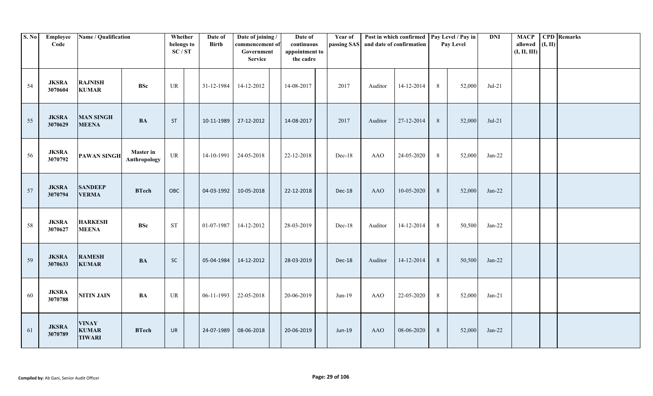| S. No | <b>Employee</b><br>Code | Name / Qualification                          |                                  | Whether<br>belongs to<br>SC/ST  | Date of<br><b>Birth</b> | Date of joining /<br>commencement of<br>Government<br><b>Service</b> | Date of<br>continuous<br>appointment to<br>the cadre | Year of       |            | Post in which confirmed   Pay Level / Pay in<br>passing SAS and date of confirmation |                 | Pay Level | <b>DNI</b> | <b>MACP</b><br>allowed<br>(I, II, III) | (I, II) | <b>CPD</b> Remarks |
|-------|-------------------------|-----------------------------------------------|----------------------------------|---------------------------------|-------------------------|----------------------------------------------------------------------|------------------------------------------------------|---------------|------------|--------------------------------------------------------------------------------------|-----------------|-----------|------------|----------------------------------------|---------|--------------------|
| 54    | <b>JKSRA</b><br>3070604 | <b>RAJNISH</b><br><b>KUMAR</b>                | <b>BSc</b>                       | $\ensuremath{\text{UR}}\xspace$ | 31-12-1984              | 14-12-2012                                                           | 14-08-2017                                           | 2017          | Auditor    | 14-12-2014                                                                           | 8               | 52,000    | $Jul-21$   |                                        |         |                    |
| 55    | <b>JKSRA</b><br>3070629 | <b>MAN SINGH</b><br><b>MEENA</b>              | <b>BA</b>                        | <b>ST</b>                       | 10-11-1989              | 27-12-2012                                                           | 14-08-2017                                           | 2017          | Auditor    | 27-12-2014                                                                           | 8               | 52,000    | $Jul-21$   |                                        |         |                    |
| 56    | <b>JKSRA</b><br>3070792 | <b>PAWAN SINGH</b>                            | <b>Master</b> in<br>Anthropology | UR                              | 14-10-1991              | 24-05-2018                                                           | 22-12-2018                                           | Dec-18        | <b>AAO</b> | 24-05-2020                                                                           | 8               | 52,000    | $Jan-22$   |                                        |         |                    |
| 57    | <b>JKSRA</b><br>3070794 | <b>SANDEEP</b><br><b>VERMA</b>                | <b>BTech</b>                     | OBC                             | 04-03-1992              | 10-05-2018                                                           | 22-12-2018                                           | Dec-18        | AAO        | 10-05-2020                                                                           | 8               | 52,000    | $Jan-22$   |                                        |         |                    |
| 58    | <b>JKSRA</b><br>3070627 | <b>HARKESH</b><br><b>MEENA</b>                | <b>BSc</b>                       | <b>ST</b>                       | 01-07-1987              | 14-12-2012                                                           | 28-03-2019                                           | Dec-18        | Auditor    | 14-12-2014                                                                           | 8               | 50,500    | $Jan-22$   |                                        |         |                    |
| 59    | <b>JKSRA</b><br>3070633 | <b>RAMESH</b><br><b>KUMAR</b>                 | <b>BA</b>                        | SC                              | 05-04-1984              | 14-12-2012                                                           | 28-03-2019                                           | Dec-18        | Auditor    | 14-12-2014                                                                           | $8\phantom{.}8$ | 50,500    | $Jan-22$   |                                        |         |                    |
| 60    | <b>JKSRA</b><br>3070788 | <b>NITIN JAIN</b>                             | <b>BA</b>                        | $\ensuremath{\text{UR}}\xspace$ | 06-11-1993              | 22-05-2018                                                           | 20-06-2019                                           | $Jun-19$      | <b>AAO</b> | 22-05-2020                                                                           | 8               | 52,000    | $Jan-21$   |                                        |         |                    |
| 61    | <b>JKSRA</b><br>3070789 | <b>VINAY</b><br><b>KUMAR</b><br><b>TIWARI</b> | <b>BTech</b>                     | UR                              | 24-07-1989              | 08-06-2018                                                           | 20-06-2019                                           | <b>Jun-19</b> | <b>AAO</b> | 08-06-2020                                                                           | $8\phantom{.}8$ | 52,000    | $Jan-22$   |                                        |         |                    |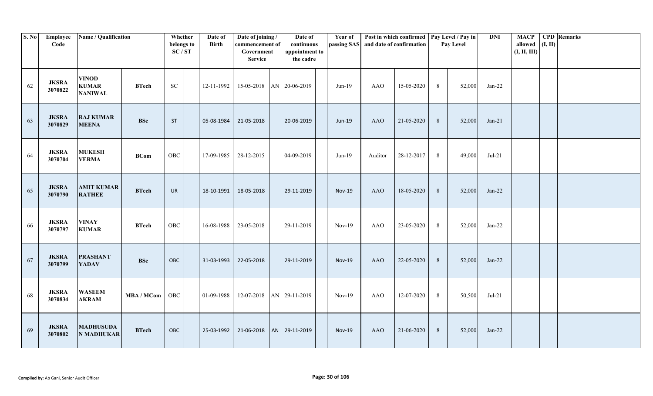| S. No | <b>Employee</b><br>Code | Name / Qualification                           |                   | Whether<br>belongs to<br>SC/ST | Date of<br>Birth | Date of joining /<br>commencement of<br>Government<br><b>Service</b> | Date of<br>continuous<br>appointment to<br>the cadre | Year of       |            | Post in which confirmed   Pay Level / Pay in<br>passing SAS and date of confirmation |                 | Pay Level | <b>DNI</b> | <b>MACP</b><br>allowed<br>(I, II, III) | (I, II) | <b>CPD</b> Remarks |
|-------|-------------------------|------------------------------------------------|-------------------|--------------------------------|------------------|----------------------------------------------------------------------|------------------------------------------------------|---------------|------------|--------------------------------------------------------------------------------------|-----------------|-----------|------------|----------------------------------------|---------|--------------------|
| 62    | <b>JKSRA</b><br>3070822 | <b>VINOD</b><br><b>KUMAR</b><br><b>NANIWAL</b> | <b>BTech</b>      | <b>SC</b>                      | 12-11-1992       | 15-05-2018 AN 20-06-2019                                             |                                                      | $Jun-19$      | AAO        | 15-05-2020                                                                           | 8               | 52,000    | $Jan-22$   |                                        |         |                    |
| 63    | <b>JKSRA</b><br>3070829 | <b>RAJ KUMAR</b><br><b>MEENA</b>               | <b>BSc</b>        | <b>ST</b>                      | 05-08-1984       | 21-05-2018                                                           | 20-06-2019                                           | Jun-19        | <b>AAO</b> | 21-05-2020                                                                           | 8               | 52,000    | $Jan-21$   |                                        |         |                    |
| 64    | <b>JKSRA</b><br>3070704 | <b>MUKESH</b><br><b>VERMA</b>                  | <b>BCom</b>       | ${\rm OBC}$                    | 17-09-1985       | 28-12-2015                                                           | 04-09-2019                                           | $Jun-19$      | Auditor    | 28-12-2017                                                                           | 8               | 49,000    | $Jul-21$   |                                        |         |                    |
| 65    | <b>JKSRA</b><br>3070790 | <b>AMIT KUMAR</b><br><b>RATHEE</b>             | <b>BTech</b>      | <b>UR</b>                      | 18-10-1991       | 18-05-2018                                                           | 29-11-2019                                           | <b>Nov-19</b> | <b>AAO</b> | 18-05-2020                                                                           | 8               | 52,000    | $Jan-22$   |                                        |         |                    |
| 66    | <b>JKSRA</b><br>3070797 | <b>VINAY</b><br><b>KUMAR</b>                   | <b>BTech</b>      | ${\rm OBC}$                    |                  | 16-08-1988 23-05-2018                                                | 29-11-2019                                           | $Nov-19$      | <b>AAO</b> | 23-05-2020                                                                           | 8               | 52,000    | $Jan-22$   |                                        |         |                    |
| 67    | <b>JKSRA</b><br>3070799 | <b>PRASHANT</b><br><b>YADAV</b>                | <b>BSc</b>        | OBC                            | 31-03-1993       | 22-05-2018                                                           | 29-11-2019                                           | <b>Nov-19</b> | <b>AAO</b> | 22-05-2020                                                                           | $8\phantom{.}8$ | 52,000    | $Jan-22$   |                                        |         |                    |
| 68    | <b>JKSRA</b><br>3070834 | <b>WASEEM</b><br><b>AKRAM</b>                  | <b>MBA / MCom</b> | OBC                            | 01-09-1988       | 12-07-2018                                                           | AN 29-11-2019                                        | $Nov-19$      | <b>AAO</b> | 12-07-2020                                                                           | 8               | 50,500    | $Jul-21$   |                                        |         |                    |
| 69    | <b>JKSRA</b><br>3070802 | <b>MADHUSUDA</b><br><b>N MADHUKAR</b>          | <b>BTech</b>      | OBC                            | 25-03-1992       |                                                                      | 21-06-2018   AN   29-11-2019                         | <b>Nov-19</b> | <b>AAO</b> | 21-06-2020                                                                           | 8               | 52,000    | $Jan-22$   |                                        |         |                    |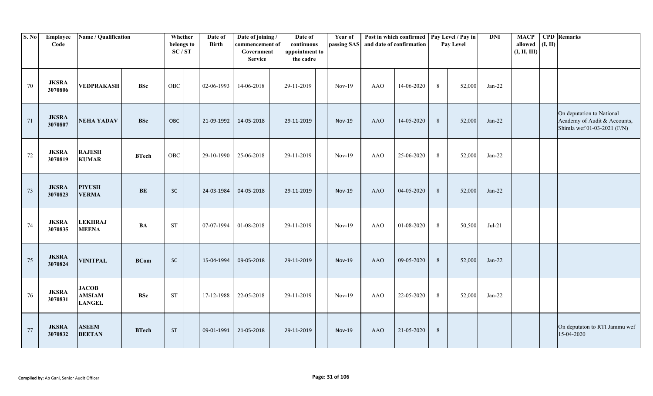| S. No  | Employee<br>Code        | Name / Qualification                           |               | Whether<br>belongs to<br>SC/ST | Date of<br><b>Birth</b> | Date of joining /<br>commencement of<br>Government<br><b>Service</b> | Date of<br>continuous<br>appointment to<br>the cadre | Year of<br>passing SAS |            | Post in which confirmed<br>and date of confirmation |                 | Pay Level / Pay in<br>Pay Level | <b>DNI</b> | <b>MACP</b><br>allowed<br>(I, II, III) | (I, II) | <b>CPD</b> Remarks                                                                       |
|--------|-------------------------|------------------------------------------------|---------------|--------------------------------|-------------------------|----------------------------------------------------------------------|------------------------------------------------------|------------------------|------------|-----------------------------------------------------|-----------------|---------------------------------|------------|----------------------------------------|---------|------------------------------------------------------------------------------------------|
| 70     | <b>JKSRA</b><br>3070806 | VEDPRAKASH                                     | <b>BSc</b>    | <b>OBC</b>                     | 02-06-1993              | 14-06-2018                                                           | 29-11-2019                                           | $Nov-19$               | <b>AAO</b> | 14-06-2020                                          | 8               | 52,000                          | $Jan-22$   |                                        |         |                                                                                          |
| 71     | <b>JKSRA</b><br>3070807 | <b>NEHA YADAV</b>                              | <b>BSc</b>    | OBC                            | 21-09-1992              | 14-05-2018                                                           | 29-11-2019                                           | <b>Nov-19</b>          | <b>AAO</b> | 14-05-2020                                          | $8\phantom{.}8$ | 52,000                          | $Jan-22$   |                                        |         | On deputation to National<br>Academy of Audit & Accounts,<br>Shimla wef 01-03-2021 (F/N) |
| $72\,$ | <b>JKSRA</b><br>3070819 | <b>RAJESH</b><br><b>KUMAR</b>                  | <b>BTech</b>  | <b>OBC</b>                     | 29-10-1990              | 25-06-2018                                                           | 29-11-2019                                           | $Nov-19$               | <b>AAO</b> | 25-06-2020                                          | 8               | 52,000                          | $Jan-22$   |                                        |         |                                                                                          |
| 73     | <b>JKSRA</b><br>3070823 | <b>PIYUSH</b><br><b>VERMA</b>                  | $\mathbf{BE}$ | $\sf SC$                       | 24-03-1984              | 04-05-2018                                                           | 29-11-2019                                           | <b>Nov-19</b>          | <b>AAO</b> | 04-05-2020                                          | 8               | 52,000                          | $Jan-22$   |                                        |         |                                                                                          |
| 74     | <b>JKSRA</b><br>3070835 | <b>LEKHRAJ</b><br><b>MEENA</b>                 | <b>BA</b>     | <b>ST</b>                      | 07-07-1994              | 01-08-2018                                                           | 29-11-2019                                           | $Nov-19$               | <b>AAO</b> | 01-08-2020                                          | 8               | 50,500                          | $Jul-21$   |                                        |         |                                                                                          |
| 75     | <b>JKSRA</b><br>3070824 | <b>VINITPAL</b>                                | <b>BCom</b>   | SC                             | 15-04-1994              | 09-05-2018                                                           | 29-11-2019                                           | <b>Nov-19</b>          | <b>AAO</b> | 09-05-2020                                          | 8               | 52,000                          | $Jan-22$   |                                        |         |                                                                                          |
| 76     | <b>JKSRA</b><br>3070831 | <b>JACOB</b><br><b>AMSIAM</b><br><b>LANGEL</b> | <b>BSc</b>    | <b>ST</b>                      | 17-12-1988              | 22-05-2018                                                           | 29-11-2019                                           | $Nov-19$               | <b>AAO</b> | 22-05-2020                                          | 8               | 52,000                          | $Jan-22$   |                                        |         |                                                                                          |
| 77     | <b>JKSRA</b><br>3070832 | <b>ASEEM</b><br><b>BEETAN</b>                  | <b>BTech</b>  | <b>ST</b>                      | 09-01-1991              | 21-05-2018                                                           | 29-11-2019                                           | <b>Nov-19</b>          | <b>AAO</b> | 21-05-2020                                          | $8\phantom{.}8$ |                                 |            |                                        |         | On deputaton to RTI Jammu wef<br>15-04-2020                                              |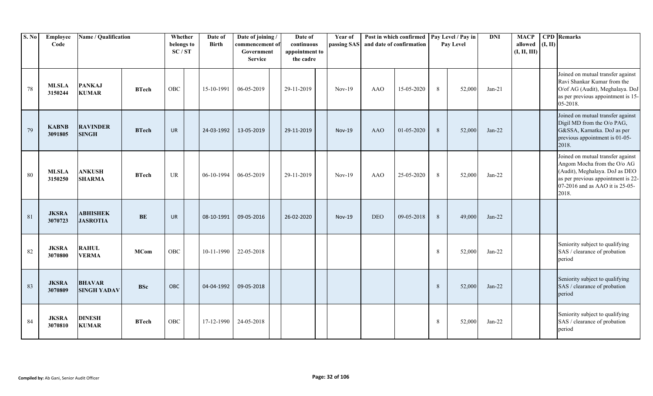| S. No | Employee<br>Code        | Name / Qualification                |              | Whether<br>belongs to<br>SC/ST | Date of<br><b>Birth</b> | Date of joining /<br>commencement of<br>Government<br><b>Service</b> | Date of<br>continuous<br>appointment to<br>the cadre | Year of       | passing SAS and date of confirmation | Post in which confirmed |   | Pay Level / Pay in<br>Pay Level | <b>DNI</b> | <b>MACP</b><br>allowed<br>(I, II, III) | (I, II) | <b>CPD</b> Remarks                                                                                                                                                                   |
|-------|-------------------------|-------------------------------------|--------------|--------------------------------|-------------------------|----------------------------------------------------------------------|------------------------------------------------------|---------------|--------------------------------------|-------------------------|---|---------------------------------|------------|----------------------------------------|---------|--------------------------------------------------------------------------------------------------------------------------------------------------------------------------------------|
| 78    | <b>MLSLA</b><br>3150244 | <b>PANKAJ</b><br><b>KUMAR</b>       | <b>BTech</b> | OBC                            | 15-10-1991              | 06-05-2019                                                           | 29-11-2019                                           | $Nov-19$      | <b>AAO</b>                           | 15-05-2020              | 8 | 52,000                          | $Jan-21$   |                                        |         | Joined on mutual transfer against<br>Ravi Shankar Kumar from the<br>O/of AG (Audit), Meghalaya. DoJ<br>as per previous appointment is 15-<br>05-2018.                                |
| 79    | <b>KABNB</b><br>3091805 | <b>RAVINDER</b><br><b>SINGH</b>     | <b>BTech</b> | <b>UR</b>                      | 24-03-1992              | 13-05-2019                                                           | 29-11-2019                                           | <b>Nov-19</b> | <b>AAO</b>                           | 01-05-2020              | 8 | 52,000                          | $Jan-22$   |                                        |         | Joined on mutual transfer against<br>Digil MD from the O/o PAG,<br>G&SSA, Karnatka. DoJ as per<br>previous appointment is 01-05-<br>2018.                                            |
| 80    | <b>MLSLA</b><br>3150250 | <b>ANKUSH</b><br><b>SHARMA</b>      | <b>BTech</b> | UR                             | 06-10-1994              | 06-05-2019                                                           | 29-11-2019                                           | $Nov-19$      | <b>AAO</b>                           | 25-05-2020              | 8 | 52,000                          | $Jan-22$   |                                        |         | Joined on mutual transfer against<br>Angom Mocha from the O/o AG<br>(Audit), Meghalaya. DoJ as DEO<br>as per previous appointment is 22-<br>07-2016 and as AAO it is 25-05-<br>2018. |
| 81    | <b>JKSRA</b><br>3070723 | <b>ABHISHEK</b><br><b>JASROTIA</b>  | BE           | <b>UR</b>                      | 08-10-1991              | 09-05-2016                                                           | 26-02-2020                                           | <b>Nov-19</b> | <b>DEO</b>                           | 09-05-2018              | 8 | 49,000                          | $Jan-22$   |                                        |         |                                                                                                                                                                                      |
| 82    | <b>JKSRA</b><br>3070800 | <b>RAHUL</b><br><b>VERMA</b>        | <b>MCom</b>  | OBC                            | 10-11-1990              | 22-05-2018                                                           |                                                      |               |                                      |                         | 8 | 52,000                          | $Jan-22$   |                                        |         | Seniority subject to qualifying<br>SAS / clearance of probation<br>period                                                                                                            |
| 83    | <b>JKSRA</b><br>3070809 | <b>BHAVAR</b><br><b>SINGH YADAV</b> | <b>BSc</b>   | OBC                            | 04-04-1992              | 09-05-2018                                                           |                                                      |               |                                      |                         | 8 | 52,000                          | $Jan-22$   |                                        |         | Seniority subject to qualifying<br>SAS / clearance of probation<br>period                                                                                                            |
| 84    | <b>JKSRA</b><br>3070810 | <b>DINESH</b><br><b>KUMAR</b>       | <b>BTech</b> | OBC                            | 17-12-1990              | 24-05-2018                                                           |                                                      |               |                                      |                         | 8 | 52,000                          | $Jan-22$   |                                        |         | Seniority subject to qualifying<br>SAS / clearance of probation<br>period                                                                                                            |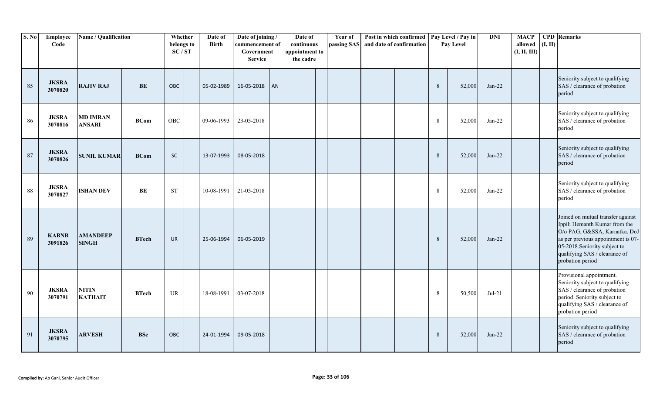| S. No | Employee<br>Code        | Name / Qualification             |              | Whether<br>belongs to<br>SC/ST | Date of<br><b>Birth</b> | Date of joining /<br>commencement of<br>Government<br><b>Service</b> | Date of<br>continuous<br>appointment to<br>the cadre | <b>Year of</b> | passing SAS and date of confirmation | Post in which confirmed |         | Pay Level / Pay in<br>Pay Level | <b>DNI</b> | <b>MACP</b><br>allowed<br>(I, II, III) | (I, II) | <b>CPD</b> Remarks                                                                                                                                                                                                              |
|-------|-------------------------|----------------------------------|--------------|--------------------------------|-------------------------|----------------------------------------------------------------------|------------------------------------------------------|----------------|--------------------------------------|-------------------------|---------|---------------------------------|------------|----------------------------------------|---------|---------------------------------------------------------------------------------------------------------------------------------------------------------------------------------------------------------------------------------|
| 85    | <b>JKSRA</b><br>3070820 | <b>RAJIV RAJ</b>                 | BE           | OBC                            | 05-02-1989              | 16-05-2018 AN                                                        |                                                      |                |                                      |                         | $\,8\,$ | 52,000                          | $Jan-22$   |                                        |         | Seniority subject to qualifying<br>SAS / clearance of probation<br>period                                                                                                                                                       |
| 86    | <b>JKSRA</b><br>3070816 | <b>MD IMRAN</b><br><b>ANSARI</b> | <b>BCom</b>  | OBC                            | 09-06-1993              | 23-05-2018                                                           |                                                      |                |                                      |                         | $\,8\,$ | 52,000                          | $Jan-22$   |                                        |         | Seniority subject to qualifying<br>SAS / clearance of probation<br>period                                                                                                                                                       |
| 87    | <b>JKSRA</b><br>3070826 | <b>SUNIL KUMAR</b>               | <b>BCom</b>  | SC                             | 13-07-1993              | 08-05-2018                                                           |                                                      |                |                                      |                         | 8       | 52,000                          | $Jan-22$   |                                        |         | Seniority subject to qualifying<br>SAS / clearance of probation<br>period                                                                                                                                                       |
| 88    | <b>JKSRA</b><br>3070827 | <b>ISHAN DEV</b>                 | BE           | <b>ST</b>                      | 10-08-1991              | 21-05-2018                                                           |                                                      |                |                                      |                         | 8       | 52,000                          | $Jan-22$   |                                        |         | Seniority subject to qualifying<br>SAS / clearance of probation<br>period                                                                                                                                                       |
| 89    | <b>KABNB</b><br>3091826 | <b>AMANDEEP</b><br><b>SINGH</b>  | <b>BTech</b> | <b>UR</b>                      | 25-06-1994              | 06-05-2019                                                           |                                                      |                |                                      |                         | 8       | 52,000                          | $Jan-22$   |                                        |         | Joined on mutual transfer against<br>Ippili Hemanth Kumar from the<br>O/o PAG, G&SSA, Karnatka. DoJ<br>as per previous appointment is 07-<br>05-2018. Seniority subject to<br>qualifying SAS / clearance of<br>probation period |
| 90    | <b>JKSRA</b><br>3070791 | <b>NITIN</b><br><b>KATHAIT</b>   | <b>BTech</b> | UR                             | 18-08-1991              | 03-07-2018                                                           |                                                      |                |                                      |                         | $\,8\,$ | 50,500                          | $Jul-21$   |                                        |         | Provisional appointment.<br>Seniority subject to qualifying<br>SAS / clearance of probation<br>period. Seniority subject to<br>qualifying SAS / clearance of<br>probation period                                                |
| 91    | <b>JKSRA</b><br>3070795 | <b>ARVESH</b>                    | <b>BSc</b>   | OBC                            | 24-01-1994              | 09-05-2018                                                           |                                                      |                |                                      |                         | 8       | 52,000                          | $Jan-22$   |                                        |         | Seniority subject to qualifying<br>SAS / clearance of probation<br>period                                                                                                                                                       |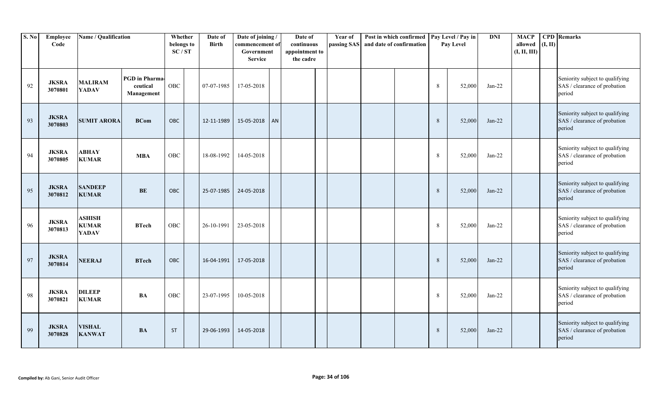| S. No | Employee<br>Code        | Name / Qualification                          |                                                 | Whether<br>belongs to<br>SC/ST | Date of<br><b>Birth</b> | Date of joining /<br>commencement of<br>Government<br><b>Service</b> |    | Date of<br>continuous<br>appointment to<br>the cadre | Year of<br>passing SAS | and date of confirmation | Post in which confirmed |         | Pay Level / Pay in<br>Pay Level | <b>DNI</b> | <b>MACP</b><br>allowed<br>(I, II, III) | (I, II) | <b>CPD</b> Remarks                                                        |
|-------|-------------------------|-----------------------------------------------|-------------------------------------------------|--------------------------------|-------------------------|----------------------------------------------------------------------|----|------------------------------------------------------|------------------------|--------------------------|-------------------------|---------|---------------------------------|------------|----------------------------------------|---------|---------------------------------------------------------------------------|
| 92    | <b>JKSRA</b><br>3070801 | <b>MALIRAM</b><br><b>YADAV</b>                | <b>PGD</b> in Pharma-<br>ceutical<br>Management | OBC                            | 07-07-1985              | 17-05-2018                                                           |    |                                                      |                        |                          |                         | 8       | 52,000                          | $Jan-22$   |                                        |         | Seniority subject to qualifying<br>SAS / clearance of probation<br>period |
| 93    | <b>JKSRA</b><br>3070803 | <b>SUMIT ARORA</b>                            | <b>BCom</b>                                     | OBC                            | 12-11-1989              | 15-05-2018                                                           | AN |                                                      |                        |                          |                         | 8       | 52,000                          | $Jan-22$   |                                        |         | Seniority subject to qualifying<br>SAS / clearance of probation<br>period |
| 94    | <b>JKSRA</b><br>3070805 | <b>ABHAY</b><br><b>KUMAR</b>                  | <b>MBA</b>                                      | OBC                            | 18-08-1992              | 14-05-2018                                                           |    |                                                      |                        |                          |                         | 8       | 52,000                          | $Jan-22$   |                                        |         | Seniority subject to qualifying<br>SAS / clearance of probation<br>period |
| 95    | <b>JKSRA</b><br>3070812 | <b>SANDEEP</b><br><b>KUMAR</b>                | <b>BE</b>                                       | OBC                            | 25-07-1985              | 24-05-2018                                                           |    |                                                      |                        |                          |                         | 8       | 52,000                          | $Jan-22$   |                                        |         | Seniority subject to qualifying<br>SAS / clearance of probation<br>period |
| 96    | <b>JKSRA</b><br>3070813 | <b>ASHISH</b><br><b>KUMAR</b><br><b>YADAV</b> | <b>BTech</b>                                    | OBC                            | 26-10-1991              | 23-05-2018                                                           |    |                                                      |                        |                          |                         | $\,8\,$ | 52,000                          | $Jan-22$   |                                        |         | Seniority subject to qualifying<br>SAS / clearance of probation<br>period |
| 97    | <b>JKSRA</b><br>3070814 | <b>NEERAJ</b>                                 | <b>BTech</b>                                    | OBC                            | 16-04-1991              | 17-05-2018                                                           |    |                                                      |                        |                          |                         | 8       | 52,000                          | $Jan-22$   |                                        |         | Seniority subject to qualifying<br>SAS / clearance of probation<br>period |
| 98    | <b>JKSRA</b><br>3070821 | <b>DILEEP</b><br><b>KUMAR</b>                 | <b>BA</b>                                       | OBC                            | 23-07-1995              | 10-05-2018                                                           |    |                                                      |                        |                          |                         | $\,8\,$ | 52,000                          | $Jan-22$   |                                        |         | Seniority subject to qualifying<br>SAS / clearance of probation<br>period |
| 99    | <b>JKSRA</b><br>3070828 | <b>VISHAL</b><br><b>KANWAT</b>                | <b>BA</b>                                       | <b>ST</b>                      | 29-06-1993              | 14-05-2018                                                           |    |                                                      |                        |                          |                         | $\,8\,$ | 52,000                          | $Jan-22$   |                                        |         | Seniority subject to qualifying<br>SAS / clearance of probation<br>period |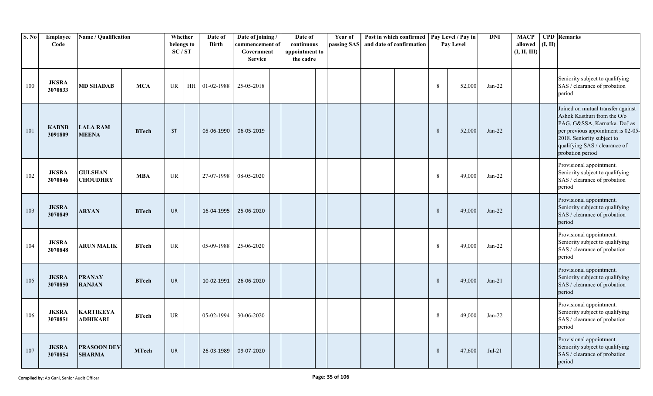| <b>S. No</b> | Employee<br>Code        | Name / Qualification                |              | Whether<br>belongs to<br>SC/ST |    | Date of<br>Birth | Date of joining/<br>commencement of<br>Government<br><b>Service</b> | Date of<br>continuous<br>appointment to<br>the cadre | Year of<br>passing SAS | Post in which confirmed<br>and date of confirmation |         | Pay Level / Pay in<br>Pay Level | <b>DNI</b> | <b>MACP</b><br>allowed<br>(I, II, III) | (I, II) | <b>CPD</b> Remarks                                                                                                                                                                                                        |
|--------------|-------------------------|-------------------------------------|--------------|--------------------------------|----|------------------|---------------------------------------------------------------------|------------------------------------------------------|------------------------|-----------------------------------------------------|---------|---------------------------------|------------|----------------------------------------|---------|---------------------------------------------------------------------------------------------------------------------------------------------------------------------------------------------------------------------------|
| 100          | <b>JKSRA</b><br>3070833 | <b>MD SHADAB</b>                    | <b>MCA</b>   | UR                             | HH | 01-02-1988       | 25-05-2018                                                          |                                                      |                        |                                                     | 8       | 52,000                          | $Jan-22$   |                                        |         | Seniority subject to qualifying<br>SAS / clearance of probation<br>period                                                                                                                                                 |
| 101          | <b>KABNB</b><br>3091809 | <b>LALA RAM</b><br><b>MEENA</b>     | <b>BTech</b> | <b>ST</b>                      |    | 05-06-1990       | 06-05-2019                                                          |                                                      |                        |                                                     | 8       | 52,000                          | $Jan-22$   |                                        |         | Joined on mutual transfer against<br>Ashok Kasthuri from the O/o<br>PAG, G&SSA, Karnatka. DoJ as<br>per previous appointment is 02-05-<br>2018. Seniority subject to<br>qualifying SAS / clearance of<br>probation period |
| 102          | <b>JKSRA</b><br>3070846 | <b>GULSHAN</b><br><b>CHOUDHRY</b>   | <b>MBA</b>   | UR                             |    | 27-07-1998       | 08-05-2020                                                          |                                                      |                        |                                                     | 8       | 49,000                          | $Jan-22$   |                                        |         | Provisional appointment.<br>Seniority subject to qualifying<br>SAS / clearance of probation<br>period                                                                                                                     |
| 103          | <b>JKSRA</b><br>3070849 | <b>ARYAN</b>                        | <b>BTech</b> | <b>UR</b>                      |    | 16-04-1995       | 25-06-2020                                                          |                                                      |                        |                                                     | 8       | 49,000                          | $Jan-22$   |                                        |         | Provisional appointment.<br>Seniority subject to qualifying<br>SAS / clearance of probation<br>period                                                                                                                     |
| 104          | <b>JKSRA</b><br>3070848 | <b>ARUN MALIK</b>                   | <b>BTech</b> | UR                             |    | 05-09-1988       | 25-06-2020                                                          |                                                      |                        |                                                     | 8       | 49,000                          | $Jan-22$   |                                        |         | Provisional appointment.<br>Seniority subject to qualifying<br>SAS / clearance of probation<br>period                                                                                                                     |
| 105          | <b>JKSRA</b><br>3070850 | <b>PRANAY</b><br><b>RANJAN</b>      | <b>BTech</b> | <b>UR</b>                      |    | 10-02-1991       | 26-06-2020                                                          |                                                      |                        |                                                     | 8       | 49,000                          | $Jan-21$   |                                        |         | Provisional appointment.<br>Seniority subject to qualifying<br>SAS / clearance of probation<br>period                                                                                                                     |
| 106          | <b>JKSRA</b><br>3070851 | <b>KARTIKEYA</b><br>ADHIKARI        | <b>BTech</b> | UR                             |    | 05-02-1994       | 30-06-2020                                                          |                                                      |                        |                                                     | $\,8\,$ | 49,000                          | $Jan-22$   |                                        |         | Provisional appointment.<br>Seniority subject to qualifying<br>SAS / clearance of probation<br>period                                                                                                                     |
| 107          | <b>JKSRA</b><br>3070854 | <b>PRASOON DEV</b><br><b>SHARMA</b> | <b>MTech</b> | <b>UR</b>                      |    | 26-03-1989       | 09-07-2020                                                          |                                                      |                        |                                                     | 8       | 47,600                          | $Jul-21$   |                                        |         | Provisional appointment.<br>Seniority subject to qualifying<br>SAS / clearance of probation<br>period                                                                                                                     |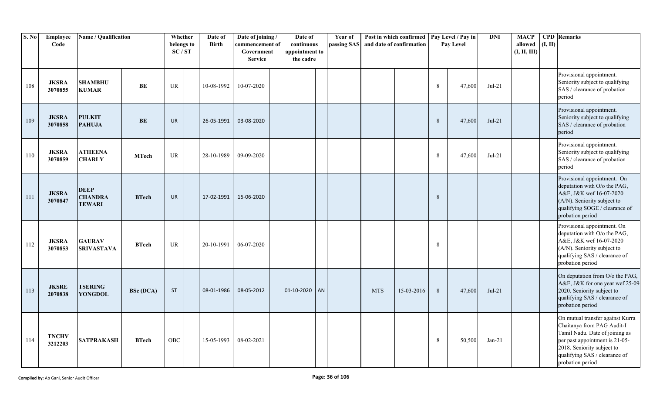| S. No | Employee<br>Code        | Name / Qualification                           |                  | Whether<br>belongs to<br>SC/ST | Date of<br><b>Birth</b> | Date of joining /<br>commencement of<br>Government<br><b>Service</b> | Date of<br>continuous<br>appointment to<br>the cadre | Year of<br>passing SAS |            | Post in which confirmed<br>and date of confirmation |         | Pay Level / Pay in<br>Pay Level | <b>DNI</b> | <b>MACP</b><br>allowed<br>(I, II, III) | (I, II) | <b>CPD</b> Remarks                                                                                                                                                                                                    |
|-------|-------------------------|------------------------------------------------|------------------|--------------------------------|-------------------------|----------------------------------------------------------------------|------------------------------------------------------|------------------------|------------|-----------------------------------------------------|---------|---------------------------------|------------|----------------------------------------|---------|-----------------------------------------------------------------------------------------------------------------------------------------------------------------------------------------------------------------------|
| 108   | <b>JKSRA</b><br>3070855 | <b>SHAMBHU</b><br><b>KUMAR</b>                 | BE               | UR                             | 10-08-1992              | 10-07-2020                                                           |                                                      |                        |            |                                                     | 8       | 47,600                          | $Jul-21$   |                                        |         | Provisional appointment.<br>Seniority subject to qualifying<br>SAS / clearance of probation<br>period                                                                                                                 |
| 109   | <b>JKSRA</b><br>3070858 | <b>PULKIT</b><br><b>PAHUJA</b>                 | <b>BE</b>        | <b>UR</b>                      | 26-05-1991              | 03-08-2020                                                           |                                                      |                        |            |                                                     | 8       | 47,600                          | $Jul-21$   |                                        |         | Provisional appointment.<br>Seniority subject to qualifying<br>SAS / clearance of probation<br>period                                                                                                                 |
| 110   | <b>JKSRA</b><br>3070859 | <b>ATHEENA</b><br><b>CHARLY</b>                | <b>MTech</b>     | <b>UR</b>                      | 28-10-1989              | 09-09-2020                                                           |                                                      |                        |            |                                                     | $\,8\,$ | 47,600                          | $Jul-21$   |                                        |         | Provisional appointment.<br>Seniority subject to qualifying<br>SAS / clearance of probation<br>period                                                                                                                 |
| 111   | <b>JKSRA</b><br>3070847 | <b>DEEP</b><br><b>CHANDRA</b><br><b>TEWARI</b> | <b>BTech</b>     | <b>UR</b>                      | 17-02-1991              | 15-06-2020                                                           |                                                      |                        |            |                                                     | 8       |                                 |            |                                        |         | Provisional appointment. On<br>deputation with O/o the PAG,<br>A&E, J&K wef 16-07-2020<br>(A/N). Seniority subject to<br>qualifying SOGE / clearance of<br>probation period                                           |
| 112   | <b>JKSRA</b><br>3070853 | <b>GAURAV</b><br>SRIVASTAVA                    | <b>BTech</b>     | <b>UR</b>                      | 20-10-1991              | 06-07-2020                                                           |                                                      |                        |            |                                                     | 8       |                                 |            |                                        |         | Provisional appointment. On<br>deputation with O/o the PAG,<br>A&E, J&K wef 16-07-2020<br>(A/N). Seniority subject to<br>qualifying SAS / clearance of<br>probation period                                            |
| 113   | <b>JKSRE</b><br>2070838 | <b>TSERING</b><br><b>YONGDOL</b>               | <b>BSc (DCA)</b> | <b>ST</b>                      | 08-01-1986              | 08-05-2012                                                           | $01 - 10 - 2020$ AN                                  |                        | <b>MTS</b> | 15-03-2016                                          | 8       | 47,600                          | $Jul-21$   |                                        |         | On deputation from O/o the PAG,<br>A&E, J&K for one year wef 25-09<br>2020. Seniority subject to<br>qualifying SAS / clearance of<br>probation period                                                                 |
| 114   | <b>TNCHV</b><br>3212203 | SATPRAKASH                                     | <b>BTech</b>     | OBC                            | 15-05-1993              | 08-02-2021                                                           |                                                      |                        |            |                                                     | 8       | 50,500                          | $Jan-21$   |                                        |         | On mutual transfer against Kurra<br>Chaitanya from PAG Audit-I<br>Tamil Nadu. Date of joining as<br>per past appointment is 21-05-<br>2018. Seniority subject to<br>qualifying SAS / clearance of<br>probation period |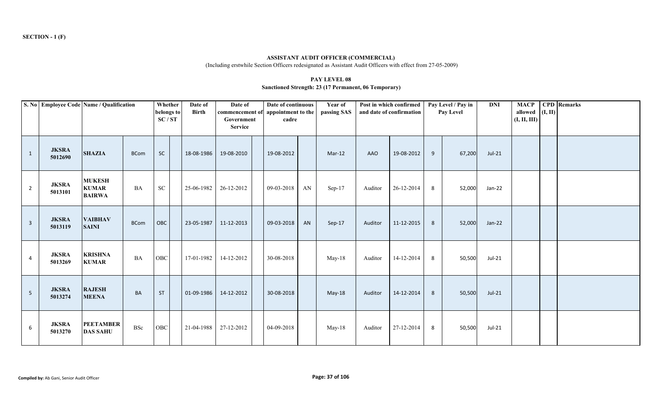**ASSISTANT AUDIT OFFICER (COMMERCIAL)**(Including erstwhile Section Officers redesignated as Assistant Audit Officers with effect from 27-05-2009)

#### **PAY LEVEL 08Sanctioned Strength: 23 (17 Permanent, 06 Temporary)**

|                | S. No Employee Code Name / Qualification |                                                |             | Whether<br>belongs to<br>SC/ST | Date of<br><b>Birth</b> | Date of<br>commencement of<br>Government<br><b>Service</b> | Date of continuous<br>appointment to the<br>cadre |    | Year of<br>passing SAS |            | Post in which confirmed<br>and date of confirmation |   | Pay Level / Pay in<br>Pay Level | <b>DNI</b> | <b>MACP</b><br>allowed $(I, II)$<br>(I, II, III) | <b>CPD</b> Remarks |
|----------------|------------------------------------------|------------------------------------------------|-------------|--------------------------------|-------------------------|------------------------------------------------------------|---------------------------------------------------|----|------------------------|------------|-----------------------------------------------------|---|---------------------------------|------------|--------------------------------------------------|--------------------|
| $\mathbf{1}$   | <b>JKSRA</b><br>5012690                  | <b>SHAZIA</b>                                  | <b>BCom</b> | <b>SC</b>                      | 18-08-1986              | 19-08-2010                                                 | 19-08-2012                                        |    | $Mar-12$               | <b>AAO</b> | 19-08-2012                                          | 9 | 67,200                          | $Jul-21$   |                                                  |                    |
| $\overline{2}$ | <b>JKSRA</b><br>5013101                  | <b>MUKESH</b><br><b>KUMAR</b><br><b>BAIRWA</b> | <b>BA</b>   | <b>SC</b>                      | 25-06-1982              | 26-12-2012                                                 | 09-03-2018                                        | AN | Sep-17                 | Auditor    | 26-12-2014                                          | 8 | 52,000                          | Jan-22     |                                                  |                    |
| $\mathbf{3}$   | <b>JKSRA</b><br>5013119                  | <b>VAIBHAV</b><br><b>SAINI</b>                 | <b>BCom</b> | OBC                            | 23-05-1987              | 11-12-2013                                                 | 09-03-2018                                        | AN | Sep-17                 | Auditor    | 11-12-2015                                          | 8 | 52,000                          | $Jan-22$   |                                                  |                    |
| 4              | <b>JKSRA</b><br>5013269                  | <b>KRISHNA</b><br><b>KUMAR</b>                 | <b>BA</b>   | OBC                            | 17-01-1982              | 14-12-2012                                                 | 30-08-2018                                        |    | $May-18$               | Auditor    | 14-12-2014                                          | 8 | 50,500                          | $Jul-21$   |                                                  |                    |
| 5 <sub>1</sub> | <b>JKSRA</b><br>5013274                  | <b>RAJESH</b><br><b>MEENA</b>                  | BA          | <b>ST</b>                      |                         | 01-09-1986 14-12-2012                                      | 30-08-2018                                        |    | May-18                 | Auditor    | 14-12-2014                                          | 8 | 50,500                          | $Jul-21$   |                                                  |                    |
| 6              | <b>JKSRA</b><br>5013270                  | <b>PEETAMBER</b><br><b>DAS SAHU</b>            | BSc         | ${\rm OBC}$                    | 21-04-1988 27-12-2012   |                                                            | 04-09-2018                                        |    | May-18                 | Auditor    | 27-12-2014                                          | 8 | 50,500                          | $Jul-21$   |                                                  |                    |

**SECTION - 1 (F)**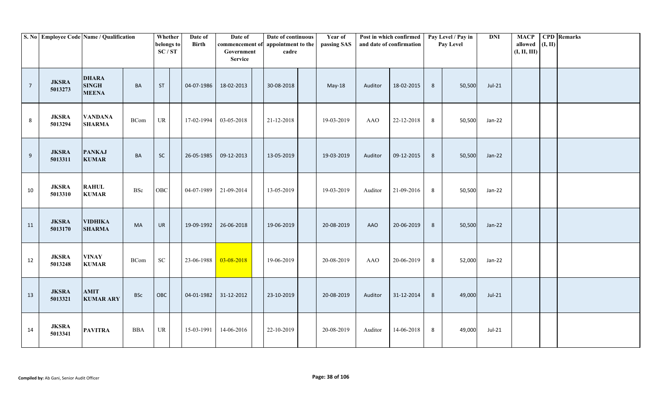|                | S. No Employee Code Name / Qualification |                                              |             | Whether<br>belongs to<br>SC/ST | Date of<br><b>Birth</b> | Date of<br>commencement of appointment to the<br>Government<br><b>Service</b> | Date of continuous<br>cadre | Year of<br>passing SAS |            | Post in which confirmed<br>and date of confirmation |                | Pay Level / Pay in<br>Pay Level | <b>DNI</b> | <b>MACP</b><br>allowed<br>(I, II, III) | (I, II) | <b>CPD</b> Remarks |
|----------------|------------------------------------------|----------------------------------------------|-------------|--------------------------------|-------------------------|-------------------------------------------------------------------------------|-----------------------------|------------------------|------------|-----------------------------------------------------|----------------|---------------------------------|------------|----------------------------------------|---------|--------------------|
| $\overline{7}$ | <b>JKSRA</b><br>5013273                  | <b>DHARA</b><br><b>SINGH</b><br><b>MEENA</b> | BA          | <b>ST</b>                      | 04-07-1986              | 18-02-2013                                                                    | 30-08-2018                  | May-18                 | Auditor    | 18-02-2015                                          | 8              | 50,500                          | $Jul-21$   |                                        |         |                    |
| 8              | <b>JKSRA</b><br>5013294                  | <b>VANDANA</b><br><b>SHARMA</b>              | <b>BCom</b> | UR                             | 17-02-1994              | 03-05-2018                                                                    | 21-12-2018                  | 19-03-2019             | <b>AAO</b> | 22-12-2018                                          | 8              | 50,500                          | Jan-22     |                                        |         |                    |
| $9$            | <b>JKSRA</b><br>5013311                  | <b>PANKAJ</b><br><b>KUMAR</b>                | BA          | SC                             | 26-05-1985              | 09-12-2013                                                                    | 13-05-2019                  | 19-03-2019             | Auditor    | 09-12-2015                                          | $8\phantom{1}$ | 50,500                          | Jan-22     |                                        |         |                    |
| 10             | <b>JKSRA</b><br>5013310                  | <b>RAHUL</b><br><b>KUMAR</b>                 | <b>BSc</b>  | OBC                            | 04-07-1989              | 21-09-2014                                                                    | 13-05-2019                  | 19-03-2019             | Auditor    | 21-09-2016                                          | 8              | 50,500                          | Jan-22     |                                        |         |                    |
| 11             | <b>JKSRA</b><br>5013170                  | <b>VIDHIKA</b><br><b>SHARMA</b>              | <b>MA</b>   | <b>UR</b>                      | 19-09-1992              | 26-06-2018                                                                    | 19-06-2019                  | 20-08-2019             | AAO        | 20-06-2019                                          | 8              | 50,500                          | Jan-22     |                                        |         |                    |
| 12             | <b>JKSRA</b><br>5013248                  | <b>VINAY</b><br><b>KUMAR</b>                 | <b>BCom</b> | ${\rm SC}$                     | 23-06-1988              | 03-08-2018                                                                    | 19-06-2019                  | 20-08-2019             | <b>AAO</b> | 20-06-2019                                          | 8              | 52,000                          | Jan-22     |                                        |         |                    |
| 13             | <b>JKSRA</b><br>5013321                  | <b>AMIT</b><br><b>KUMAR ARY</b>              | <b>BSc</b>  | OBC                            | 04-01-1982              | 31-12-2012                                                                    | 23-10-2019                  | 20-08-2019             | Auditor    | 31-12-2014                                          | $8\phantom{.}$ | 49,000                          | $Jul-21$   |                                        |         |                    |
| 14             | <b>JKSRA</b><br>5013341                  | <b>PAVITRA</b>                               | <b>BBA</b>  | UR                             | 15-03-1991              | 14-06-2016                                                                    | 22-10-2019                  | 20-08-2019             | Auditor    | 14-06-2018                                          | 8              | 49,000                          | Jul-21     |                                        |         |                    |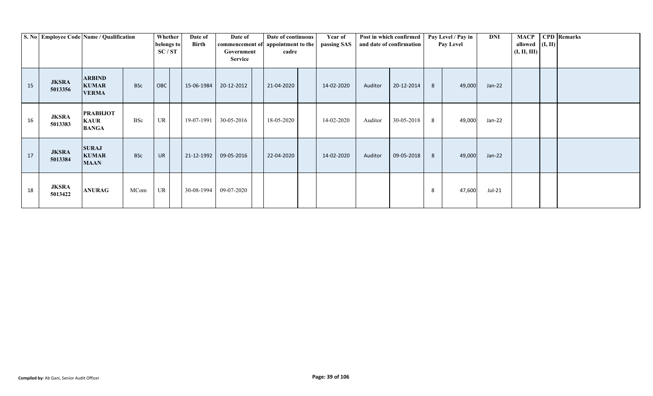|    | S. No Employee Code Name / Qualification |                                                |            | Whether<br>belongs to<br>SC/ST | Date of<br>Birth | Date of<br>commencement of appointment to the<br>Government<br><b>Service</b> |            | Date of continuous<br>cadre | Year of<br>passing SAS |         | Post in which confirmed<br>and date of confirmation |   | Pay Level / Pay in<br><b>Pay Level</b> | DNI      | MACP  <br>allowed $(I, II)$<br>(I, II, III) | <b>CPD</b> Remarks |
|----|------------------------------------------|------------------------------------------------|------------|--------------------------------|------------------|-------------------------------------------------------------------------------|------------|-----------------------------|------------------------|---------|-----------------------------------------------------|---|----------------------------------------|----------|---------------------------------------------|--------------------|
| 15 | <b>JKSRA</b><br>5013356                  | <b>ARBIND</b><br><b>KUMAR</b><br><b>VERMA</b>  | <b>BSc</b> | OBC                            | 15-06-1984       | 20-12-2012                                                                    | 21-04-2020 |                             | 14-02-2020             | Auditor | 20-12-2014                                          | 8 | 49,000                                 | $Jan-22$ |                                             |                    |
| 16 | <b>JKSRA</b><br>5013383                  | <b>PRABHJOT</b><br><b>KAUR</b><br><b>BANGA</b> | <b>BSc</b> | UR                             | 19-07-1991       | 30-05-2016                                                                    | 18-05-2020 |                             | 14-02-2020             | Auditor | 30-05-2018                                          | 8 | 49,000                                 | Jan-22   |                                             |                    |
| 17 | <b>JKSRA</b><br>5013384                  | <b>SURAJ</b><br><b>KUMAR</b><br><b>MAAN</b>    | <b>BSc</b> | <b>UR</b>                      | 21-12-1992       | 09-05-2016                                                                    | 22-04-2020 |                             | 14-02-2020             | Auditor | 09-05-2018                                          | 8 | 49,000                                 | $Jan-22$ |                                             |                    |
| 18 | <b>JKSRA</b><br>5013422                  | <b>ANURAG</b>                                  | MCom       | UR                             | 30-08-1994       | 09-07-2020                                                                    |            |                             |                        |         |                                                     | 8 | 47,600                                 | Jul-21   |                                             |                    |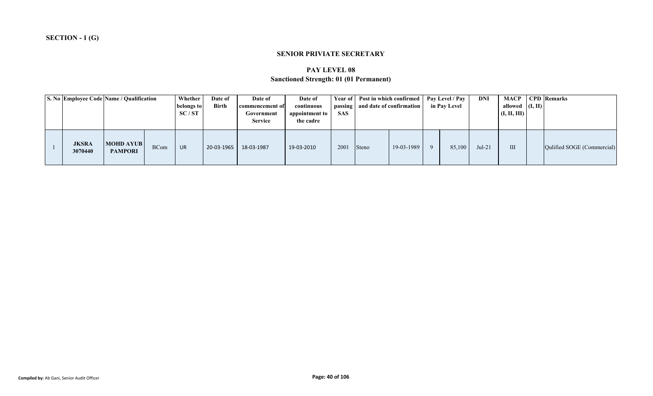### **SENIOR PRIVIATE SECRETARY**

# **PAY LEVEL 08Sanctioned Strength: 01 (01 Permanent)**

|                         | S. No Employee Code Name / Qualification |             | Whether<br>belongs to<br>SC/ST | Date of<br><b>Birth</b> | Date of<br>commencement of<br>Government<br><b>Service</b> | Date of<br>continuous<br>appointment to<br>the cadre | <b>SAS</b> | Year of   Post in which confirmed   Pay Level / Pay  <br>passing   and date of confirmation |            | in Pay Level | DNI      | allowed $($ I, II $)$<br>(I, II, III) | <b>MACP</b> CPD Remarks    |  |
|-------------------------|------------------------------------------|-------------|--------------------------------|-------------------------|------------------------------------------------------------|------------------------------------------------------|------------|---------------------------------------------------------------------------------------------|------------|--------------|----------|---------------------------------------|----------------------------|--|
| <b>JKSRA</b><br>3070440 | <b>MOHD AYUB</b><br><b>PAMPORI</b>       | <b>BCom</b> | <b>UR</b>                      | 20-03-1965              | 18-03-1987                                                 | 19-03-2010                                           | 2001       | <b>Steno</b>                                                                                | 19-03-1989 | 85,100       | $Jul-21$ | III                                   | Qulified SOGE (Commercial) |  |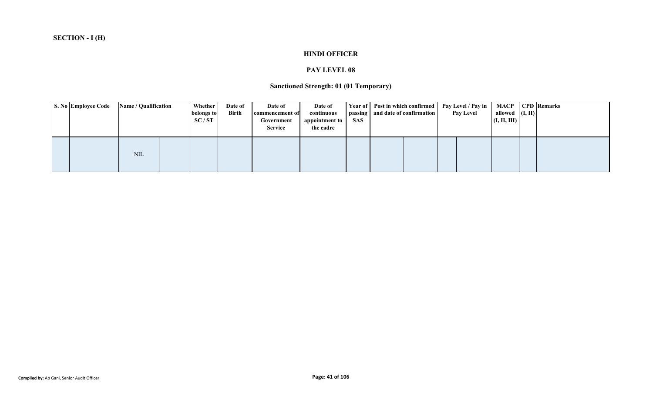## **HINDI OFFICER**

### **PAY LEVEL 08**

# **Sanctioned Strength: 01 (01 Temporary)**

|  | S. No Employee Code | <b>Name / Qualification</b> | Whether<br>belongs to<br>SC/ST | Date of<br>Birth | Date of<br>commencement of<br>Government<br><b>Service</b> | Date of<br>continuous<br>appointment to  <br>the cadre | SAS | Year of Post in which confirmed<br>passing   and date of confirmation |  | Pay Level / Pay in<br><b>Pay Level</b> | allowed $($ I, II)<br>(I, II, III) | <b>MACP</b>   CPD   Remarks |
|--|---------------------|-----------------------------|--------------------------------|------------------|------------------------------------------------------------|--------------------------------------------------------|-----|-----------------------------------------------------------------------|--|----------------------------------------|------------------------------------|-----------------------------|
|  |                     | NIL                         |                                |                  |                                                            |                                                        |     |                                                                       |  |                                        |                                    |                             |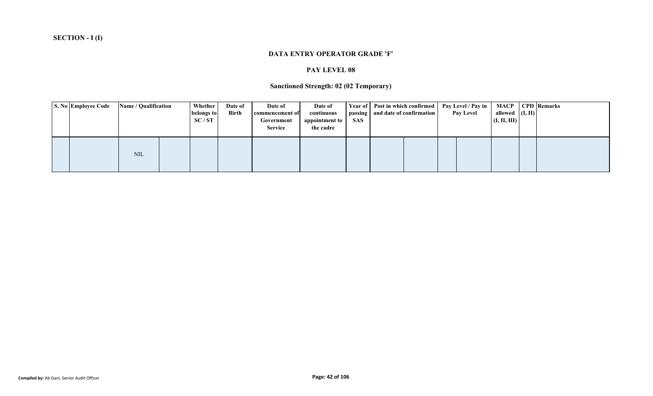#### **DATA ENTRY OPERATOR GRADE 'F'**

### **PAY LEVEL 08**

## **Sanctioned Strength: 02 (02 Temporary)**

| <b>S. No Employee Code</b> | Name / Qualification | Whether<br>belongs to<br>SC/ST | Date of<br><b>Birth</b> | Date of<br>commencement of<br>Government<br><b>Service</b> | Date of<br>continuous<br>appointment to<br>the cadre | <b>SAS</b> | Year of Post in which confirmed Pay Level / Pay in<br>passing   and date of confirmation | <b>Pay Level</b> | <b>MACP</b>   CPD   Remarks<br>allowed $(I, II)$<br>(I, II, III) |  |
|----------------------------|----------------------|--------------------------------|-------------------------|------------------------------------------------------------|------------------------------------------------------|------------|------------------------------------------------------------------------------------------|------------------|------------------------------------------------------------------|--|
|                            | <b>NIL</b>           |                                |                         |                                                            |                                                      |            |                                                                                          |                  |                                                                  |  |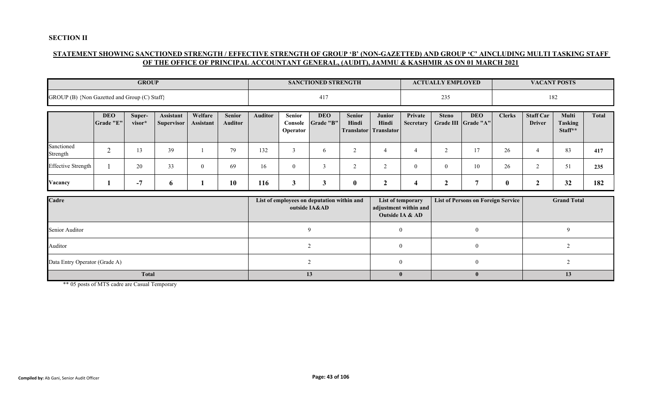### **SECTION II**

## **STATEMENT SHOWING SANCTIONED STRENGTH / EFFECTIVE STRENGTH OF GROUP 'B' (NON-GAZETTED) AND GROUP 'C' AINCLUDING MULTI TASKING STAFF OF THE OFFICE OF PRINCIPAL ACCOUNTANT GENERAL, (AUDIT), JAMMU & KASHMIR AS ON 01 MARCH 2021**

|                                              |                         | <b>GROUP</b>     |                                |                             |                                 |                |                                            | <b>SANCTIONED STRENGTH</b> |                        |                                                 |                                                               | <b>ACTUALLY EMPLOYED</b> |                                           |               |                                   | <b>VACANT POSTS</b>                |              |
|----------------------------------------------|-------------------------|------------------|--------------------------------|-----------------------------|---------------------------------|----------------|--------------------------------------------|----------------------------|------------------------|-------------------------------------------------|---------------------------------------------------------------|--------------------------|-------------------------------------------|---------------|-----------------------------------|------------------------------------|--------------|
| GROUP (B) {Non Gazetted and Group (C) Staff} |                         |                  |                                |                             |                                 |                |                                            | 417                        |                        |                                                 |                                                               | 235                      |                                           |               |                                   | 182                                |              |
|                                              | <b>DEO</b><br>Grade "E" | Super-<br>visor* | Assistant<br><b>Supervisor</b> | Welfare<br><b>Assistant</b> | <b>Senior</b><br><b>Auditor</b> | <b>Auditor</b> | <b>Senior</b><br>Console<br>Operator       | <b>DEO</b><br>Grade "B"    | <b>Senior</b><br>Hindi | Junior<br>Hindi<br><b>Translator Translator</b> | Private<br><b>Secretary</b>                                   | <b>Steno</b>             | <b>DEO</b><br>Grade III Grade "A"         | <b>Clerks</b> | <b>Staff Car</b><br><b>Driver</b> | Multi<br><b>Tasking</b><br>Staff** | <b>Total</b> |
| Sanctioned<br>Strength                       | $\overline{2}$          | 13               | 39                             |                             | 79                              | 132            | 3                                          | 6                          | $\sqrt{2}$             | $\overline{4}$                                  | $\overline{4}$                                                | 2                        | 17                                        | 26            | $\overline{4}$                    | 83                                 | 417          |
| <b>Effective Strength</b>                    |                         | 20               | 33                             | $\overline{0}$              | 69                              | 16             | $\overline{0}$                             | $\mathfrak{Z}$             | 2                      | 2                                               | $\overline{0}$                                                | $\mathbf{0}$             | 10                                        | 26            | 2                                 | 51                                 | 235          |
| Vacancy                                      |                         | $-7$             | 6                              |                             | 10                              | 116            | $\mathbf{3}$                               | $\mathbf{3}$               | $\boldsymbol{0}$       | $\boldsymbol{2}$                                | $\boldsymbol{4}$                                              | $\boldsymbol{2}$         | $\overline{7}$                            | $\bf{0}$      | $\boldsymbol{2}$                  | 32                                 | 182          |
| Cadre                                        |                         |                  |                                |                             |                                 |                | List of employees on deputation within and | outside IA&AD              |                        |                                                 | List of temporary<br>adjustment within and<br>Outside IA & AD |                          | <b>List of Persons on Foreign Service</b> |               |                                   | <b>Grand Total</b>                 |              |
| Senior Auditor                               |                         |                  |                                |                             |                                 |                |                                            | 9                          |                        |                                                 | $\overline{0}$                                                |                          | $\overline{0}$                            |               |                                   | 9                                  |              |
| Auditor                                      |                         |                  |                                |                             |                                 |                |                                            | 2                          |                        |                                                 | $\mathbf{0}$                                                  |                          | $\mathbf{0}$                              |               |                                   | 2                                  |              |
| Data Entry Operator (Grade A)                |                         |                  |                                |                             |                                 |                |                                            | $\overline{2}$             |                        |                                                 | $\overline{0}$                                                |                          | $\mathbf{0}$                              |               |                                   | $\overline{2}$                     |              |
|                                              |                         | <b>Total</b>     |                                |                             |                                 |                |                                            | 13                         |                        |                                                 | $\mathbf{0}$                                                  |                          | $\mathbf{0}$                              |               |                                   | 13                                 |              |

\*\* 05 posts of MTS cadre are Casual Temporary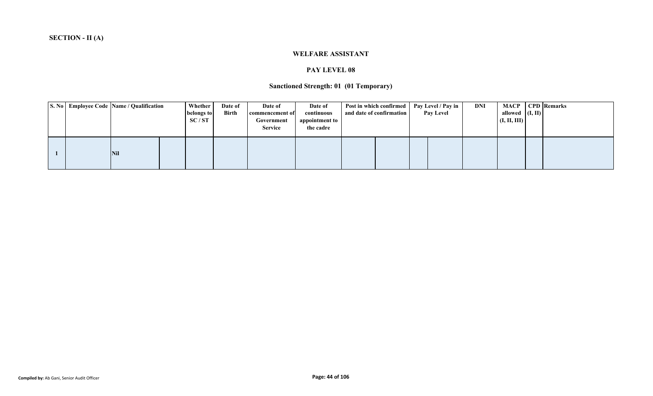#### **WELFARE ASSISTANT**

### **PAY LEVEL 08**

## **Sanctioned Strength: 01 (01 Temporary)**

|  | S. No Employee Code Name / Qualification | <b>Whether</b><br>belongs to<br>SC/ST | Date of<br>Birth | Date of<br>commencement of<br>Government<br><b>Service</b> | Date of<br>continuous<br>appointment to<br>the cadre | and date of confirmation | Post in which confirmed | Pay Level / Pay in<br>Pay Level | DNI | MACP 1<br>allowed $($ I, II)<br>(I, II, III) | <b>CPD</b> Remarks |
|--|------------------------------------------|---------------------------------------|------------------|------------------------------------------------------------|------------------------------------------------------|--------------------------|-------------------------|---------------------------------|-----|----------------------------------------------|--------------------|
|  | <b>Nil</b>                               |                                       |                  |                                                            |                                                      |                          |                         |                                 |     |                                              |                    |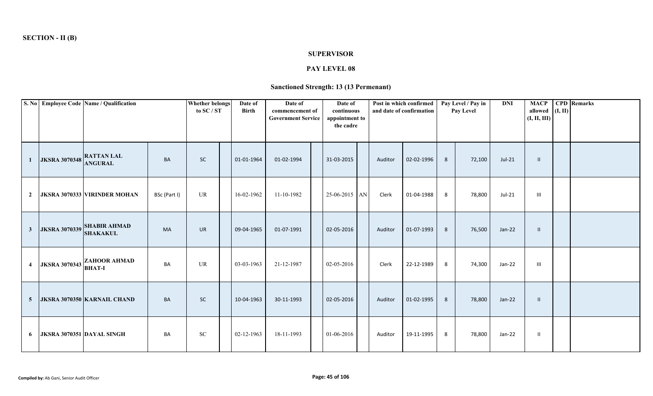#### **SUPERVISOR**

# **PAY LEVEL 08**

# **Sanctioned Strength: 13 (13 Permenant)**

|                |                                 | S. No Employee Code Name / Qualification      |              | <b>Whether belongs</b><br>to SC / ST | Date of<br><b>Birth</b> | Date of<br>commencement of<br><b>Government Service</b> | Date of<br>continuous<br>appointment to<br>the cadre |         | Post in which confirmed<br>and date of confirmation |   | Pay Level / Pay in<br>Pay Level | <b>DNI</b> | <b>MACP</b><br>allowed $(I, II)$<br>(I, II, III) | <b>CPD</b> Remarks |
|----------------|---------------------------------|-----------------------------------------------|--------------|--------------------------------------|-------------------------|---------------------------------------------------------|------------------------------------------------------|---------|-----------------------------------------------------|---|---------------------------------|------------|--------------------------------------------------|--------------------|
|                | <b>JKSRA 3070348 RATTAN LAL</b> |                                               | <b>BA</b>    | <b>SC</b>                            | 01-01-1964              | 01-02-1994                                              | 31-03-2015                                           | Auditor | 02-02-1996                                          | 8 | 72,100                          | $Jul-21$   | $\mathbf{H}$                                     |                    |
| $\mathbf{2}$   |                                 | <b>JKSRA 3070333 VIRINDER MOHAN</b>           | BSc (Part I) | UR                                   | 16-02-1962              | 11-10-1982                                              | 25-06-2015 AN                                        | Clerk   | 01-04-1988                                          | 8 | 78,800                          | Jul-21     | $\mathbf{III}$                                   |                    |
| 3 <sup>1</sup> |                                 | JKSRA 3070339 SHABIR AHMAD<br><b>SHAKAKUL</b> | MA           | <b>UR</b>                            | 09-04-1965              | 01-07-1991                                              | 02-05-2016                                           | Auditor | 01-07-1993                                          | 8 | 76,500                          | Jan-22     | $\mathbf{H}$                                     |                    |
| $\overline{4}$ | <b>JKSRA 3070343</b>            | <b>ZAHOOR AHMAD</b><br><b>BHAT-I</b>          | BA           | UR                                   | 03-03-1963              | 21-12-1987                                              | 02-05-2016                                           | Clerk   | 22-12-1989                                          | 8 | 74,300                          | Jan-22     | $\mathbf{III}$                                   |                    |
| 5 <sup>5</sup> |                                 | <b>JKSRA 3070350 KARNAIL CHAND</b>            | <b>BA</b>    | <b>SC</b>                            | 10-04-1963              | 30-11-1993                                              | 02-05-2016                                           | Auditor | 01-02-1995                                          | 8 | 78,800                          | Jan-22     | -II                                              |                    |
| 6              |                                 | JKSRA 3070351 DAYAL SINGH                     | BA           | ${\rm SC}$                           | 02-12-1963              | 18-11-1993                                              | 01-06-2016                                           | Auditor | 19-11-1995                                          | 8 | 78,800                          | Jan-22     | $\mathbf{I}$                                     |                    |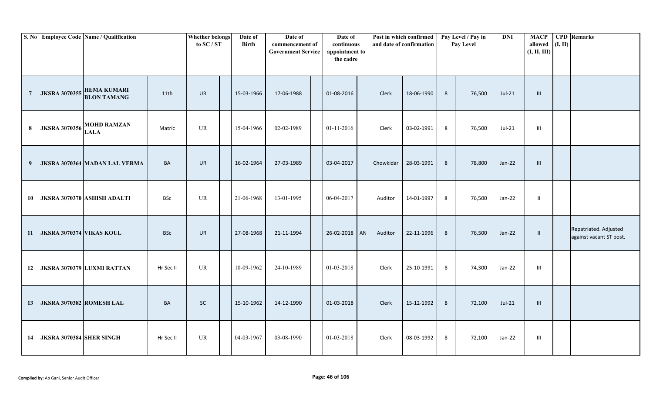|                |                          | S. No Employee Code Name / Qualification               |            | <b>Whether belongs</b><br>to SC / ST | Date of<br><b>Birth</b> | Date of<br>commencement of<br><b>Government Service</b> | Date of<br>continuous<br>appointment to<br>the cadre |           | Post in which confirmed<br>and date of confirmation |   | Pay Level / Pay in<br>Pay Level | <b>DNI</b> | <b>MACP</b><br>allowed<br>(I, II, III) | (I, II) | <b>CPD</b> Remarks                               |
|----------------|--------------------------|--------------------------------------------------------|------------|--------------------------------------|-------------------------|---------------------------------------------------------|------------------------------------------------------|-----------|-----------------------------------------------------|---|---------------------------------|------------|----------------------------------------|---------|--------------------------------------------------|
| $\overline{7}$ |                          | <b>JKSRA 3070355 HEMA KUMARI</b><br><b>BLON TAMANG</b> | 11th       | <b>UR</b>                            | 15-03-1966              | 17-06-1988                                              | 01-08-2016                                           | Clerk     | 18-06-1990                                          | 8 | 76,500                          | $Jul-21$   | $\mathbf{III}$                         |         |                                                  |
| 8              | <b>JKSRA 3070356</b>     | <b>MOHD RAMZAN</b><br><b>LALA</b>                      | Matric     | <b>UR</b>                            | 15-04-1966              | 02-02-1989                                              | 01-11-2016                                           | Clerk     | 03-02-1991                                          | 8 | 76,500                          | $Jul-21$   | $\  \ $                                |         |                                                  |
| 9              |                          | JKSRA 3070364 MADAN LAL VERMA                          | <b>BA</b>  | <b>UR</b>                            | 16-02-1964              | 27-03-1989                                              | 03-04-2017                                           | Chowkidar | 28-03-1991                                          | 8 | 78,800                          | $Jan-22$   | $\mathbf{III}$                         |         |                                                  |
| 10             |                          | JKSRA 3070370 ASHISH ADALTI                            | <b>BSc</b> | <b>UR</b>                            | 21-06-1968              | 13-01-1995                                              | 06-04-2017                                           | Auditor   | 14-01-1997                                          | 8 | 76,500                          | Jan-22     | $\mathbf{II}$                          |         |                                                  |
| <b>11</b>      | JKSRA 3070374 VIKAS KOUL |                                                        | <b>BSc</b> | <b>UR</b>                            | 27-08-1968              | 21-11-1994                                              | 26-02-2018 AN                                        | Auditor   | 22-11-1996                                          | 8 | 76,500                          | $Jan-22$   | $\mathbf{II}$                          |         | Repatriated. Adjusted<br>against vacant ST post. |
| 12             |                          | JKSRA 3070379 LUXMI RATTAN                             | Hr Sec II  | <b>UR</b>                            | 10-09-1962              | 24-10-1989                                              | 01-03-2018                                           | Clerk     | 25-10-1991                                          | 8 | 74,300                          | Jan-22     | $\  \ $                                |         |                                                  |
| 13             | JKSRA 3070382 ROMESH LAL |                                                        | BA         | <b>SC</b>                            | 15-10-1962              | 14-12-1990                                              | 01-03-2018                                           | Clerk     | 15-12-1992                                          | 8 | 72,100                          | $Jul-21$   | III                                    |         |                                                  |
| 14             | JKSRA 3070384 SHER SINGH |                                                        | Hr Sec II  | UR                                   | 04-03-1967              | 03-08-1990                                              | 01-03-2018                                           | Clerk     | 08-03-1992                                          | 8 | 72,100                          | Jan-22     | Ш                                      |         |                                                  |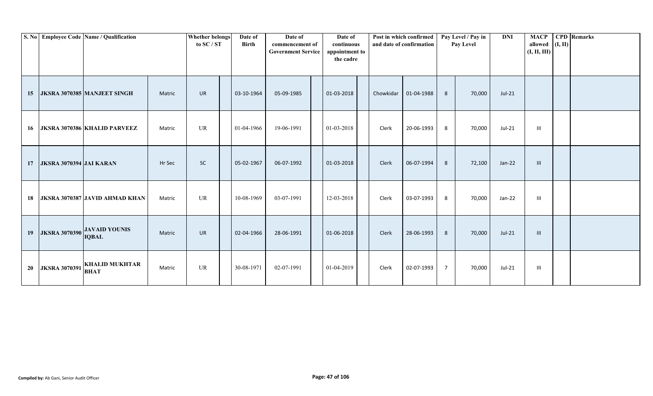|    |                                | S. No Employee Code Name / Qualification |        | <b>Whether belongs</b><br>to $SC/ST$ | Date of<br><b>Birth</b> | Date of<br>commencement of<br><b>Government Service</b> | Date of<br>continuous<br>appointment to<br>the cadre |           | Post in which confirmed<br>and date of confirmation |                | Pay Level / Pay in<br>Pay Level | <b>DNI</b> | <b>MACP</b><br>allowed<br>(I, II, III) | (I, II) | <b>CPD</b> Remarks |
|----|--------------------------------|------------------------------------------|--------|--------------------------------------|-------------------------|---------------------------------------------------------|------------------------------------------------------|-----------|-----------------------------------------------------|----------------|---------------------------------|------------|----------------------------------------|---------|--------------------|
| 15 |                                | <b>JKSRA 3070385 MANJEET SINGH</b>       | Matric | <b>UR</b>                            | 03-10-1964              | 05-09-1985                                              | 01-03-2018                                           | Chowkidar | 01-04-1988                                          | 8              | 70,000                          | $Jul-21$   |                                        |         |                    |
| 16 |                                | <b>JKSRA 3070386 KHALID PARVEEZ</b>      | Matric | UR                                   | 01-04-1966              | 19-06-1991                                              | 01-03-2018                                           | Clerk     | 20-06-1993                                          | 8              | 70,000                          | Jul-21     | Ш                                      |         |                    |
| 17 | <b>JKSRA 3070394 JAI KARAN</b> |                                          | Hr Sec | <b>SC</b>                            | 05-02-1967              | 06-07-1992                                              | 01-03-2018                                           | Clerk     | 06-07-1994                                          | 8              | 72,100                          | Jan-22     | III                                    |         |                    |
| 18 |                                | <b>JKSRA 3070387 JAVID AHMAD KHAN</b>    | Matric | <b>UR</b>                            | 10-08-1969              | 03-07-1991                                              | 12-03-2018                                           | Clerk     | 03-07-1993                                          | 8              | 70,000                          | Jan-22     | $\mathbf{III}$                         |         |                    |
| 19 | <b>JKSRA 3070390</b>           | <b>JAVAID YOUNIS</b><br><b>IQBAL</b>     | Matric | <b>UR</b>                            | 02-04-1966              | 28-06-1991                                              | 01-06-2018                                           | Clerk     | 28-06-1993                                          | 8              | 70,000                          | $Jul-21$   | $\mathbf{III}$                         |         |                    |
| 20 | <b>JKSRA 3070391</b>           | <b>KHALID MUKHTAR</b><br><b>BHAT</b>     | Matric | UR                                   | 30-08-1971              | 02-07-1991                                              | 01-04-2019                                           | Clerk     | 02-07-1993                                          | $\overline{7}$ | 70,000                          | Jul-21     | Ш                                      |         |                    |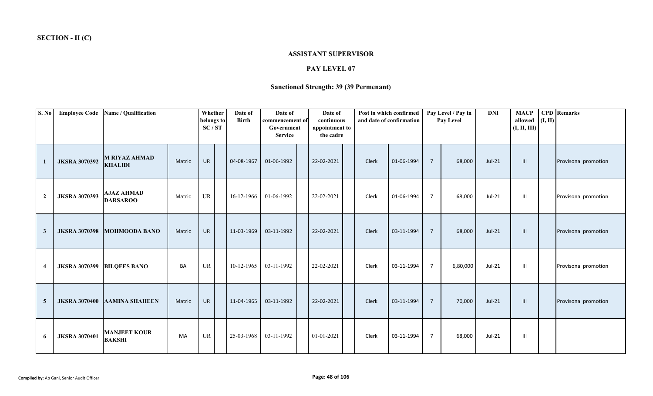### **ASSISTANT SUPERVISOR**

# **PAY LEVEL 07**

# **Sanctioned Strength: 39 (39 Permenant)**

| S. No            | <b>Employee Code</b>       | Name / Qualification                   |        | Whether<br>belongs to<br>SC/ST | Date of<br><b>Birth</b> | Date of<br>commencement of<br>Government<br><b>Service</b> | Date of<br>continuous<br>appointment to<br>the cadre | Post in which confirmed | and date of confirmation |                | Pay Level / Pay in<br><b>Pay Level</b> | <b>DNI</b> | <b>MACP</b><br>allowed<br>(I, II, III) | (I, II) | <b>CPD</b> Remarks   |
|------------------|----------------------------|----------------------------------------|--------|--------------------------------|-------------------------|------------------------------------------------------------|------------------------------------------------------|-------------------------|--------------------------|----------------|----------------------------------------|------------|----------------------------------------|---------|----------------------|
|                  | <b>JKSRA 3070392</b>       | <b>M RIYAZ AHMAD</b><br><b>KHALIDI</b> | Matric | <b>UR</b>                      | 04-08-1967              | 01-06-1992                                                 | 22-02-2021                                           | Clerk                   | 01-06-1994               | $\overline{7}$ | 68,000                                 | $Jul-21$   | $\mathbf{m}$                           |         | Provisonal promotion |
| $\overline{2}$   | <b>JKSRA 3070393</b>       | <b>AJAZ AHMAD</b><br><b>DARSAROO</b>   | Matric | UR                             | 16-12-1966              | 01-06-1992                                                 | 22-02-2021                                           | Clerk                   | 01-06-1994               | $\overline{7}$ | 68,000                                 | Jul-21     | -III                                   |         | Provisonal promotion |
| $\mathbf{3}$     | <b>JKSRA 3070398</b>       | <b>MOHMOODA BANO</b>                   | Matric | <b>UR</b>                      | 11-03-1969              | 03-11-1992                                                 | 22-02-2021                                           | Clerk                   | 03-11-1994               | $\overline{7}$ | 68,000                                 | $Jul-21$   | III                                    |         | Provisonal promotion |
| $\boldsymbol{4}$ | JKSRA 3070399 BILQEES BANO |                                        | BA     | <b>UR</b>                      | 10-12-1965              | 03-11-1992                                                 | 22-02-2021                                           | Clerk                   | 03-11-1994               | $\overline{7}$ | 6,80,000                               | Jul-21     | $\mathbf{III}$                         |         | Provisonal promotion |
| $\overline{5}$   | <b>JKSRA 3070400</b>       | <b>AAMINA SHAHEEN</b>                  | Matric | <b>UR</b>                      | 11-04-1965              | 03-11-1992                                                 | 22-02-2021                                           | Clerk                   | 03-11-1994               | $\overline{7}$ | 70,000                                 | $Jul-21$   | $\mathbf{m}$                           |         | Provisonal promotion |
| 6                | <b>JKSRA 3070401</b>       | <b>MANJEET KOUR</b><br><b>BAKSHI</b>   | MA     | UR                             | 25-03-1968              | 03-11-1992                                                 | 01-01-2021                                           | Clerk                   | 03-11-1994               | $\overline{7}$ | 68,000                                 | $Jul-21$   | $\mathbf{III}$                         |         |                      |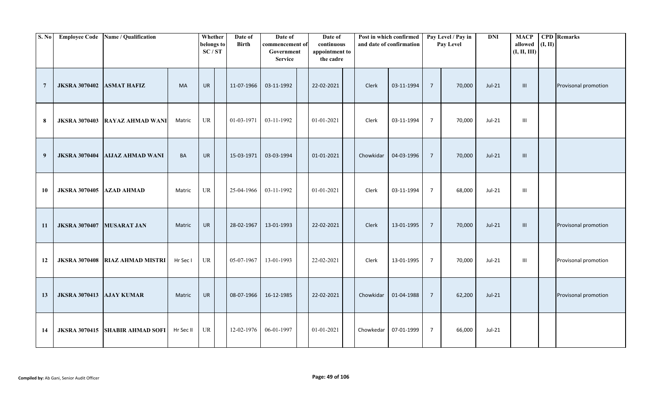| S. No          | <b>Employee Code</b> | Name / Qualification     |           | Whether<br>belongs to<br>SC/ST | Date of<br><b>Birth</b> | Date of<br>commencement of<br>Government<br><b>Service</b> | Date of<br>continuous<br>appointment to<br>the cadre |           | Post in which confirmed<br>and date of confirmation |                | Pay Level / Pay in<br>Pay Level | <b>DNI</b> | <b>MACP</b><br>allowed<br>(I, II, III) | (I, II) | <b>CPD</b> Remarks   |
|----------------|----------------------|--------------------------|-----------|--------------------------------|-------------------------|------------------------------------------------------------|------------------------------------------------------|-----------|-----------------------------------------------------|----------------|---------------------------------|------------|----------------------------------------|---------|----------------------|
| $\overline{7}$ | <b>JKSRA 3070402</b> | <b>ASMAT HAFIZ</b>       | MA        | UR                             | 11-07-1966              | 03-11-1992                                                 | 22-02-2021                                           | Clerk     | 03-11-1994                                          | $\overline{7}$ | 70,000                          | $Jul-21$   | III                                    |         | Provisonal promotion |
| 8              | <b>JKSRA 3070403</b> | <b>RAYAZ AHMAD WANI</b>  | Matric    | UR                             | 01-03-1971              | 03-11-1992                                                 | 01-01-2021                                           | Clerk     | 03-11-1994                                          | $\overline{7}$ | 70,000                          | Jul-21     | Ш                                      |         |                      |
| 9              | <b>JKSRA 3070404</b> | <b>AIJAZ AHMAD WANI</b>  | BA        | <b>UR</b>                      | 15-03-1971              | 03-03-1994                                                 | 01-01-2021                                           | Chowkidar | 04-03-1996                                          | $\overline{7}$ | 70,000                          | $Jul-21$   | $\mathbf{III}$                         |         |                      |
| 10             | <b>JKSRA 3070405</b> | <b>AZAD AHMAD</b>        | Matric    | UR                             | 25-04-1966              | 03-11-1992                                                 | 01-01-2021                                           | Clerk     | 03-11-1994                                          | $\overline{7}$ | 68,000                          | Jul-21     | III                                    |         |                      |
| 11             | <b>JKSRA 3070407</b> | <b>MUSARAT JAN</b>       | Matric    | UR                             | 28-02-1967              | 13-01-1993                                                 | 22-02-2021                                           | Clerk     | 13-01-1995                                          | $\overline{7}$ | 70,000                          | $Jul-21$   | Ш                                      |         | Provisonal promotion |
| 12             | <b>JKSRA 3070408</b> | <b>RIAZ AHMAD MISTRI</b> | Hr Sec I  | <b>UR</b>                      | 05-07-1967              | 13-01-1993                                                 | 22-02-2021                                           | Clerk     | 13-01-1995                                          | $\overline{7}$ | 70,000                          | Jul-21     | Ш                                      |         | Provisonal promotion |
| 13             | <b>JKSRA 3070413</b> | <b>AJAY KUMAR</b>        | Matric    | UR                             | 08-07-1966              | 16-12-1985                                                 | 22-02-2021                                           | Chowkidar | 01-04-1988                                          | $\overline{7}$ | 62,200                          | $Jul-21$   |                                        |         | Provisonal promotion |
| 14             | <b>JKSRA 3070415</b> | <b>SHABIR AHMAD SOFI</b> | Hr Sec II | UR                             | 12-02-1976              | 06-01-1997                                                 | 01-01-2021                                           | Chowkedar | 07-01-1999                                          | $\overline{7}$ | 66,000                          | Jul-21     |                                        |         |                      |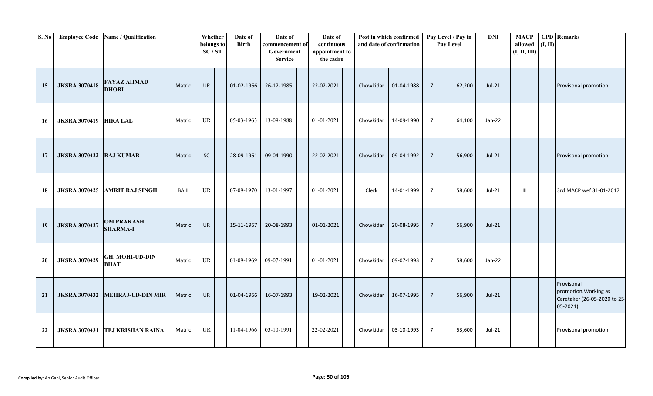| <b>S. No</b> | <b>Employee Code</b> | Name / Qualification                  |        | Whether<br>belongs to<br>SC/ST | Date of<br><b>Birth</b> | Date of<br>commencement of<br>Government<br><b>Service</b> | Date of<br>continuous<br>appointment to<br>the cadre |           | Post in which confirmed<br>and date of confirmation |                | Pay Level / Pay in<br>Pay Level | <b>DNI</b> | <b>MACP</b><br>allowed<br>(I, II, III) | (I, II) | <b>CPD</b> Remarks                                                                 |
|--------------|----------------------|---------------------------------------|--------|--------------------------------|-------------------------|------------------------------------------------------------|------------------------------------------------------|-----------|-----------------------------------------------------|----------------|---------------------------------|------------|----------------------------------------|---------|------------------------------------------------------------------------------------|
| 15           | <b>JKSRA 3070418</b> | <b>FAYAZ AHMAD</b><br><b>DHOBI</b>    | Matric | <b>UR</b>                      | 01-02-1966              | 26-12-1985                                                 | 22-02-2021                                           | Chowkidar | 01-04-1988                                          | $\overline{7}$ | 62,200                          | Jul-21     |                                        |         | Provisonal promotion                                                               |
| 16           | <b>JKSRA 3070419</b> | <b>HIRA LAL</b>                       | Matric | UR                             | 05-03-1963              | 13-09-1988                                                 | $01 - 01 - 2021$                                     | Chowkidar | 14-09-1990                                          | $\overline{7}$ | 64,100                          | Jan-22     |                                        |         |                                                                                    |
| 17           | <b>JKSRA 3070422</b> | <b>RAJ KUMAR</b>                      | Matric | $\sf SC$                       | 28-09-1961              | 09-04-1990                                                 | 22-02-2021                                           | Chowkidar | 09-04-1992                                          | $\overline{7}$ | 56,900                          | $Jul-21$   |                                        |         | Provisonal promotion                                                               |
| 18           | <b>JKSRA 3070425</b> | <b>AMRIT RAJ SINGH</b>                | BA II  | <b>UR</b>                      | 07-09-1970              | 13-01-1997                                                 | 01-01-2021                                           | Clerk     | 14-01-1999                                          | $\overline{7}$ | 58,600                          | Jul-21     | Ш                                      |         | 3rd MACP wef 31-01-2017                                                            |
| 19           | <b>JKSRA 3070427</b> | <b>OM PRAKASH</b><br><b>SHARMA-I</b>  | Matric | <b>UR</b>                      | 15-11-1967              | 20-08-1993                                                 | 01-01-2021                                           | Chowkidar | 20-08-1995                                          | $\overline{7}$ | 56,900                          | Jul-21     |                                        |         |                                                                                    |
| 20           | <b>JKSRA 3070429</b> | <b>GH. MOHI-UD-DIN</b><br><b>BHAT</b> | Matric | UR                             | 01-09-1969              | 09-07-1991                                                 | $01 - 01 - 2021$                                     | Chowkidar | 09-07-1993                                          | $\overline{7}$ | 58,600                          | Jan-22     |                                        |         |                                                                                    |
| 21           | <b>JKSRA 3070432</b> | <b>MEHRAJ-UD-DIN MIR</b>              | Matric | UR                             | 01-04-1966              | 16-07-1993                                                 | 19-02-2021                                           | Chowkidar | 16-07-1995                                          | $\overline{7}$ | 56,900                          | $Jul-21$   |                                        |         | Provisonal<br>promotion. Working as<br>Caretaker (26-05-2020 to 25-<br>$05 - 2021$ |
| 22           | <b>JKSRA 3070431</b> | <b>TEJ KRISHAN RAINA</b>              | Matric | UR                             | 11-04-1966              | 03-10-1991                                                 | 22-02-2021                                           | Chowkidar | 03-10-1993                                          | $\overline{7}$ | 53,600                          | $Jul-21$   |                                        |         | Provisonal promotion                                                               |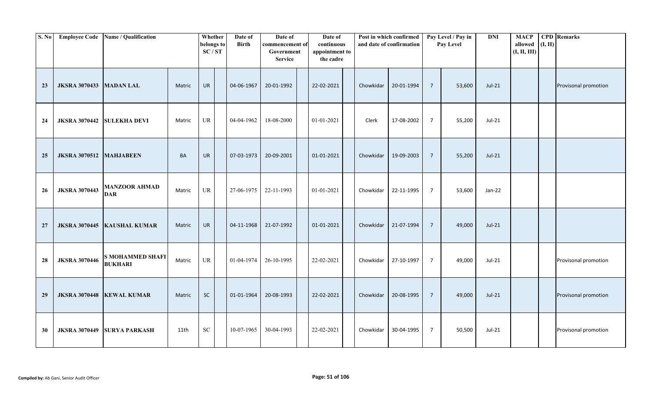| S. No | <b>Employee Code</b>           | Name / Qualification                      |           | Whether<br>belongs to<br>SC/ST | Date of<br><b>Birth</b> | Date of<br>commencement of<br>Government<br><b>Service</b> | Date of<br>continuous<br>appointment to<br>the cadre |           | Post in which confirmed<br>and date of confirmation |                 | Pay Level / Pay in<br>Pay Level | $\mathbf{DNI}$ | <b>MACP</b><br>allowed<br>(I, II, III) | (I, II) | <b>CPD</b> Remarks   |
|-------|--------------------------------|-------------------------------------------|-----------|--------------------------------|-------------------------|------------------------------------------------------------|------------------------------------------------------|-----------|-----------------------------------------------------|-----------------|---------------------------------|----------------|----------------------------------------|---------|----------------------|
| 23    | <b>JKSRA 3070433 MADAN LAL</b> |                                           | Matric    | <b>UR</b>                      | 04-06-1967              | 20-01-1992                                                 | 22-02-2021                                           | Chowkidar | 20-01-1994                                          | $\overline{7}$  | 53,600                          | $Jul-21$       |                                        |         | Provisonal promotion |
| 24    |                                | JKSRA 3070442 SULEKHA DEVI                | Matric    | UR                             | 04-04-1962              | 18-08-2000                                                 | 01-01-2021                                           | Clerk     | 17-08-2002                                          | 7               | 55,200                          | $Jul-21$       |                                        |         |                      |
| 25    | JKSRA 3070512 MAHJABEEN        |                                           | <b>BA</b> | <b>UR</b>                      | 07-03-1973              | 20-09-2001                                                 | 01-01-2021                                           | Chowkidar | 19-09-2003                                          | $\overline{7}$  | 55,200                          | $Jul-21$       |                                        |         |                      |
| 26    | <b>JKSRA 3070443</b>           | <b>MANZOOR AHMAD</b><br><b>DAR</b>        | Matric    | UR                             | 27-06-1975              | 22-11-1993                                                 | 01-01-2021                                           | Chowkidar | 22-11-1995                                          | $\overline{7}$  | 53,600                          | Jan-22         |                                        |         |                      |
| 27    | <b>JKSRA 3070445</b>           | <b>KAUSHAL KUMAR</b>                      | Matric    | UR                             | 04-11-1968              | 21-07-1992                                                 | 01-01-2021                                           | Chowkidar | 21-07-1994                                          | $\overline{7}$  | 49,000                          | $Jul-21$       |                                        |         |                      |
| 28    | <b>JKSRA 3070446</b>           | <b>S MOHAMMED SHAFI</b><br><b>BUKHARI</b> | Matric    | <b>UR</b>                      | 01-04-1974              | 26-10-1995                                                 | 22-02-2021                                           | Chowkidar | 27-10-1997                                          | $\overline{7}$  | 49,000                          | Jul-21         |                                        |         | Provisonal promotion |
| 29    |                                | JKSRA 3070448   KEWAL KUMAR               | Matric    | ${\sf SC}$                     | 01-01-1964              | 20-08-1993                                                 | 22-02-2021                                           | Chowkidar | 20-08-1995                                          | $\overline{7}$  | 49,000                          | $Jul-21$       |                                        |         | Provisonal promotion |
| 30    |                                | JKSRA 3070449 SURYA PARKASH               | 11th      | <b>SC</b>                      | 10-07-1965              | 30-04-1993                                                 | 22-02-2021                                           | Chowkidar | 30-04-1995                                          | $7\overline{ }$ | 50,500                          | Jul-21         |                                        |         | Provisonal promotion |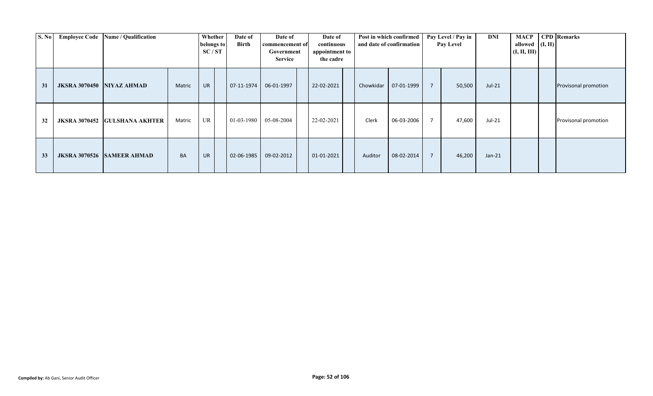| S. No | <b>Employee Code</b>      | Name / Qualification              |           | Whether<br>belongs to<br>SC/ST | Date of<br><b>Birth</b> | Date of<br>commencement of<br>Government<br><b>Service</b> | Date of<br>continuous<br>appointment to<br>the cadre |           | Post in which confirmed<br>and date of confirmation |                | Pay Level / Pay in<br>Pay Level | DNI      | allowed $(I, II)$<br>(I, II, III) | <b>MACP</b> CPD Remarks |
|-------|---------------------------|-----------------------------------|-----------|--------------------------------|-------------------------|------------------------------------------------------------|------------------------------------------------------|-----------|-----------------------------------------------------|----------------|---------------------------------|----------|-----------------------------------|-------------------------|
| 31    | JKSRA 3070450 NIYAZ AHMAD |                                   | Matric    | UR                             | 07-11-1974              | 06-01-1997                                                 | 22-02-2021                                           | Chowkidar | 07-01-1999                                          | $\overline{7}$ | 50,500                          | Jul-21   |                                   | Provisonal promotion    |
| 32    | <b>JKSRA 3070452</b>      | <b>GULSHANA AKHTER</b>            | Matric    | UR                             | 01-03-1980              | 05-08-2004                                                 | 22-02-2021                                           | Clerk     | 06-03-2006                                          | $\overline{7}$ | 47,600                          | Jul-21   |                                   | Provisonal promotion    |
| 33    |                           | <b>JKSRA 3070526 SAMEER AHMAD</b> | <b>BA</b> | <b>UR</b>                      | 02-06-1985              | 09-02-2012                                                 | 01-01-2021                                           | Auditor   | 08-02-2014                                          | $\overline{7}$ | 46,200                          | $Jan-21$ |                                   |                         |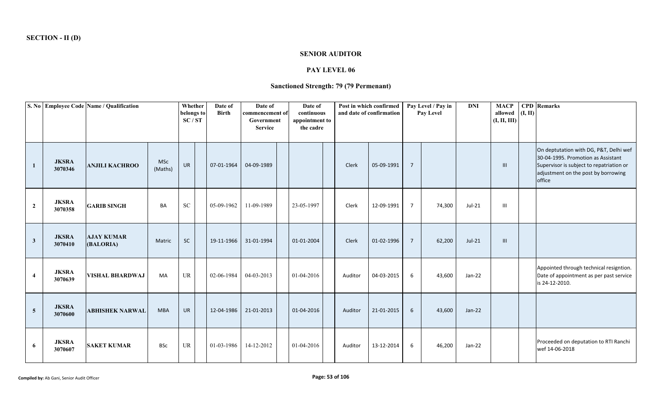### **SENIOR AUDITOR**

## **PAY LEVEL 06**

# **Sanctioned Strength: 79 (79 Permenant)**

| S. No          |                         | <b>Employee Code Name / Qualification</b> |                       | Whether<br>belongs to           | Date of<br><b>Birth</b> | Date of<br>commencement of   | Date of<br>continuous       |         | Post in which confirmed<br>and date of confirmation |                | Pay Level / Pay in<br>Pay Level | <b>DNI</b> | <b>MACP</b><br>allowed | (I, II) | <b>CPD</b> Remarks                                                                                                                                                        |
|----------------|-------------------------|-------------------------------------------|-----------------------|---------------------------------|-------------------------|------------------------------|-----------------------------|---------|-----------------------------------------------------|----------------|---------------------------------|------------|------------------------|---------|---------------------------------------------------------------------------------------------------------------------------------------------------------------------------|
|                |                         |                                           |                       | SC/ST                           |                         | Government<br><b>Service</b> | appointment to<br>the cadre |         |                                                     |                |                                 |            | (I, II, III)           |         |                                                                                                                                                                           |
| $\mathbf{1}$   | <b>JKSRA</b><br>3070346 | <b>ANJILI KACHROO</b>                     | <b>MSc</b><br>(Maths) | <b>UR</b>                       | 07-01-1964              | 04-09-1989                   |                             | Clerk   | 05-09-1991                                          | $\overline{7}$ |                                 |            | $\mathbf{III}$         |         | On deptutation with DG, P&T, Delhi wef<br>30-04-1995. Promotion as Assistant<br>Supervisor is subject to repatriation or<br>adjustment on the post by borrowing<br>office |
| $\mathbf{2}$   | <b>JKSRA</b><br>3070358 | <b>GARIB SINGH</b>                        | <b>BA</b>             | ${\rm SC}$                      | 05-09-1962              | 11-09-1989                   | 23-05-1997                  | Clerk   | 12-09-1991                                          | $\overline{7}$ | 74,300                          | Jul-21     | Ш                      |         |                                                                                                                                                                           |
| $\mathbf{3}$   | <b>JKSRA</b><br>3070410 | <b>AJAY KUMAR</b><br>(BALORIA)            | Matric                | SC                              | 19-11-1966              | 31-01-1994                   | 01-01-2004                  | Clerk   | 01-02-1996                                          | $\overline{7}$ | 62,200                          | $Jul-21$   | III                    |         |                                                                                                                                                                           |
| $\overline{4}$ | <b>JKSRA</b><br>3070639 | <b>VISHAL BHARDWAJ</b>                    | MA                    | UR                              | 02-06-1984              | 04-03-2013                   | 01-04-2016                  | Auditor | 04-03-2015                                          | 6              | 43,600                          | $Jan-22$   |                        |         | Appointed through technical resigntion.<br>Date of appointment as per past service<br>is 24-12-2010.                                                                      |
| $\overline{5}$ | <b>JKSRA</b><br>3070600 | <b>ABHISHEK NARWAL</b>                    | <b>MBA</b>            | <b>UR</b>                       | 12-04-1986              | 21-01-2013                   | 01-04-2016                  | Auditor | 21-01-2015                                          | 6              | 43,600                          | $Jan-22$   |                        |         |                                                                                                                                                                           |
| 6              | <b>JKSRA</b><br>3070607 | <b>SAKET KUMAR</b>                        | <b>BSc</b>            | $\ensuremath{\text{UR}}\xspace$ | 01-03-1986              | 14-12-2012                   | 01-04-2016                  | Auditor | 13-12-2014                                          | 6              | 46,200                          | $Jan-22$   |                        |         | Proceeded on deputation to RTI Ranchi<br>wef 14-06-2018                                                                                                                   |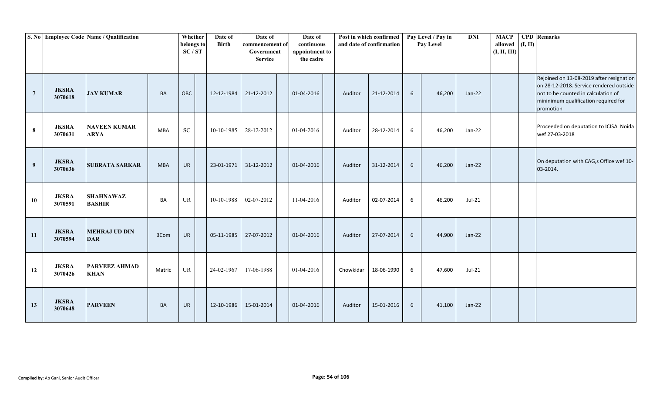|                |                         | S. No Employee Code Name / Qualification |             | Whether<br>belongs to<br>SC/ST    | Date of<br><b>Birth</b> | Date of<br>commencement of<br>Government<br><b>Service</b> | Date of<br>continuous<br>appointment to<br>the cadre |           | Post in which confirmed<br>and date of confirmation |   | Pay Level / Pay in<br>Pay Level | <b>DNI</b> | <b>MACP</b><br>allowed<br>(I, II, III) | (I, II) | <b>CPD</b> Remarks                                                                                                                                                              |
|----------------|-------------------------|------------------------------------------|-------------|-----------------------------------|-------------------------|------------------------------------------------------------|------------------------------------------------------|-----------|-----------------------------------------------------|---|---------------------------------|------------|----------------------------------------|---------|---------------------------------------------------------------------------------------------------------------------------------------------------------------------------------|
| $\overline{7}$ | <b>JKSRA</b><br>3070618 | <b>JAY KUMAR</b>                         | <b>BA</b>   | OBC                               | 12-12-1984              | 21-12-2012                                                 | 01-04-2016                                           | Auditor   | 21-12-2014                                          | 6 | 46,200                          | $Jan-22$   |                                        |         | Rejoined on 13-08-2019 after resignation<br>on 28-12-2018. Service rendered outside<br>not to be counted in calculation of<br>mininimum qualification required for<br>promotion |
| 8              | <b>JKSRA</b><br>3070631 | <b>NAVEEN KUMAR</b><br><b>ARYA</b>       | <b>MBA</b>  | ${\rm SC}$                        | 10-10-1985              | 28-12-2012                                                 | 01-04-2016                                           | Auditor   | 28-12-2014                                          | 6 | 46,200                          | Jan-22     |                                        |         | Proceeded on deputation to ICISA Noida<br>wef 27-03-2018                                                                                                                        |
| 9              | <b>JKSRA</b><br>3070636 | <b>SUBRATA SARKAR</b>                    | <b>MBA</b>  | <b>UR</b>                         | 23-01-1971              | 31-12-2012                                                 | 01-04-2016                                           | Auditor   | 31-12-2014                                          | 6 | 46,200                          | $Jan-22$   |                                        |         | On deputation with CAG,s Office wef 10-<br>03-2014.                                                                                                                             |
| 10             | <b>JKSRA</b><br>3070591 | <b>SHAHNAWAZ</b><br><b>BASHIR</b>        | <b>BA</b>   | $\ensuremath{\mathsf{UR}}\xspace$ | 10-10-1988              | 02-07-2012                                                 | 11-04-2016                                           | Auditor   | 02-07-2014                                          | 6 | 46,200                          | Jul-21     |                                        |         |                                                                                                                                                                                 |
| 11             | <b>JKSRA</b><br>3070594 | <b>MEHRAJ UD DIN</b><br><b>DAR</b>       | <b>BCom</b> | <b>UR</b>                         | 05-11-1985              | 27-07-2012                                                 | 01-04-2016                                           | Auditor   | 27-07-2014                                          | 6 | 44,900                          | $Jan-22$   |                                        |         |                                                                                                                                                                                 |
| 12             | <b>JKSRA</b><br>3070426 | <b>PARVEEZ AHMAD</b><br><b>KHAN</b>      | Matric      | $\ensuremath{\mathsf{UR}}\xspace$ | 24-02-1967              | 17-06-1988                                                 | 01-04-2016                                           | Chowkidar | 18-06-1990                                          | 6 | 47,600                          | $Jul-21$   |                                        |         |                                                                                                                                                                                 |
| 13             | <b>JKSRA</b><br>3070648 | <b>PARVEEN</b>                           | <b>BA</b>   | <b>UR</b>                         | 12-10-1986              | 15-01-2014                                                 | 01-04-2016                                           | Auditor   | 15-01-2016                                          | 6 | 41,100                          | Jan-22     |                                        |         |                                                                                                                                                                                 |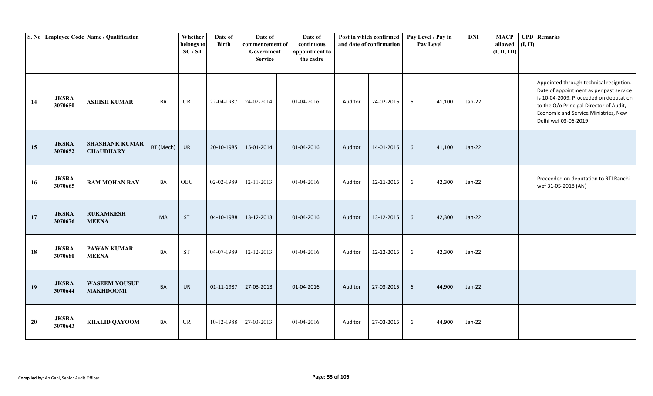|    |                         | S. No Employee Code Name / Qualification  |           | Whether<br>belongs to<br>SC/ST    | Date of<br><b>Birth</b> | Date of<br>commencement of<br>Government<br><b>Service</b> | Date of<br>continuous<br>appointment to<br>the cadre |         | Post in which confirmed<br>and date of confirmation |   | Pay Level / Pay in<br>Pay Level | <b>DNI</b> | <b>MACP</b><br>allowed<br>(I, II, III) | (I, II) | <b>CPD</b> Remarks                                                                                                                                                                                                                      |
|----|-------------------------|-------------------------------------------|-----------|-----------------------------------|-------------------------|------------------------------------------------------------|------------------------------------------------------|---------|-----------------------------------------------------|---|---------------------------------|------------|----------------------------------------|---------|-----------------------------------------------------------------------------------------------------------------------------------------------------------------------------------------------------------------------------------------|
| 14 | <b>JKSRA</b><br>3070650 | <b>ASHISH KUMAR</b>                       | BA        | $\ensuremath{\mathsf{UR}}\xspace$ | 22-04-1987              | 24-02-2014                                                 | 01-04-2016                                           | Auditor | 24-02-2016                                          | 6 | 41,100                          | Jan-22     |                                        |         | Appointed through technical resigntion.<br>Date of appointment as per past service<br>is 10-04-2009. Proceeded on deputation<br>to the O/o Principal Director of Audit,<br>Economic and Service Ministries, New<br>Delhi wef 03-06-2019 |
| 15 | <b>JKSRA</b><br>3070652 | <b>SHASHANK KUMAR</b><br><b>CHAUDHARY</b> | BT (Mech) | <b>UR</b>                         | 20-10-1985              | 15-01-2014                                                 | 01-04-2016                                           | Auditor | 14-01-2016                                          | 6 | 41,100                          | Jan-22     |                                        |         |                                                                                                                                                                                                                                         |
| 16 | <b>JKSRA</b><br>3070665 | <b>RAM MOHAN RAY</b>                      | BA        | OBC                               | 02-02-1989              | 12-11-2013                                                 | 01-04-2016                                           | Auditor | 12-11-2015                                          | 6 | 42,300                          | Jan-22     |                                        |         | Proceeded on deputation to RTI Ranchi<br>wef 31-05-2018 (AN)                                                                                                                                                                            |
| 17 | <b>JKSRA</b><br>3070676 | <b>RUKAMKESH</b><br><b>MEENA</b>          | <b>MA</b> | <b>ST</b>                         | 04-10-1988              | 13-12-2013                                                 | 01-04-2016                                           | Auditor | 13-12-2015                                          | 6 | 42,300                          | Jan-22     |                                        |         |                                                                                                                                                                                                                                         |
| 18 | <b>JKSRA</b><br>3070680 | <b>PAWAN KUMAR</b><br><b>MEENA</b>        | BA        | <b>ST</b>                         | 04-07-1989              | 12-12-2013                                                 | 01-04-2016                                           | Auditor | 12-12-2015                                          | 6 | 42,300                          | Jan-22     |                                        |         |                                                                                                                                                                                                                                         |
| 19 | <b>JKSRA</b><br>3070644 | <b>WASEEM YOUSUF</b><br><b>MAKHDOOMI</b>  | <b>BA</b> | <b>UR</b>                         | 01-11-1987              | 27-03-2013                                                 | 01-04-2016                                           | Auditor | 27-03-2015                                          | 6 | 44,900                          | Jan-22     |                                        |         |                                                                                                                                                                                                                                         |
| 20 | <b>JKSRA</b><br>3070643 | <b>KHALID QAYOOM</b>                      | BA        | UR                                | 10-12-1988              | 27-03-2013                                                 | 01-04-2016                                           | Auditor | 27-03-2015                                          | 6 | 44,900                          | Jan-22     |                                        |         |                                                                                                                                                                                                                                         |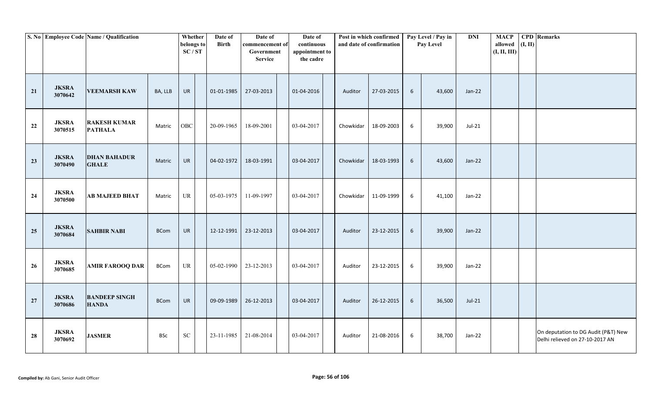|    |                         | S. No Employee Code Name / Qualification |             | Whether<br>belongs to<br>SC/ST    | Date of<br><b>Birth</b> | Date of<br>commencement of<br>Government<br><b>Service</b> | Date of<br>continuous<br>appointment to<br>the cadre |           | Post in which confirmed<br>and date of confirmation |                 | Pay Level / Pay in<br>Pay Level | <b>DNI</b> | <b>MACP</b><br>allowed $(I, II)$<br>(I, II, III) | <b>CPD</b> Remarks                                                     |
|----|-------------------------|------------------------------------------|-------------|-----------------------------------|-------------------------|------------------------------------------------------------|------------------------------------------------------|-----------|-----------------------------------------------------|-----------------|---------------------------------|------------|--------------------------------------------------|------------------------------------------------------------------------|
| 21 | <b>JKSRA</b><br>3070642 | <b>VEEMARSH KAW</b>                      | BA, LLB     | UR                                | 01-01-1985              | 27-03-2013                                                 | 01-04-2016                                           | Auditor   | 27-03-2015                                          | $6\overline{6}$ | 43,600                          | Jan-22     |                                                  |                                                                        |
| 22 | <b>JKSRA</b><br>3070515 | <b>RAKESH KUMAR</b><br><b>PATHALA</b>    | Matric      | OBC                               | 20-09-1965              | 18-09-2001                                                 | 03-04-2017                                           | Chowkidar | 18-09-2003                                          | 6               | 39,900                          | Jul-21     |                                                  |                                                                        |
| 23 | <b>JKSRA</b><br>3070490 | <b>DHAN BAHADUR</b><br><b>GHALE</b>      | Matric      | UR                                | 04-02-1972              | 18-03-1991                                                 | 03-04-2017                                           | Chowkidar | 18-03-1993                                          | 6               | 43,600                          | $Jan-22$   |                                                  |                                                                        |
| 24 | <b>JKSRA</b><br>3070500 | <b>AB MAJEED BHAT</b>                    | Matric      | <b>UR</b>                         | 05-03-1975              | 11-09-1997                                                 | 03-04-2017                                           | Chowkidar | 11-09-1999                                          | 6               | 41,100                          | $Jan-22$   |                                                  |                                                                        |
| 25 | <b>JKSRA</b><br>3070684 | <b>SAHBIR NABI</b>                       | <b>BCom</b> | UR                                | 12-12-1991              | 23-12-2013                                                 | 03-04-2017                                           | Auditor   | 23-12-2015                                          | $6\phantom{.}6$ | 39,900                          | Jan-22     |                                                  |                                                                        |
| 26 | <b>JKSRA</b><br>3070685 | <b>AMIR FAROOQ DAR</b>                   | <b>BCom</b> | $\ensuremath{\mathsf{UR}}\xspace$ | 05-02-1990              | 23-12-2013                                                 | 03-04-2017                                           | Auditor   | 23-12-2015                                          | 6               | 39,900                          | $Jan-22$   |                                                  |                                                                        |
| 27 | <b>JKSRA</b><br>3070686 | <b>BANDEEP SINGH</b><br><b>HANDA</b>     | <b>BCom</b> | UR                                | 09-09-1989              | 26-12-2013                                                 | 03-04-2017                                           | Auditor   | 26-12-2015                                          | 6               | 36,500                          | $Jul-21$   |                                                  |                                                                        |
| 28 | <b>JKSRA</b><br>3070692 | <b>JASMER</b>                            | <b>BSc</b>  | ${\rm SC}$                        | 23-11-1985              | 21-08-2014                                                 | 03-04-2017                                           | Auditor   | 21-08-2016                                          | 6               | 38,700                          | Jan-22     |                                                  | On deputation to DG Audit (P&T) New<br>Delhi relieved on 27-10-2017 AN |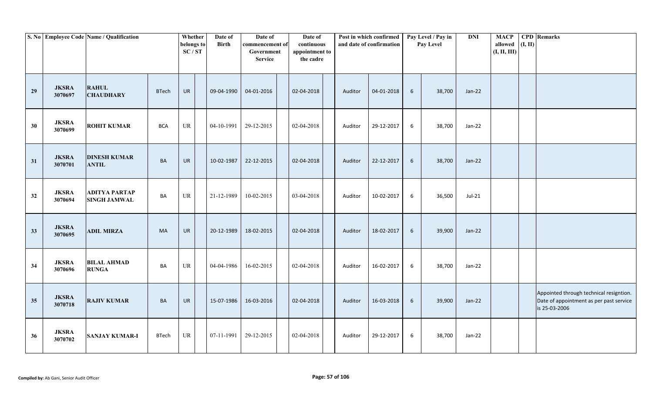|    |                         | S. No Employee Code Name / Qualification    |              | Whether<br>belongs to<br>SC/ST    | Date of<br><b>Birth</b> | Date of<br>commencement of<br>Government<br><b>Service</b> | Date of<br>continuous<br>appointment to<br>the cadre |         | Post in which confirmed<br>and date of confirmation |       | Pay Level / Pay in<br>Pay Level | DNI      | <b>MACP</b><br>allowed $(I, II)$<br>(I, II, III) | <b>CPD</b> Remarks                                                                                  |
|----|-------------------------|---------------------------------------------|--------------|-----------------------------------|-------------------------|------------------------------------------------------------|------------------------------------------------------|---------|-----------------------------------------------------|-------|---------------------------------|----------|--------------------------------------------------|-----------------------------------------------------------------------------------------------------|
| 29 | <b>JKSRA</b><br>3070697 | <b>RAHUL</b><br><b>CHAUDHARY</b>            | <b>BTech</b> | <b>UR</b>                         | 09-04-1990              | 04-01-2016                                                 | 02-04-2018                                           | Auditor | 04-01-2018                                          | 6     | 38,700                          | $Jan-22$ |                                                  |                                                                                                     |
| 30 | <b>JKSRA</b><br>3070699 | <b>ROHIT KUMAR</b>                          | <b>BCA</b>   | $\ensuremath{\mathsf{UR}}\xspace$ | 04-10-1991              | 29-12-2015                                                 | 02-04-2018                                           | Auditor | 29-12-2017                                          | 6     | 38,700                          | Jan-22   |                                                  |                                                                                                     |
| 31 | <b>JKSRA</b><br>3070701 | <b>DINESH KUMAR</b><br><b>ANTIL</b>         | <b>BA</b>    | <b>UR</b>                         | 10-02-1987              | 22-12-2015                                                 | 02-04-2018                                           | Auditor | 22-12-2017                                          | 6     | 38,700                          | $Jan-22$ |                                                  |                                                                                                     |
| 32 | <b>JKSRA</b><br>3070694 | <b>ADITYA PARTAP</b><br><b>SINGH JAMWAL</b> | BA           | $\ensuremath{\mathsf{UR}}\xspace$ | 21-12-1989              | 10-02-2015                                                 | 03-04-2018                                           | Auditor | 10-02-2017                                          | 6     | 36,500                          | Jul-21   |                                                  |                                                                                                     |
| 33 | <b>JKSRA</b><br>3070695 | <b>ADIL MIRZA</b>                           | <b>MA</b>    | UR                                | 20-12-1989              | 18-02-2015                                                 | 02-04-2018                                           | Auditor | 18-02-2017                                          | 6     | 39,900                          | Jan-22   |                                                  |                                                                                                     |
| 34 | <b>JKSRA</b><br>3070696 | <b>BILAL AHMAD</b><br><b>RUNGA</b>          | BA           | $\ensuremath{\mathsf{UR}}\xspace$ | 04-04-1986              | 16-02-2015                                                 | 02-04-2018                                           | Auditor | 16-02-2017                                          | 6     | 38,700                          | Jan-22   |                                                  |                                                                                                     |
| 35 | <b>JKSRA</b><br>3070718 | <b>RAJIV KUMAR</b>                          | BA           | UR                                | 15-07-1986              | 16-03-2016                                                 | 02-04-2018                                           | Auditor | 16-03-2018                                          | $6\,$ | 39,900                          | $Jan-22$ |                                                  | Appointed through technical resigntion.<br>Date of appointment as per past service<br>is 25-03-2006 |
| 36 | <b>JKSRA</b><br>3070702 | <b>SANJAY KUMAR-I</b>                       | <b>BTech</b> | <b>UR</b>                         | 07-11-1991              | 29-12-2015                                                 | 02-04-2018                                           | Auditor | 29-12-2017                                          | 6     | 38,700                          | Jan-22   |                                                  |                                                                                                     |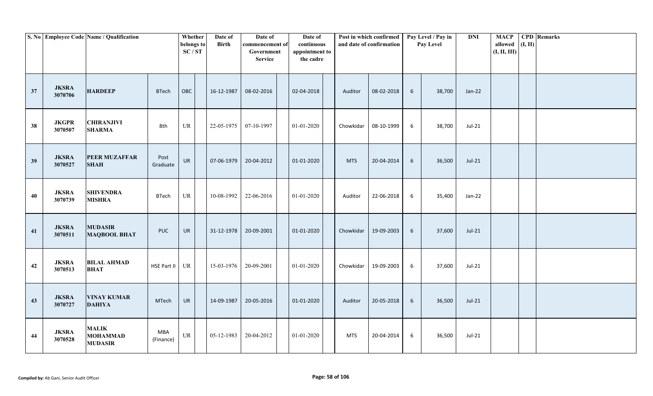|    |                         | S. No Employee Code Name / Qualification          |                  | Whether<br>belongs to<br>SC/ST    | Date of<br><b>Birth</b> | Date of<br>commencement of<br>Government<br><b>Service</b> | Date of<br>continuous<br>appointment to<br>the cadre |            | Post in which confirmed<br>and date of confirmation |                 | Pay Level / Pay in<br>Pay Level | <b>DNI</b> | <b>MACP</b><br>allowed<br>(I, II, III) | (I, II) | <b>CPD</b> Remarks |
|----|-------------------------|---------------------------------------------------|------------------|-----------------------------------|-------------------------|------------------------------------------------------------|------------------------------------------------------|------------|-----------------------------------------------------|-----------------|---------------------------------|------------|----------------------------------------|---------|--------------------|
| 37 | <b>JKSRA</b><br>3070706 | <b>HARDEEP</b>                                    | <b>BTech</b>     | OBC                               | 16-12-1987              | 08-02-2016                                                 | 02-04-2018                                           | Auditor    | 08-02-2018                                          | 6               | 38,700                          | $Jan-22$   |                                        |         |                    |
| 38 | <b>JKGPR</b><br>3070507 | <b>CHIRANJIVI</b><br><b>SHARMA</b>                | 8th              | $\ensuremath{\mathsf{UR}}\xspace$ | 22-05-1975              | 07-10-1997                                                 | 01-01-2020                                           | Chowkidar  | 08-10-1999                                          | 6               | 38,700                          | Jul-21     |                                        |         |                    |
| 39 | <b>JKSRA</b><br>3070527 | <b>PEER MUZAFFAR</b><br><b>SHAH</b>               | Post<br>Graduate | <b>UR</b>                         | 07-06-1979              | 20-04-2012                                                 | 01-01-2020                                           | <b>MTS</b> | 20-04-2014                                          | $6\phantom{.}6$ | 36,500                          | $Jul-21$   |                                        |         |                    |
| 40 | <b>JKSRA</b><br>3070739 | <b>SHIVENDRA</b><br><b>MISHRA</b>                 | <b>BTech</b>     | UR                                | 10-08-1992              | 22-06-2016                                                 | 01-01-2020                                           | Auditor    | 22-06-2018                                          | $6\,$           | 35,400                          | Jan-22     |                                        |         |                    |
| 41 | <b>JKSRA</b><br>3070511 | <b>MUDASIR</b><br><b>MAQBOOL BHAT</b>             | <b>PUC</b>       | UR                                | 31-12-1978              | 20-09-2001                                                 | 01-01-2020                                           | Chowkidar  | 19-09-2003                                          | $6\phantom{.}6$ | 37,600                          | $Jul-21$   |                                        |         |                    |
| 42 | <b>JKSRA</b><br>3070513 | <b>BILAL AHMAD</b><br><b>BHAT</b>                 | HSE Part II UR   |                                   | 15-03-1976              | 20-09-2001                                                 | 01-01-2020                                           | Chowkidar  | 19-09-2003                                          | 6               | 37,600                          | Jul-21     |                                        |         |                    |
| 43 | <b>JKSRA</b><br>3070727 | <b>VINAY KUMAR</b><br><b>DAHIYA</b>               | MTech            | UR                                | 14-09-1987              | 20-05-2016                                                 | 01-01-2020                                           | Auditor    | 20-05-2018                                          | 6               | 36,500                          | $Jul-21$   |                                        |         |                    |
| 44 | <b>JKSRA</b><br>3070528 | <b>MALIK</b><br><b>MOHAMMAD</b><br><b>MUDASIR</b> | MBA<br>(Finance) | $\ensuremath{\mathsf{UR}}\xspace$ | 05-12-1983              | 20-04-2012                                                 | 01-01-2020                                           | <b>MTS</b> | 20-04-2014                                          | 6               | 36,500                          | $Jul-21$   |                                        |         |                    |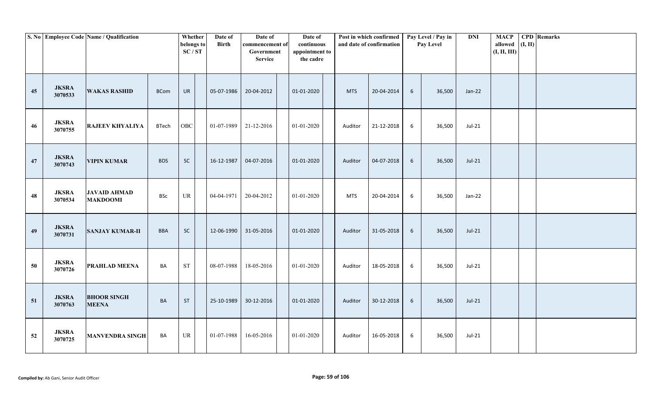|    |                         | S. No Employee Code Name / Qualification |              | Whether<br>belongs to<br>SC/ST    | Date of<br>Birth | Date of<br>commencement of<br>Government<br><b>Service</b> | Date of<br>continuous<br>appointment to<br>the cadre |            | Post in which confirmed<br>and date of confirmation |                 | Pay Level / Pay in<br>Pay Level | <b>DNI</b> | <b>MACP</b><br>allowed<br>(I, II, III) | (I, II) | <b>CPD</b> Remarks |
|----|-------------------------|------------------------------------------|--------------|-----------------------------------|------------------|------------------------------------------------------------|------------------------------------------------------|------------|-----------------------------------------------------|-----------------|---------------------------------|------------|----------------------------------------|---------|--------------------|
| 45 | <b>JKSRA</b><br>3070533 | <b>WAKAS RASHID</b>                      | <b>BCom</b>  | UR                                | 05-07-1986       | 20-04-2012                                                 | 01-01-2020                                           | <b>MTS</b> | 20-04-2014                                          | 6               | 36,500                          | $Jan-22$   |                                        |         |                    |
| 46 | <b>JKSRA</b><br>3070755 | <b>RAJEEV KHYALIYA</b>                   | <b>BTech</b> | OBC                               |                  | $01-07-1989$ 21-12-2016                                    | 01-01-2020                                           | Auditor    | 21-12-2018                                          | 6               | 36,500                          | Jul-21     |                                        |         |                    |
| 47 | <b>JKSRA</b><br>3070743 | <b>VIPIN KUMAR</b>                       | <b>BDS</b>   | SC                                | 16-12-1987       | 04-07-2016                                                 | 01-01-2020                                           | Auditor    | 04-07-2018                                          | $6\phantom{.}6$ | 36,500                          | $Jul-21$   |                                        |         |                    |
| 48 | <b>JKSRA</b><br>3070534 | <b>JAVAID AHMAD</b><br><b>MAKDOOMI</b>   | <b>BSc</b>   | $\ensuremath{\mathsf{UR}}\xspace$ | 04-04-1971       | 20-04-2012                                                 | 01-01-2020                                           | <b>MTS</b> | 20-04-2014                                          | 6               | 36,500                          | Jan-22     |                                        |         |                    |
| 49 | <b>JKSRA</b><br>3070731 | <b>SANJAY KUMAR-II</b>                   | <b>BBA</b>   | $\sf SC$                          | 12-06-1990       | 31-05-2016                                                 | 01-01-2020                                           | Auditor    | 31-05-2018                                          | $6\phantom{1}6$ | 36,500                          | $Jul-21$   |                                        |         |                    |
| 50 | <b>JKSRA</b><br>3070726 | PRAHLAD MEENA                            | BA           | $\operatorname{ST}$               | 08-07-1988       | 18-05-2016                                                 | 01-01-2020                                           | Auditor    | 18-05-2018                                          | $6\,$           | 36,500                          | Jul-21     |                                        |         |                    |
| 51 | <b>JKSRA</b><br>3070763 | <b>BHOOR SINGH</b><br><b>MEENA</b>       | BA           | ST                                | 25-10-1989       | 30-12-2016                                                 | 01-01-2020                                           | Auditor    | 30-12-2018                                          | 6               | 36,500                          | $Jul-21$   |                                        |         |                    |
| 52 | <b>JKSRA</b><br>3070725 | <b>MANVENDRA SINGH</b>                   | BA           | $\ensuremath{\mathsf{UR}}\xspace$ | 01-07-1988       | 16-05-2016                                                 | 01-01-2020                                           | Auditor    | 16-05-2018                                          | 6               | 36,500                          | Jul-21     |                                        |         |                    |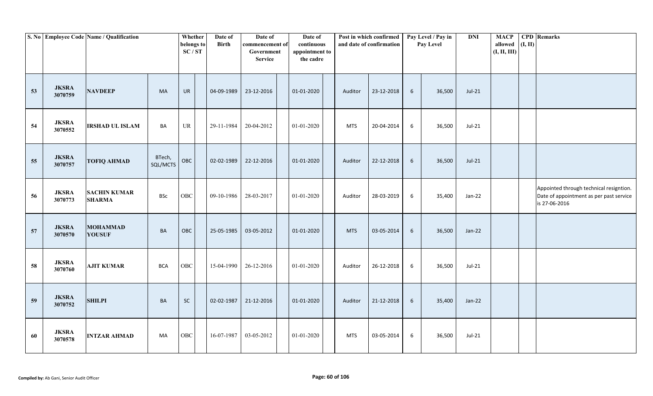|    |                         | S. No Employee Code Name / Qualification |                    | Whether<br>belongs to<br>SC/ST | Date of<br><b>Birth</b> | Date of<br>commencement of<br>Government<br><b>Service</b> | Date of<br>continuous<br>appointment to<br>the cadre |            | Post in which confirmed<br>and date of confirmation |                 | Pay Level / Pay in<br>Pay Level | <b>DNI</b> | <b>MACP</b><br>allowed<br>(I, II, III) | (I, II) | <b>CPD</b> Remarks                                                                                  |
|----|-------------------------|------------------------------------------|--------------------|--------------------------------|-------------------------|------------------------------------------------------------|------------------------------------------------------|------------|-----------------------------------------------------|-----------------|---------------------------------|------------|----------------------------------------|---------|-----------------------------------------------------------------------------------------------------|
| 53 | <b>JKSRA</b><br>3070759 | <b>NAVDEEP</b>                           | <b>MA</b>          | <b>UR</b>                      | 04-09-1989              | 23-12-2016                                                 | 01-01-2020                                           | Auditor    | 23-12-2018                                          | $6\overline{6}$ | 36,500                          | $Jul-21$   |                                        |         |                                                                                                     |
| 54 | <b>JKSRA</b><br>3070552 | <b>IRSHAD UL ISLAM</b>                   | BA                 | UR                             | 29-11-1984              | 20-04-2012                                                 | 01-01-2020                                           | <b>MTS</b> | 20-04-2014                                          | 6               | 36,500                          | Jul-21     |                                        |         |                                                                                                     |
| 55 | <b>JKSRA</b><br>3070757 | <b>TOFIQ AHMAD</b>                       | BTech,<br>SQL/MCTS | OBC                            | 02-02-1989              | 22-12-2016                                                 | 01-01-2020                                           | Auditor    | 22-12-2018                                          | 6               | 36,500                          | $Jul-21$   |                                        |         |                                                                                                     |
| 56 | <b>JKSRA</b><br>3070773 | <b>SACHIN KUMAR</b><br><b>SHARMA</b>     | <b>BSc</b>         | OBC                            | 09-10-1986              | 28-03-2017                                                 | 01-01-2020                                           | Auditor    | 28-03-2019                                          | 6               | 35,400                          | Jan-22     |                                        |         | Appointed through technical resigntion.<br>Date of appointment as per past service<br>is 27-06-2016 |
| 57 | <b>JKSRA</b><br>3070570 | <b>MOHAMMAD</b><br><b>YOUSUF</b>         | <b>BA</b>          | OBC                            | 25-05-1985              | 03-05-2012                                                 | 01-01-2020                                           | <b>MTS</b> | 03-05-2014                                          | $6\phantom{.}6$ | 36,500                          | $Jan-22$   |                                        |         |                                                                                                     |
| 58 | <b>JKSRA</b><br>3070760 | <b>AJIT KUMAR</b>                        | <b>BCA</b>         | OBC                            | 15-04-1990              | 26-12-2016                                                 | 01-01-2020                                           | Auditor    | 26-12-2018                                          | $6\,$           | 36,500                          | Jul-21     |                                        |         |                                                                                                     |
| 59 | <b>JKSRA</b><br>3070752 | <b>SHILPI</b>                            | <b>BA</b>          | SC                             | 02-02-1987              | 21-12-2016                                                 | 01-01-2020                                           | Auditor    | 21-12-2018                                          | $6\phantom{.}6$ | 35,400                          | Jan-22     |                                        |         |                                                                                                     |
| 60 | <b>JKSRA</b><br>3070578 | <b>INTZAR AHMAD</b>                      | MA                 | $_{\rm OBC}$                   | 16-07-1987              | 03-05-2012                                                 | 01-01-2020                                           | <b>MTS</b> | 03-05-2014                                          | 6               | 36,500                          | Jul-21     |                                        |         |                                                                                                     |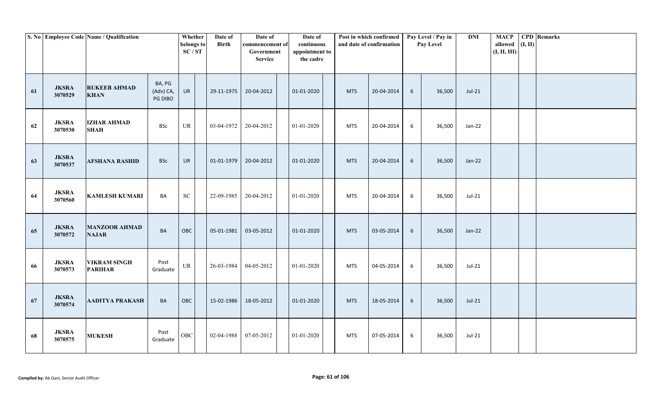|    |                         | S. No Employee Code Name / Qualification |                                | Whether<br>belongs to<br>SC/ST    | Date of<br><b>Birth</b> | Date of<br>commencement of<br>Government<br><b>Service</b> | Date of<br>continuous<br>appointment to<br>the cadre |            | Post in which confirmed<br>and date of confirmation |   | Pay Level / Pay in<br>Pay Level | <b>DNI</b> | <b>MACP</b><br>allowed<br>(I, II, III) | (I, II) | <b>CPD</b> Remarks |
|----|-------------------------|------------------------------------------|--------------------------------|-----------------------------------|-------------------------|------------------------------------------------------------|------------------------------------------------------|------------|-----------------------------------------------------|---|---------------------------------|------------|----------------------------------------|---------|--------------------|
| 61 | <b>JKSRA</b><br>3070529 | <b>RUKEEB AHMAD</b><br><b>KHAN</b>       | BA, PG<br>(Adv) CA,<br>PG DIBO | UR                                | 29-11-1975              | 20-04-2012                                                 | 01-01-2020                                           | <b>MTS</b> | 20-04-2014                                          | 6 | 36,500                          | $Jul-21$   |                                        |         |                    |
| 62 | <b>JKSRA</b><br>3070530 | <b>IZHAR AHMAD</b><br><b>SHAH</b>        | <b>BSc</b>                     | $\ensuremath{\mathsf{UR}}\xspace$ | 03-04-1972              | 20-04-2012                                                 | 01-01-2020                                           | <b>MTS</b> | 20-04-2014                                          | 6 | 36,500                          | Jan-22     |                                        |         |                    |
| 63 | <b>JKSRA</b><br>3070537 | <b>AFSHANA RASHID</b>                    | <b>BSc</b>                     | UR                                | 01-01-1979              | 20-04-2012                                                 | 01-01-2020                                           | <b>MTS</b> | 20-04-2014                                          | 6 | 36,500                          | $Jan-22$   |                                        |         |                    |
| 64 | <b>JKSRA</b><br>3070560 | <b>KAMLESH KUMARI</b>                    | BA                             | ${\rm SC}$                        | 22-09-1985              | 20-04-2012                                                 | 01-01-2020                                           | <b>MTS</b> | 20-04-2014                                          | 6 | 36,500                          | $Jul-21$   |                                        |         |                    |
| 65 | <b>JKSRA</b><br>3070572 | <b>MANZOOR AHMAD</b><br><b>NAJAR</b>     | BA                             | OBC                               | 05-01-1981              | 03-05-2012                                                 | 01-01-2020                                           | <b>MTS</b> | 03-05-2014                                          | 6 | 36,500                          | Jan-22     |                                        |         |                    |
| 66 | <b>JKSRA</b><br>3070573 | <b>VIKRAM SINGH</b><br><b>PARIHAR</b>    | Post<br>Graduate               | $\ensuremath{\mathsf{UR}}\xspace$ | 26-03-1984              | 04-05-2012                                                 | $01 - 01 - 2020$                                     | <b>MTS</b> | 04-05-2014                                          | 6 | 36,500                          | $Jul-21$   |                                        |         |                    |
| 67 | <b>JKSRA</b><br>3070574 | <b>AADITYA PRAKASH</b>                   | <b>BA</b>                      | OBC                               | 15-02-1986              | 18-05-2012                                                 | 01-01-2020                                           | <b>MTS</b> | 18-05-2014                                          | 6 | 36,500                          | $Jul-21$   |                                        |         |                    |
| 68 | <b>JKSRA</b><br>3070575 | <b>MUKESH</b>                            | Post<br>Graduate               | ${\rm OBC}$                       | 02-04-1988              | 07-05-2012                                                 | 01-01-2020                                           | MTS        | 07-05-2014                                          | 6 | 36,500                          | Jul-21     |                                        |         |                    |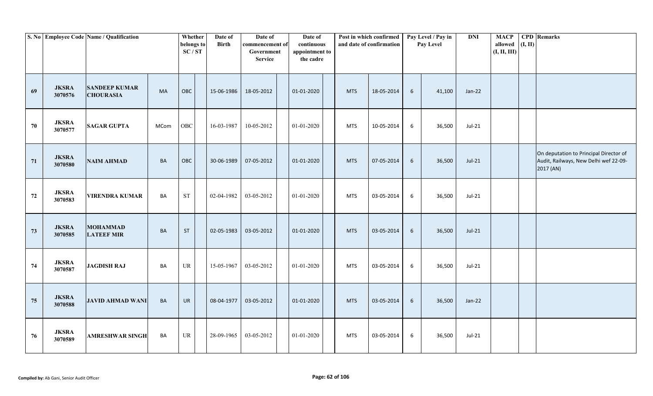|    |                         | S. No Employee Code Name / Qualification |             | Whether<br>belongs to<br>SC/ST | Date of<br><b>Birth</b> | Date of<br>commencement of<br>Government<br><b>Service</b> | Date of<br>continuous<br>appointment to<br>the cadre |            | Post in which confirmed<br>and date of confirmation |                 | Pay Level / Pay in<br>Pay Level | <b>DNI</b> | <b>MACP</b><br>allowed<br>(I, II, III) | (I, II) | <b>CPD</b> Remarks                                                                           |
|----|-------------------------|------------------------------------------|-------------|--------------------------------|-------------------------|------------------------------------------------------------|------------------------------------------------------|------------|-----------------------------------------------------|-----------------|---------------------------------|------------|----------------------------------------|---------|----------------------------------------------------------------------------------------------|
| 69 | <b>JKSRA</b><br>3070576 | <b>SANDEEP KUMAR</b><br><b>CHOURASIA</b> | <b>MA</b>   | OBC                            | 15-06-1986              | 18-05-2012                                                 | 01-01-2020                                           | <b>MTS</b> | 18-05-2014                                          | $6\overline{6}$ | 41,100                          | $Jan-22$   |                                        |         |                                                                                              |
| 70 | <b>JKSRA</b><br>3070577 | <b>SAGAR GUPTA</b>                       | <b>MCom</b> | OBC                            | 16-03-1987              | 10-05-2012                                                 | 01-01-2020                                           | <b>MTS</b> | 10-05-2014                                          | 6               | 36,500                          | Jul-21     |                                        |         |                                                                                              |
| 71 | <b>JKSRA</b><br>3070580 | <b>NAIM AHMAD</b>                        | <b>BA</b>   | OBC                            | 30-06-1989              | 07-05-2012                                                 | 01-01-2020                                           | <b>MTS</b> | 07-05-2014                                          | 6               | 36,500                          | $Jul-21$   |                                        |         | On deputation to Principal Director of<br>Audit, Railways, New Delhi wef 22-09-<br>2017 (AN) |
| 72 | <b>JKSRA</b><br>3070583 | <b>VIRENDRA KUMAR</b>                    | BA          | <b>ST</b>                      | 02-04-1982              | 03-05-2012                                                 | 01-01-2020                                           | <b>MTS</b> | 03-05-2014                                          | 6               | 36,500                          | Jul-21     |                                        |         |                                                                                              |
| 73 | <b>JKSRA</b><br>3070585 | <b>MOHAMMAD</b><br><b>LATEEF MIR</b>     | <b>BA</b>   | ST                             | 02-05-1983              | 03-05-2012                                                 | 01-01-2020                                           | <b>MTS</b> | 03-05-2014                                          | $6\phantom{.}6$ | 36,500                          | $Jul-21$   |                                        |         |                                                                                              |
| 74 | <b>JKSRA</b><br>3070587 | <b>JAGDISH RAJ</b>                       | BA          | UR                             | 15-05-1967              | 03-05-2012                                                 | 01-01-2020                                           | <b>MTS</b> | 03-05-2014                                          | $6\,$           | 36,500                          | Jul-21     |                                        |         |                                                                                              |
| 75 | <b>JKSRA</b><br>3070588 | <b>JAVID AHMAD WANI</b>                  | <b>BA</b>   | <b>UR</b>                      | 08-04-1977              | 03-05-2012                                                 | 01-01-2020                                           | <b>MTS</b> | 03-05-2014                                          | 6               | 36,500                          | Jan-22     |                                        |         |                                                                                              |
| 76 | <b>JKSRA</b><br>3070589 | <b>AMRESHWAR SINGH</b>                   | BA          | UR                             | 28-09-1965              | 03-05-2012                                                 | 01-01-2020                                           | <b>MTS</b> | 03-05-2014                                          | 6               | 36,500                          | Jul-21     |                                        |         |                                                                                              |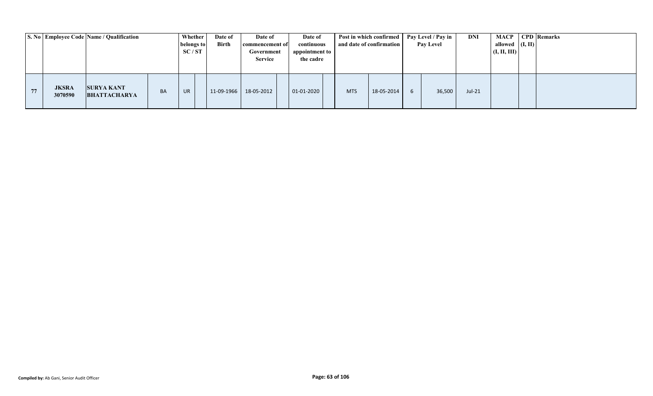|    |                         | S. No Employee Code Name / Qualification |    | Whether<br>belongs to<br>SC/ST | Date of<br><b>Birth</b> | Date of<br>commencement of<br>Government<br><b>Service</b> | Date of<br>continuous<br>appointment to<br>the cadre |            | Post in which confirmed<br>and date of confirmation | Pay Level / Pay in<br><b>Pay Level</b> | DNI      | MACP<br>allowed $($ I, II)<br>(I, II, III) | <b>CPD</b> Remarks |
|----|-------------------------|------------------------------------------|----|--------------------------------|-------------------------|------------------------------------------------------------|------------------------------------------------------|------------|-----------------------------------------------------|----------------------------------------|----------|--------------------------------------------|--------------------|
| 77 | <b>JKSRA</b><br>3070590 | <b>SURYA KANT</b><br><b>BHATTACHARYA</b> | BA | <b>UR</b>                      | 11-09-1966              | 18-05-2012                                                 | $01 - 01 - 2020$                                     | <b>MTS</b> | 18-05-2014                                          | 36,500                                 | $Jul-21$ |                                            |                    |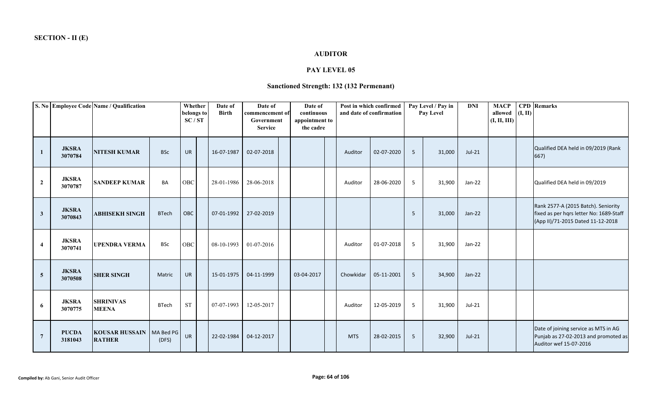## **AUDITOR**

### **PAY LEVEL 05**

# **Sanctioned Strength: 132 (132 Permenant)**

|                     |                         | S. No Employee Code Name / Qualification      |              | Whether<br>belongs to<br>SC/ST | Date of<br><b>Birth</b> | Date of<br>commencement of<br>Government<br><b>Service</b> | Date of<br>continuous<br>appointment to<br>the cadre |            | Post in which confirmed<br>and date of confirmation |   | Pay Level / Pay in<br>Pay Level | <b>DNI</b> | <b>MACP</b><br>allowed<br>(I, II, III) | (I, II) | <b>CPD</b> Remarks                                                                                                  |
|---------------------|-------------------------|-----------------------------------------------|--------------|--------------------------------|-------------------------|------------------------------------------------------------|------------------------------------------------------|------------|-----------------------------------------------------|---|---------------------------------|------------|----------------------------------------|---------|---------------------------------------------------------------------------------------------------------------------|
| 1                   | <b>JKSRA</b><br>3070784 | <b>NITESH KUMAR</b>                           | <b>BSc</b>   | <b>UR</b>                      | 16-07-1987              | 02-07-2018                                                 |                                                      | Auditor    | 02-07-2020                                          | 5 | 31,000                          | $Jul-21$   |                                        |         | Qualified DEA held in 09/2019 (Rank<br>667)                                                                         |
| $\overline{2}$      | <b>JKSRA</b><br>3070787 | <b>SANDEEP KUMAR</b>                          | BA           | <b>OBC</b>                     | 28-01-1986              | 28-06-2018                                                 |                                                      | Auditor    | 28-06-2020                                          | 5 | 31,900                          | $Jan-22$   |                                        |         | Qualified DEA held in 09/2019                                                                                       |
| $\mathbf{3}$        | <b>JKSRA</b><br>3070843 | <b>ABHISEKH SINGH</b>                         | <b>BTech</b> | OBC                            | 07-01-1992              | 27-02-2019                                                 |                                                      |            |                                                     | 5 | 31,000                          | $Jan-22$   |                                        |         | Rank 2577-A (2015 Batch). Seniority<br>fixed as per hqrs letter No: 1689-Staff<br>(App II)/71-2015 Dated 11-12-2018 |
| $\overline{\bf{4}}$ | <b>JKSRA</b><br>3070741 | <b>UPENDRA VERMA</b>                          | <b>BSc</b>   | <b>OBC</b>                     | 08-10-1993              | 01-07-2016                                                 |                                                      | Auditor    | 01-07-2018                                          | 5 | 31,900                          | Jan-22     |                                        |         |                                                                                                                     |
| $\overline{5}$      | <b>JKSRA</b><br>3070508 | <b>SHER SINGH</b>                             | Matric       | <b>UR</b>                      | 15-01-1975              | 04-11-1999                                                 | 03-04-2017                                           | Chowkidar  | 05-11-2001                                          | 5 | 34,900                          | $Jan-22$   |                                        |         |                                                                                                                     |
| 6                   | <b>JKSRA</b><br>3070775 | <b>SHRINIVAS</b><br><b>MEENA</b>              | <b>BTech</b> | $\operatorname{ST}$            | 07-07-1993              | 12-05-2017                                                 |                                                      | Auditor    | 12-05-2019                                          | 5 | 31,900                          | $Jul-21$   |                                        |         |                                                                                                                     |
| $\overline{7}$      | <b>PUCDA</b><br>3181043 | KOUSAR HUSSAIN   MA Bed PG  <br><b>RATHER</b> | (DFS)        | <b>UR</b>                      | 22-02-1984              | 04-12-2017                                                 |                                                      | <b>MTS</b> | 28-02-2015                                          | 5 | 32,900                          | $Jul-21$   |                                        |         | Date of joining service as MTS in AG<br>Punjab as 27-02-2013 and promoted as<br>Auditor wef 15-07-2016              |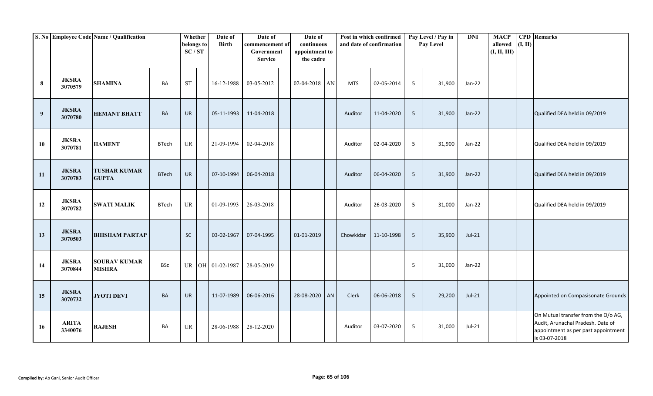|                  |                         | S. No Employee Code Name / Qualification |              | Whether<br>belongs to<br>SC/ST | Date of<br><b>Birth</b> | Date of<br>commencement of<br>Government<br><b>Service</b> | Date of<br>continuous<br>appointment to<br>the cadre |            | Post in which confirmed<br>and date of confirmation |                 | Pay Level / Pay in<br>Pay Level | <b>DNI</b> | <b>MACP</b><br>allowed<br>(I, II, III) | (I, II) | <b>CPD</b> Remarks                                                                                                               |
|------------------|-------------------------|------------------------------------------|--------------|--------------------------------|-------------------------|------------------------------------------------------------|------------------------------------------------------|------------|-----------------------------------------------------|-----------------|---------------------------------|------------|----------------------------------------|---------|----------------------------------------------------------------------------------------------------------------------------------|
| 8                | <b>JKSRA</b><br>3070579 | <b>SHAMINA</b>                           | BA           | $\operatorname{ST}$            | 16-12-1988              | 03-05-2012                                                 | $02-04-2018$ AN                                      | <b>MTS</b> | 02-05-2014                                          | 5               | 31,900                          | Jan-22     |                                        |         |                                                                                                                                  |
| $\boldsymbol{9}$ | <b>JKSRA</b><br>3070780 | <b>HEMANT BHATT</b>                      | <b>BA</b>    | UR                             | 05-11-1993              | 11-04-2018                                                 |                                                      | Auditor    | 11-04-2020                                          | $5\phantom{.0}$ | 31,900                          | Jan-22     |                                        |         | Qualified DEA held in 09/2019                                                                                                    |
| 10               | <b>JKSRA</b><br>3070781 | <b>HAMENT</b>                            | <b>BTech</b> | <b>UR</b>                      | 21-09-1994              | 02-04-2018                                                 |                                                      | Auditor    | 02-04-2020                                          | 5               | 31,900                          | Jan-22     |                                        |         | Qualified DEA held in 09/2019                                                                                                    |
| 11               | <b>JKSRA</b><br>3070783 | <b>TUSHAR KUMAR</b><br><b>GUPTA</b>      | <b>BTech</b> | <b>UR</b>                      | 07-10-1994              | 06-04-2018                                                 |                                                      | Auditor    | 06-04-2020                                          | 5               | 31,900                          | Jan-22     |                                        |         | Qualified DEA held in 09/2019                                                                                                    |
| 12               | <b>JKSRA</b><br>3070782 | <b>SWATI MALIK</b>                       | <b>BTech</b> | UR                             | 01-09-1993              | 26-03-2018                                                 |                                                      | Auditor    | 26-03-2020                                          | 5               | 31,000                          | $Jan-22$   |                                        |         | Qualified DEA held in 09/2019                                                                                                    |
| 13               | <b>JKSRA</b><br>3070503 | <b>BHISHAM PARTAP</b>                    |              | <b>SC</b>                      | 03-02-1967              | 07-04-1995                                                 | 01-01-2019                                           | Chowkidar  | 11-10-1998                                          | $5\overline{)}$ | 35,900                          | $Jul-21$   |                                        |         |                                                                                                                                  |
| 14               | <b>JKSRA</b><br>3070844 | <b>SOURAV KUMAR</b><br><b>MISHRA</b>     | <b>BSc</b>   |                                | UR OH 01-02-1987        | 28-05-2019                                                 |                                                      |            |                                                     | 5               | 31,000                          | Jan-22     |                                        |         |                                                                                                                                  |
| 15               | <b>JKSRA</b><br>3070732 | <b>JYOTI DEVI</b>                        | <b>BA</b>    | UR                             | 11-07-1989              | 06-06-2016                                                 | 28-08-2020 AN                                        | Clerk      | 06-06-2018                                          | -5              | 29,200                          | $Jul-21$   |                                        |         | Appointed on Compasisonate Grounds                                                                                               |
| 16               | <b>ARITA</b><br>3340076 | <b>RAJESH</b>                            | <b>BA</b>    | UR                             | 28-06-1988              | 28-12-2020                                                 |                                                      | Auditor    | 03-07-2020                                          | 5               | 31,000                          | Jul-21     |                                        |         | On Mutual transfer from the O/o AG,<br>Audit, Arunachal Pradesh. Date of<br>appointment as per past appointment<br>is 03-07-2018 |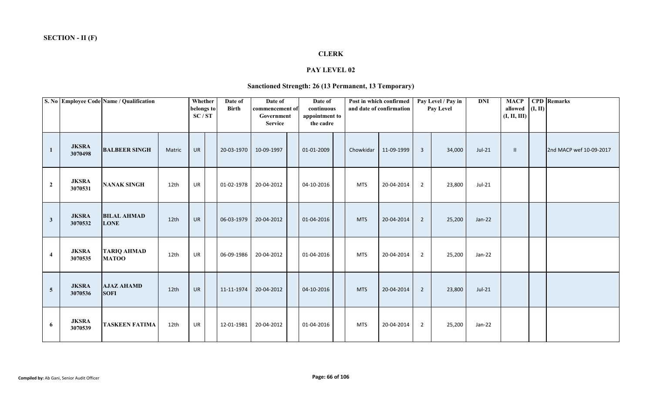## **CLERK**

### **PAY LEVEL 02**

# **Sanctioned Strength: 26 (13 Permanent, 13 Temporary)**

|                |                         | S. No Employee Code Name / Qualification |                  | Whether<br>belongs to<br>SC/ST | Date of<br><b>Birth</b> | Date of<br>commencement of<br>Government<br><b>Service</b> | Date of<br>continuous<br>appointment to<br>the cadre |            | Post in which confirmed<br>and date of confirmation |                | Pay Level / Pay in<br>Pay Level | <b>DNI</b> | <b>MACP</b><br>allowed $(I, II)$<br>(I, II, III) | <b>CPD</b> Remarks      |
|----------------|-------------------------|------------------------------------------|------------------|--------------------------------|-------------------------|------------------------------------------------------------|------------------------------------------------------|------------|-----------------------------------------------------|----------------|---------------------------------|------------|--------------------------------------------------|-------------------------|
| 1              | <b>JKSRA</b><br>3070498 | <b>BALBEER SINGH</b>                     | Matric           | UR                             | 20-03-1970              | 10-09-1997                                                 | 01-01-2009                                           | Chowkidar  | 11-09-1999                                          | $\overline{3}$ | 34,000                          | $Jul-21$   | $\mathbf{II}$                                    | 2nd MACP wef 10-09-2017 |
| $\overline{2}$ | <b>JKSRA</b><br>3070531 | <b>NANAK SINGH</b>                       | 12th             | UR                             | 01-02-1978              | 20-04-2012                                                 | 04-10-2016                                           | <b>MTS</b> | 20-04-2014                                          | $\overline{2}$ | 23,800                          | Jul-21     |                                                  |                         |
| $\mathbf{3}$   | <b>JKSRA</b><br>3070532 | <b>BILAL AHMAD</b><br><b>LONE</b>        | 12 <sub>th</sub> | <b>UR</b>                      | 06-03-1979              | 20-04-2012                                                 | 01-04-2016                                           | <b>MTS</b> | 20-04-2014                                          | $\overline{2}$ | 25,200                          | $Jan-22$   |                                                  |                         |
| $\overline{4}$ | <b>JKSRA</b><br>3070535 | <b>TARIQ AHMAD</b><br><b>MATOO</b>       | 12th             | UR                             | 06-09-1986              | 20-04-2012                                                 | 01-04-2016                                           | <b>MTS</b> | 20-04-2014                                          | $2^{\circ}$    | 25,200                          | Jan-22     |                                                  |                         |
| $\overline{5}$ | <b>JKSRA</b><br>3070536 | <b>AJAZ AHAMD</b><br><b>SOFI</b>         | 12th             | <b>UR</b>                      | 11-11-1974              | 20-04-2012                                                 | 04-10-2016                                           | <b>MTS</b> | 20-04-2014                                          | $\overline{2}$ | 23,800                          | $Jul-21$   |                                                  |                         |
| 6              | <b>JKSRA</b><br>3070539 | <b>TASKEEN FATIMA</b>                    | 12th             | UR                             | 12-01-1981              | 20-04-2012                                                 | 01-04-2016                                           | <b>MTS</b> | 20-04-2014                                          | $\overline{2}$ | 25,200                          | Jan-22     |                                                  |                         |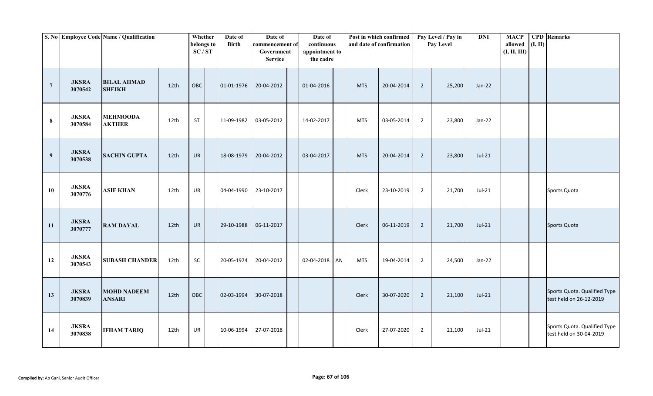|                  |                         | S. No Employee Code Name / Qualification |                  | Whether<br>belongs to<br>SC/ST | Date of<br><b>Birth</b> | Date of<br>commencement of<br>Government<br><b>Service</b> | Date of<br>continuous<br>appointment to<br>the cadre |              | Post in which confirmed<br>and date of confirmation |                | Pay Level / Pay in<br>Pay Level | <b>DNI</b> | <b>MACP</b><br>allowed<br>(I, II, III) | (I, II) | <b>CPD</b> Remarks                                      |
|------------------|-------------------------|------------------------------------------|------------------|--------------------------------|-------------------------|------------------------------------------------------------|------------------------------------------------------|--------------|-----------------------------------------------------|----------------|---------------------------------|------------|----------------------------------------|---------|---------------------------------------------------------|
| $7\phantom{.0}$  | <b>JKSRA</b><br>3070542 | <b>BILAL AHMAD</b><br><b>SHEIKH</b>      | 12th             | OBC                            | 01-01-1976              | 20-04-2012                                                 | 01-04-2016                                           | <b>MTS</b>   | 20-04-2014                                          | $\overline{2}$ | 25,200                          | $Jan-22$   |                                        |         |                                                         |
| 8                | <b>JKSRA</b><br>3070584 | <b>MEHMOODA</b><br><b>AKTHER</b>         | 12th             | <b>ST</b>                      | 11-09-1982              | 03-05-2012                                                 | 14-02-2017                                           | <b>MTS</b>   | 03-05-2014                                          | $\overline{2}$ | 23,800                          | Jan-22     |                                        |         |                                                         |
| $\boldsymbol{9}$ | <b>JKSRA</b><br>3070538 | <b>SACHIN GUPTA</b>                      | 12th             | <b>UR</b>                      | 18-08-1979              | 20-04-2012                                                 | 03-04-2017                                           | <b>MTS</b>   | 20-04-2014                                          | $\overline{2}$ | 23,800                          | $Jul-21$   |                                        |         |                                                         |
| 10               | <b>JKSRA</b><br>3070776 | <b>ASIF KHAN</b>                         | 12th             | UR                             | 04-04-1990              | 23-10-2017                                                 |                                                      | Clerk        | 23-10-2019                                          | $\overline{2}$ | 21,700                          | Jul-21     |                                        |         | Sports Quota                                            |
| 11               | <b>JKSRA</b><br>3070777 | <b>RAM DAYAL</b>                         | 12th             | <b>UR</b>                      | 29-10-1988              | 06-11-2017                                                 |                                                      | Clerk        | 06-11-2019                                          | $\overline{2}$ | 21,700                          | $Jul-21$   |                                        |         | Sports Quota                                            |
| 12               | <b>JKSRA</b><br>3070543 | <b>SUBASH CHANDER</b>                    | 12th             | SC                             | 20-05-1974              | 20-04-2012                                                 | 02-04-2018 AN                                        | <b>MTS</b>   | 19-04-2014                                          | $\overline{2}$ | 24,500                          | $Jan-22$   |                                        |         |                                                         |
| 13               | <b>JKSRA</b><br>3070839 | <b>MOHD NADEEM</b><br><b>ANSARI</b>      | 12 <sub>th</sub> | OBC                            | 02-03-1994              | 30-07-2018                                                 |                                                      | <b>Clerk</b> | 30-07-2020                                          | $\overline{2}$ | 21,100                          | $Jul-21$   |                                        |         | Sports Quota. Qualified Type<br>test held on 26-12-2019 |
| 14               | <b>JKSRA</b><br>3070838 | <b>IFHAM TARIQ</b>                       | 12th             | UR                             | 10-06-1994              | 27-07-2018                                                 |                                                      | Clerk        | 27-07-2020                                          | $\overline{2}$ | 21,100                          | Jul-21     |                                        |         | Sports Quota. Qualified Type<br>test held on 30-04-2019 |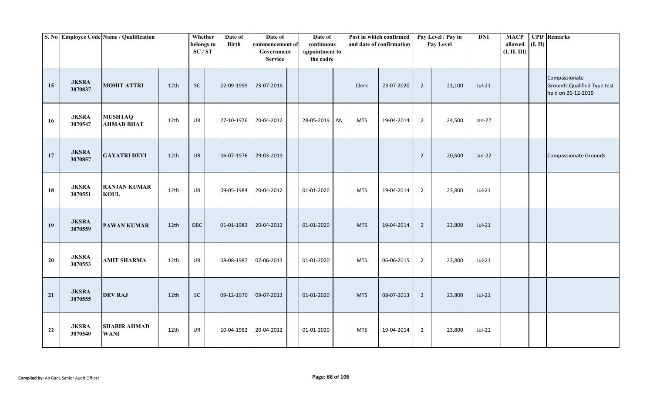|    |                         | S. No Employee Code Name / Qualification |                  | Whether<br>belongs to<br>SC/ST | Date of<br><b>Birth</b> | Date of<br>commencement of<br>Government<br><b>Service</b> | Date of<br>continuous<br>appointment to<br>the cadre |            | Post in which confirmed<br>and date of confirmation |                | Pay Level / Pay in<br>Pay Level | <b>DNI</b> | <b>MACP</b><br>allowed<br>(I, II, III) | (I, II) | <b>CPD</b> Remarks                                                  |
|----|-------------------------|------------------------------------------|------------------|--------------------------------|-------------------------|------------------------------------------------------------|------------------------------------------------------|------------|-----------------------------------------------------|----------------|---------------------------------|------------|----------------------------------------|---------|---------------------------------------------------------------------|
| 15 | <b>JKSRA</b><br>3070837 | <b>MOHIT ATTRI</b>                       | 12th             | <b>SC</b>                      | 22-09-1999              | 23-07-2018                                                 |                                                      | Clerk      | 23-07-2020                                          | $\overline{2}$ | 21,100                          | $Jul-21$   |                                        |         | Compassionate<br>Grounds. Qualified Type test<br>held on 26-12-2019 |
| 16 | <b>JKSRA</b><br>3070547 | <b>MUSHTAQ</b><br><b>AHMAD BHAT</b>      | 12th             | UR                             | 27-10-1976              | 20-04-2012                                                 | 28-05-2019 AN                                        | <b>MTS</b> | 19-04-2014                                          | $\overline{2}$ | 24,500                          | Jan-22     |                                        |         |                                                                     |
| 17 | <b>JKSRA</b><br>3070857 | <b>GAYATRI DEVI</b>                      | 12 <sub>th</sub> | <b>UR</b>                      | 06-07-1976              | 29-03-2019                                                 |                                                      |            |                                                     | $\overline{2}$ | 20,500                          | $Jan-22$   |                                        |         | Compassionate Grounds.                                              |
| 18 | <b>JKSRA</b><br>3070551 | <b>RANJAN KUMAR</b><br><b>KOUL</b>       | 12th             | UR                             | 09-05-1984              | 20-04-2012                                                 | 01-01-2020                                           | <b>MTS</b> | 19-04-2014                                          | $\overline{2}$ | 23,800                          | Jul-21     |                                        |         |                                                                     |
| 19 | <b>JKSRA</b><br>3070559 | <b>PAWAN KUMAR</b>                       | 12 <sub>th</sub> | OBC                            | 01-01-1983              | 20-04-2012                                                 | 01-01-2020                                           | <b>MTS</b> | 19-04-2014                                          | $\overline{2}$ | 23,800                          | $Jul-21$   |                                        |         |                                                                     |
| 20 | <b>JKSRA</b><br>3070553 | <b>AMIT SHARMA</b>                       | 12th             | UR                             | 08-08-1987              | 07-06-2013                                                 | 01-01-2020                                           | <b>MTS</b> | 06-06-2015                                          | $\overline{2}$ | 23,800                          | Jul-21     |                                        |         |                                                                     |
| 21 | <b>JKSRA</b><br>3070555 | <b>DEV RAJ</b>                           | 12th             | $\sf SC$                       | 09-12-1970              | 09-07-2013                                                 | 01-01-2020                                           | <b>MTS</b> | 08-07-2013                                          | $\overline{2}$ | 23,800                          | $Jul-21$   |                                        |         |                                                                     |
| 22 | <b>JKSRA</b><br>3070540 | <b>SHABIR AHMAD</b><br><b>WANI</b>       | 12th             | UR                             | 10-04-1982              | 20-04-2012                                                 | 01-01-2020                                           | <b>MTS</b> | 19-04-2014                                          | $\overline{2}$ | 23,800                          | $Jul-21$   |                                        |         |                                                                     |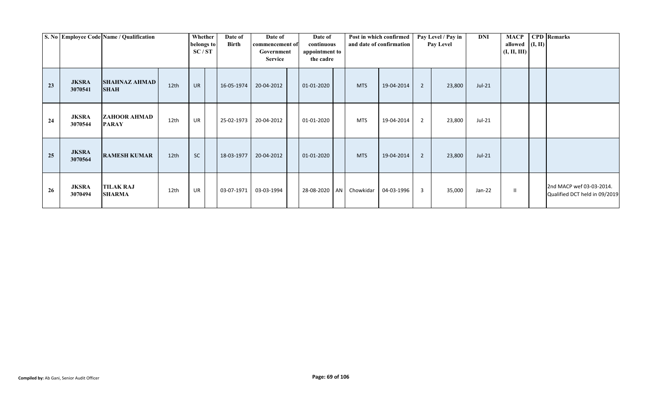|    |                         | S. No Employee Code Name / Qualification |                  | Whether<br>belongs to<br>SC/ST | Date of<br>Birth | Date of<br>commencement of<br>Government<br><b>Service</b> | Date of<br>continuous<br>appointment to<br>the cadre |            | Post in which confirmed<br>and date of confirmation |   | Pay Level / Pay in<br><b>Pay Level</b> | DNI      | <b>MACP</b><br>allowed $($ I, II $)$<br>(I, II, III) | <b>CPD</b> Remarks                                        |
|----|-------------------------|------------------------------------------|------------------|--------------------------------|------------------|------------------------------------------------------------|------------------------------------------------------|------------|-----------------------------------------------------|---|----------------------------------------|----------|------------------------------------------------------|-----------------------------------------------------------|
| 23 | <b>JKSRA</b><br>3070541 | <b>SHAHNAZ AHMAD</b><br><b>SHAH</b>      | 12th             | <b>UR</b>                      | 16-05-1974       | 20-04-2012                                                 | 01-01-2020                                           | <b>MTS</b> | 19-04-2014                                          | 2 | 23,800                                 | $Jul-21$ |                                                      |                                                           |
| 24 | <b>JKSRA</b><br>3070544 | ZAHOOR AHMAD<br><b>PARAY</b>             | 12th             | <b>UR</b>                      | 25-02-1973       | 20-04-2012                                                 | 01-01-2020                                           | <b>MTS</b> | 19-04-2014                                          | 2 | 23,800                                 | $Jul-21$ |                                                      |                                                           |
| 25 | <b>JKSRA</b><br>3070564 | <b>RAMESH KUMAR</b>                      | 12 <sub>th</sub> | <b>SC</b>                      | 18-03-1977       | 20-04-2012                                                 | 01-01-2020                                           | <b>MTS</b> | 19-04-2014                                          | 2 | 23,800                                 | $Jul-21$ |                                                      |                                                           |
| 26 | <b>JKSRA</b><br>3070494 | <b>TILAK RAJ</b><br><b>SHARMA</b>        | 12th             | <b>UR</b>                      | 03-07-1971       | 03-03-1994                                                 | 28-08-2020 AN                                        | Chowkidar  | 04-03-1996                                          | 3 | 35,000                                 | Jan-22   | Ш                                                    | 2nd MACP wef 03-03-2014.<br>Qualified DCT held in 09/2019 |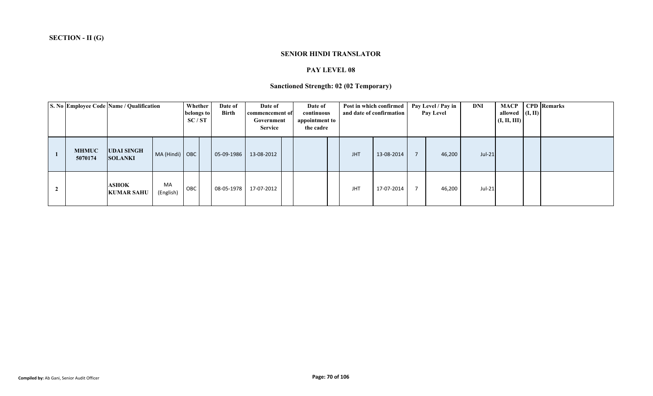#### **SENIOR HINDI TRANSLATOR**

### **PAY LEVEL 08**

# **Sanctioned Strength: 02 (02 Temporary)**

|                         | S. No Employee Code Name / Qualification |                 | Whether<br>belongs to<br>SC/ST | Date of<br><b>Birth</b> | Date of<br>commencement of<br>Government<br><b>Service</b> | Date of<br>continuous<br>appointment to<br>the cadre |            | Post in which confirmed<br>and date of confirmation | Pay Level / Pay in<br>Pay Level | DNI    | <b>MACP</b><br>allowed $($ I, II $)$<br>(I, II, III) | <b>CPD</b> Remarks |
|-------------------------|------------------------------------------|-----------------|--------------------------------|-------------------------|------------------------------------------------------------|------------------------------------------------------|------------|-----------------------------------------------------|---------------------------------|--------|------------------------------------------------------|--------------------|
| <b>MHMUC</b><br>5070174 | <b>UDAI SINGH</b><br><b>SOLANKI</b>      | MA (Hindi) OBC  |                                | 05-09-1986              | 13-08-2012                                                 |                                                      | <b>JHT</b> | 13-08-2014                                          | 46,200                          | Jul-21 |                                                      |                    |
|                         | <b>ASHOK</b><br><b>KUMAR SAHU</b>        | MA<br>(English) | OBC                            | 08-05-1978              | 17-07-2012                                                 |                                                      | <b>JHT</b> | 17-07-2014                                          | 46,200                          | Jul-21 |                                                      |                    |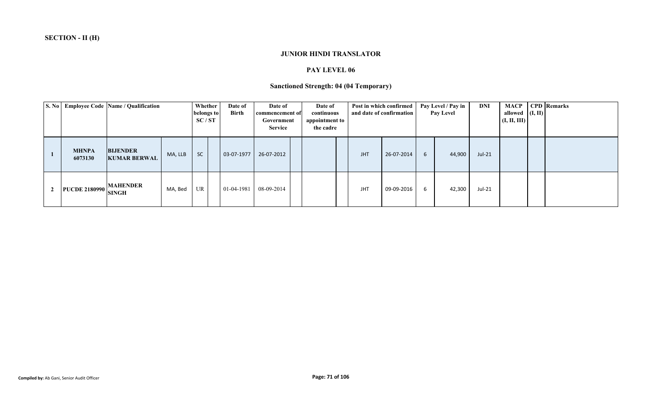### **JUNIOR HINDI TRANSLATOR**

### **PAY LEVEL 06**

# **Sanctioned Strength: 04 (04 Temporary)**

|                         | S. No Employee Code Name / Qualification |         | Whether<br>belongs to<br>SC/ST | Date of<br><b>Birth</b> | Date of<br>commencement of<br>Government<br><b>Service</b> | Date of<br>continuous<br>appointment to<br>the cadre |            | Post in which confirmed<br>and date of confirmation |   | Pay Level / Pay in<br><b>Pay Level</b> | DNI      | allowed $(I, II)$<br>(I, II, III) | <b>MACP</b> CPD Remarks |
|-------------------------|------------------------------------------|---------|--------------------------------|-------------------------|------------------------------------------------------------|------------------------------------------------------|------------|-----------------------------------------------------|---|----------------------------------------|----------|-----------------------------------|-------------------------|
| <b>MHNPA</b><br>6073130 | <b>BIJENDER</b><br><b>KUMAR BERWAL</b>   | MA, LLB | <b>SC</b>                      | 03-07-1977              | 26-07-2012                                                 |                                                      | <b>JHT</b> | 26-07-2014                                          | 6 | 44,900                                 | $Jul-21$ |                                   |                         |
| <b>PUCDE 2180990</b>    | <b>MAHENDER</b><br><b>SINGH</b>          | MA, Bed | <b>UR</b>                      | 01-04-1981              | 08-09-2014                                                 |                                                      | <b>JHT</b> | 09-09-2016                                          | 6 | 42,300                                 | Jul-21   |                                   |                         |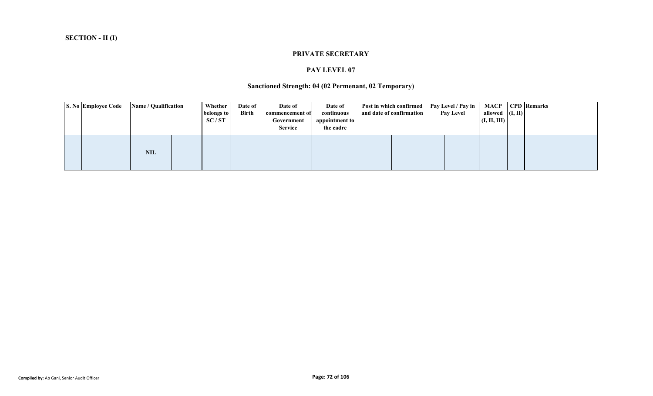#### **PRIVATE SECRETARY**

#### **PAY LEVEL 07**

# **Sanctioned Strength: 04 (02 Permenant, 02 Temporary)**

|                    | <b>CPD</b> Remarks |
|--------------------|--------------------|
| allowed $($ I, II) |                    |
| (I, II, III)       |                    |
|                    |                    |
|                    |                    |
|                    |                    |
|                    |                    |
|                    |                    |
|                    |                    |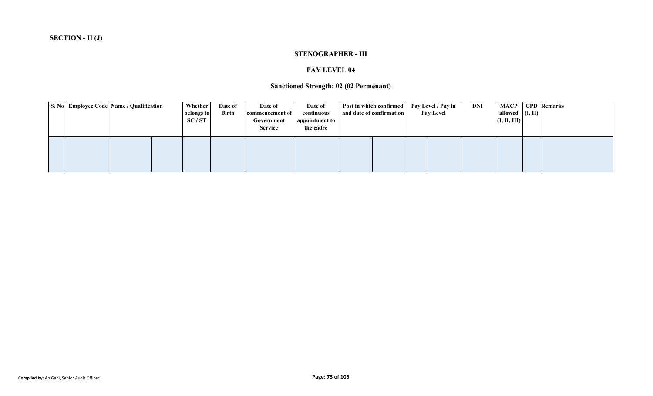#### **STENOGRAPHER - III**

#### **PAY LEVEL 04**

### **Sanctioned Strength: 02 (02 Permenant)**

| S. No Employee Code Name / Qualification |  | <b>Whether</b><br>belongs to<br>SC/ST | Date of<br>Birth | Date of<br>commencement of<br>Government<br><b>Service</b> | Date of<br>continuous<br>appointment to<br>the cadre | Post in which confirmed   Pay Level / Pay in<br>and date of confirmation |  | <b>Pay Level</b> | <b>DNI</b> | MACP<br>allowed $(I, II)$<br>(I, II, III) | <b>CPD</b> Remarks |
|------------------------------------------|--|---------------------------------------|------------------|------------------------------------------------------------|------------------------------------------------------|--------------------------------------------------------------------------|--|------------------|------------|-------------------------------------------|--------------------|
|                                          |  |                                       |                  |                                                            |                                                      |                                                                          |  |                  |            |                                           |                    |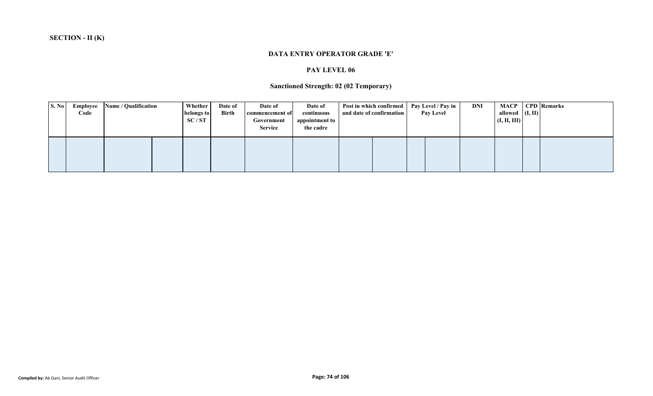#### **DATA ENTRY OPERATOR GRADE 'E'**

### **PAY LEVEL 06**

# **Sanctioned Strength: 02 (02 Temporary)**

| S. No | Employee<br>Code | Name / Qualification | <b>Whether</b><br>belongs to<br>SC/ST | Date of<br>Birth | Date of<br>commencement of<br>Government<br><b>Service</b> | Date of<br>continuous<br>appointment to<br>the cadre | Post in which confirmed   Pay Level / Pay in  <br>and date of confirmation |  | <b>Pay Level</b> | <b>DNI</b> | <b>MACP</b><br>allowed $(I, II)$<br>(I, II, III) | <b>CPD</b> Remarks |
|-------|------------------|----------------------|---------------------------------------|------------------|------------------------------------------------------------|------------------------------------------------------|----------------------------------------------------------------------------|--|------------------|------------|--------------------------------------------------|--------------------|
|       |                  |                      |                                       |                  |                                                            |                                                      |                                                                            |  |                  |            |                                                  |                    |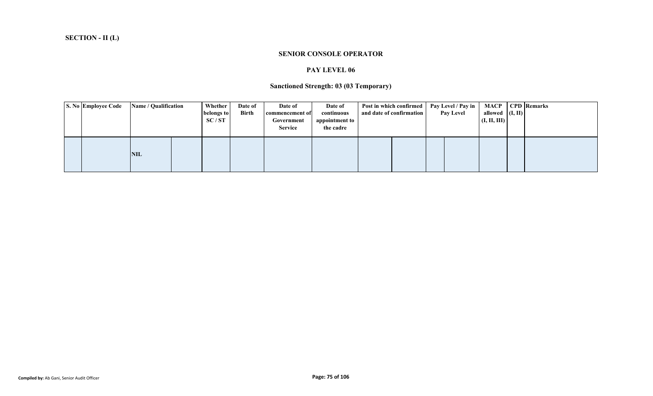#### **SENIOR CONSOLE OPERATOR**

#### **PAY LEVEL 06**

# **Sanctioned Strength: 03 (03 Temporary)**

|  | S. No Employee Code | <b>Name / Qualification</b> | Whether    | Date of | Date of         | Date of        | Post in which confirmed   Pay Level / Pay in |                  |                    | <b>MACP</b> CPD Remarks |
|--|---------------------|-----------------------------|------------|---------|-----------------|----------------|----------------------------------------------|------------------|--------------------|-------------------------|
|  |                     |                             | belongs to | Birth   | commencement of | continuous     | and date of confirmation                     | <b>Pay Level</b> | allowed $($ I, II) |                         |
|  |                     |                             | SC/ST      |         | Government      | appointment to |                                              |                  | (I, II, III)       |                         |
|  |                     |                             |            |         | <b>Service</b>  | the cadre      |                                              |                  |                    |                         |
|  |                     |                             |            |         |                 |                |                                              |                  |                    |                         |
|  |                     |                             |            |         |                 |                |                                              |                  |                    |                         |
|  |                     |                             |            |         |                 |                |                                              |                  |                    |                         |
|  |                     | <b>NIL</b>                  |            |         |                 |                |                                              |                  |                    |                         |
|  |                     |                             |            |         |                 |                |                                              |                  |                    |                         |
|  |                     |                             |            |         |                 |                |                                              |                  |                    |                         |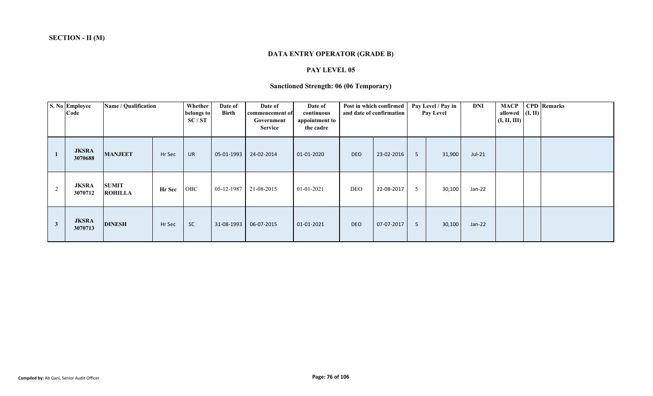# **DATA ENTRY OPERATOR (GRADE B)**

#### **PAY LEVEL 05**

# **Sanctioned Strength: 06 (06 Temporary)**

|              | S. No Employee<br>Code  | Name / Qualification           |               | Whether<br>belongs to<br>SC/ST | Date of<br><b>Birth</b> | Date of<br>commencement of<br>Government<br><b>Service</b> | Date of<br>continuous<br>appointment to<br>the cadre |            | Post in which confirmed<br>and date of confirmation |   | Pay Level / Pay in<br><b>Pay Level</b> | DNI      | <b>MACP</b><br>allowed $($ I, II)<br>(I, II, III) | <b>CPD</b> Remarks |
|--------------|-------------------------|--------------------------------|---------------|--------------------------------|-------------------------|------------------------------------------------------------|------------------------------------------------------|------------|-----------------------------------------------------|---|----------------------------------------|----------|---------------------------------------------------|--------------------|
|              | <b>JKSRA</b><br>3070688 | <b>MANJEET</b>                 | Hr Sec        | <b>UR</b>                      | 05-01-1993              | 24-02-2014                                                 | 01-01-2020                                           | <b>DEO</b> | 23-02-2016                                          | 5 | 31,900                                 | $Jul-21$ |                                                   |                    |
| 2            | <b>JKSRA</b><br>3070712 | <b>SUMIT</b><br><b>ROHILLA</b> | <b>Hr</b> Sec | OBC                            | 05-12-1987              | 21-08-2015                                                 | 01-01-2021                                           | DEO        | 22-08-2017                                          | 5 | 30,100                                 | Jan-22   |                                                   |                    |
| $\mathbf{3}$ | <b>JKSRA</b><br>3070713 | <b>DINESH</b>                  | Hr Sec        | <b>SC</b>                      | 31-08-1993              | 06-07-2015                                                 | 01-01-2021                                           | <b>DEO</b> | 07-07-2017                                          | 5 | 30,100                                 | $Jan-22$ |                                                   |                    |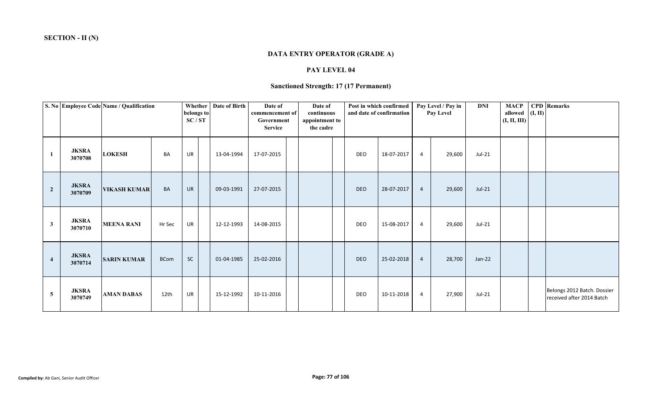# **DATA ENTRY OPERATOR (GRADE A)**

#### **PAY LEVEL 04**

### **Sanctioned Strength: 17 (17 Permanent)**

|                |                         | S. No Employee Code Name / Qualification |             | belongs to<br>SC/ST | Whether   Date of Birth | Date of<br>commencement of<br>Government<br><b>Service</b> | Date of<br>continuous<br>appointment to<br>the cadre |            | Post in which confirmed<br>and date of confirmation |                | Pay Level / Pay in<br>Pay Level | <b>DNI</b> | <b>MACP</b><br>allowed (I, II)<br>(I, II, III) | <b>CPD</b> Remarks                                       |
|----------------|-------------------------|------------------------------------------|-------------|---------------------|-------------------------|------------------------------------------------------------|------------------------------------------------------|------------|-----------------------------------------------------|----------------|---------------------------------|------------|------------------------------------------------|----------------------------------------------------------|
| 1              | <b>JKSRA</b><br>3070708 | <b>LOKESH</b>                            | BA          | UR                  | 13-04-1994              | 17-07-2015                                                 |                                                      | DEO        | 18-07-2017                                          | $\overline{4}$ | 29,600                          | $Jul-21$   |                                                |                                                          |
| $\overline{2}$ | <b>JKSRA</b><br>3070709 | <b>VIKASH KUMAR</b>                      | BA          | <b>UR</b>           | 09-03-1991              | 27-07-2015                                                 |                                                      | <b>DEO</b> | 28-07-2017                                          | $\overline{4}$ | 29,600                          | $Jul-21$   |                                                |                                                          |
| $\mathbf{3}$   | <b>JKSRA</b><br>3070710 | <b>MEENA RANI</b>                        | Hr Sec      | UR                  | 12-12-1993              | 14-08-2015                                                 |                                                      | DEO        | 15-08-2017                                          | $\overline{4}$ | 29,600                          | Jul-21     |                                                |                                                          |
| $\overline{4}$ | <b>JKSRA</b><br>3070714 | <b>SARIN KUMAR</b>                       | <b>BCom</b> | SC                  | 01-04-1985              | 25-02-2016                                                 |                                                      | <b>DEO</b> | 25-02-2018                                          | $\overline{4}$ | 28,700                          | $Jan-22$   |                                                |                                                          |
| 5              | <b>JKSRA</b><br>3070749 | <b>AMAN DABAS</b>                        | 12th        | UR                  | 15-12-1992              | 10-11-2016                                                 |                                                      | DEO        | 10-11-2018                                          | $\overline{4}$ | 27,900                          | $Jul-21$   |                                                | Belongs 2012 Batch. Dossier<br>received after 2014 Batch |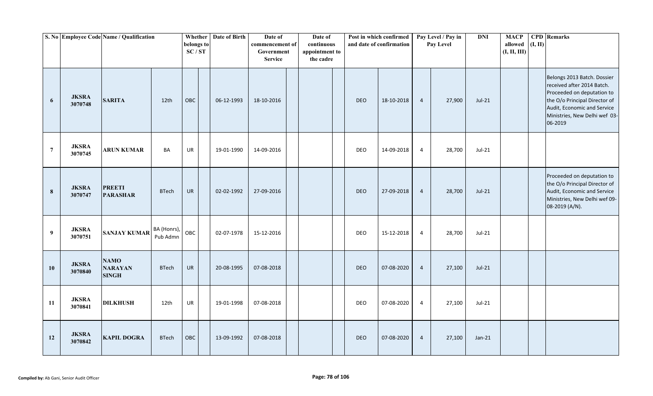|                  |                         | S. No Employee Code Name / Qualification      |                         | belongs to<br>SC/ST | Whether   Date of Birth | Date of<br>commencement of<br>Government<br><b>Service</b> | Date of<br>continuous<br>appointment to<br>the cadre |            | Post in which confirmed<br>and date of confirmation |                | Pay Level / Pay in<br>Pay Level | <b>DNI</b> | <b>MACP</b><br>allowed<br>(I, II, III) | (I, II) | <b>CPD</b> Remarks                                                                                                                                                                                  |
|------------------|-------------------------|-----------------------------------------------|-------------------------|---------------------|-------------------------|------------------------------------------------------------|------------------------------------------------------|------------|-----------------------------------------------------|----------------|---------------------------------|------------|----------------------------------------|---------|-----------------------------------------------------------------------------------------------------------------------------------------------------------------------------------------------------|
| $\boldsymbol{6}$ | <b>JKSRA</b><br>3070748 | <b>SARITA</b>                                 | 12th                    | OBC                 | 06-12-1993              | 18-10-2016                                                 |                                                      | <b>DEO</b> | 18-10-2018                                          | $\overline{4}$ | 27,900                          | $Jul-21$   |                                        |         | Belongs 2013 Batch. Dossier<br>received after 2014 Batch.<br>Proceeded on deputation to<br>the O/o Principal Director of<br>Audit, Economic and Service<br>Ministries, New Delhi wef 03-<br>06-2019 |
| $\overline{7}$   | <b>JKSRA</b><br>3070745 | <b>ARUN KUMAR</b>                             | BA                      | UR                  | 19-01-1990              | 14-09-2016                                                 |                                                      | <b>DEO</b> | 14-09-2018                                          | $\overline{4}$ | 28,700                          | $Jul-21$   |                                        |         |                                                                                                                                                                                                     |
| $\bf{8}$         | <b>JKSRA</b><br>3070747 | <b>PREETI</b><br><b>PARASHAR</b>              | <b>BTech</b>            | UR                  | 02-02-1992              | 27-09-2016                                                 |                                                      | DEO        | 27-09-2018                                          | $\overline{4}$ | 28,700                          | $Jul-21$   |                                        |         | Proceeded on deputation to<br>the O/o Principal Director of<br>Audit, Economic and Service<br>Ministries, New Delhi wef 09-<br>08-2019 (A/N).                                                       |
| 9                | <b>JKSRA</b><br>3070751 | <b>SANJAY KUMAR</b>                           | BA (Honrs),<br>Pub Admn | OBC                 | 02-07-1978              | 15-12-2016                                                 |                                                      | <b>DEO</b> | 15-12-2018                                          | $\overline{4}$ | 28,700                          | Jul-21     |                                        |         |                                                                                                                                                                                                     |
| 10               | <b>JKSRA</b><br>3070840 | <b>NAMO</b><br><b>NARAYAN</b><br><b>SINGH</b> | <b>BTech</b>            | <b>UR</b>           | 20-08-1995              | 07-08-2018                                                 |                                                      | <b>DEO</b> | 07-08-2020                                          | $\overline{4}$ | 27,100                          | $Jul-21$   |                                        |         |                                                                                                                                                                                                     |
| 11               | <b>JKSRA</b><br>3070841 | <b>DILKHUSH</b>                               | 12th                    | UR                  | 19-01-1998              | 07-08-2018                                                 |                                                      | <b>DEO</b> | 07-08-2020                                          | $\overline{4}$ | 27,100                          | $Jul-21$   |                                        |         |                                                                                                                                                                                                     |
| 12               | <b>JKSRA</b><br>3070842 | <b>KAPIL DOGRA</b>                            | <b>BTech</b>            | OBC                 | 13-09-1992              | 07-08-2018                                                 |                                                      | <b>DEO</b> | 07-08-2020                                          | $\overline{4}$ | 27,100                          | $Jan-21$   |                                        |         |                                                                                                                                                                                                     |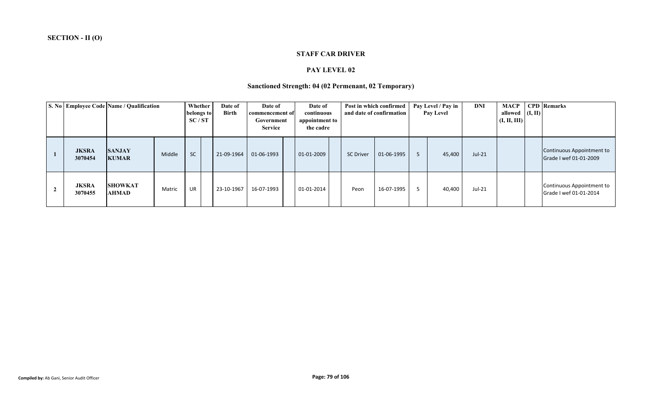#### **STAFF CAR DRIVER**

#### **PAY LEVEL 02**

# **Sanctioned Strength: 04 (02 Permenant, 02 Temporary)**

|                         | S. No Employee Code Name / Qualification |        | Whether<br>belongs to<br>SC/ST | Date of<br><b>Birth</b> | Date of<br>commencement of<br>Government<br><b>Service</b> | Date of<br>continuous<br>appointment to<br>the cadre |                  | Post in which confirmed<br>and date of confirmation | Pay Level / Pay in<br><b>Pay Level</b> | <b>DNI</b> | <b>MACP</b><br>allowed $($ I, II)<br>(I, II, III) | <b>CPD</b> Remarks                                  |
|-------------------------|------------------------------------------|--------|--------------------------------|-------------------------|------------------------------------------------------------|------------------------------------------------------|------------------|-----------------------------------------------------|----------------------------------------|------------|---------------------------------------------------|-----------------------------------------------------|
| <b>JKSRA</b><br>3070454 | <b>SANJAY</b><br><b>KUMAR</b>            | Middle | <b>SC</b>                      | 21-09-1964              | 01-06-1993                                                 | 01-01-2009                                           | <b>SC Driver</b> | 01-06-1995                                          | 45,400                                 | $Jul-21$   |                                                   | Continuous Appointment to<br>Grade I wef 01-01-2009 |
| <b>JKSRA</b><br>3070455 | <b>SHOWKAT</b><br>AHMAD                  | Matric | UR                             | 23-10-1967              | 16-07-1993                                                 | 01-01-2014                                           | Peon             | 16-07-1995                                          | 40,400                                 | Jul-21     |                                                   | Continuous Appointment to<br>Grade I wef 01-01-2014 |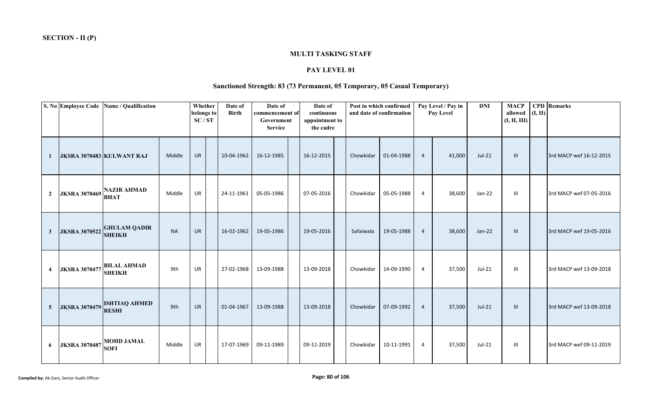### **MULTI TASKING STAFF**

#### **PAY LEVEL 01**

# **Sanctioned Strength: 83 (73 Permanent, 05 Temporary, 05 Casual Temporary)**

|                     |                      | S. No Employee Code Name / Qualification    |           | Whether<br>belongs to<br>SC/ST | Date of<br><b>Birth</b> | Date of<br>commencement of<br>Government<br><b>Service</b> | Date of<br>continuous<br>appointment to<br>the cadre |           | Post in which confirmed<br>and date of confirmation |                | Pay Level / Pay in<br>Pay Level | <b>DNI</b> | <b>MACP</b><br>allowed<br>(I, II, III) | (I, II) | <b>CPD</b> Remarks      |
|---------------------|----------------------|---------------------------------------------|-----------|--------------------------------|-------------------------|------------------------------------------------------------|------------------------------------------------------|-----------|-----------------------------------------------------|----------------|---------------------------------|------------|----------------------------------------|---------|-------------------------|
| -1                  |                      | JKSRA 3070483 KULWANT RAJ                   | Middle    | <b>UR</b>                      | 10-04-1962              | 16-12-1985                                                 | 16-12-2015                                           | Chowkidar | 01-04-1988                                          | $\overline{4}$ | 41,000                          | $Jul-21$   | III                                    |         | 3rd MACP wef 16-12-2015 |
| $\overline{2}$      | <b>JKSRA 3070469</b> | <b>NAZIR AHMAD</b><br><b>BHAT</b>           | Middle    | UR                             | 24-11-1961              | 05-05-1986                                                 | 07-05-2016                                           | Chowkidar | 05-05-1988                                          | $\overline{4}$ | 38,600                          | $Jan-22$   | $\mathbf{III}$                         |         | 3rd MACP wef 07-05-2016 |
| $\mathbf{3}$        |                      | JKSRA 3070522 GHULAM QADIR<br><b>SHEIKH</b> | <b>NA</b> | <b>UR</b>                      | 16-02-1962              | 19-05-1986                                                 | 19-05-2016                                           | Safaiwala | 19-05-1988                                          | $\overline{4}$ | 38,600                          | $Jan-22$   | III                                    |         | 3rd MACP wef 19-05-2016 |
| $\overline{\bf{4}}$ | <b>JKSRA 3070477</b> | <b>BILAL AHMAD</b><br><b>SHEIKH</b>         | 9th       | <b>UR</b>                      | 27-02-1968              | 13-09-1988                                                 | 13-09-2018                                           | Chowkidar | 14-09-1990                                          | $\overline{4}$ | 37,500                          | $Jul-21$   | $\mathbf{III}$                         |         | 3rd MACP wef 13-09-2018 |
| $\overline{5}$      |                      | JKSRA 3070479 ISHTIAQ AHMED<br><b>RESHI</b> | 9th       | <b>UR</b>                      | 01-04-1967              | 13-09-1988                                                 | 13-09-2018                                           | Chowkidar | 07-09-1992                                          | $\overline{4}$ | 37,500                          | $Jul-21$   | III                                    |         | 3rd MACP wef 13-09-2018 |
| 6                   | <b>JKSRA 3070487</b> | <b>MOHD JAMAL</b><br><b>SOFI</b>            | Middle    | UR                             | 17-07-1969              | 09-11-1989                                                 | 09-11-2019                                           | Chowkidar | 10-11-1991                                          | 4              | 37,500                          | Jul-21     | Ш                                      |         | 3rd MACP wef 09-11-2019 |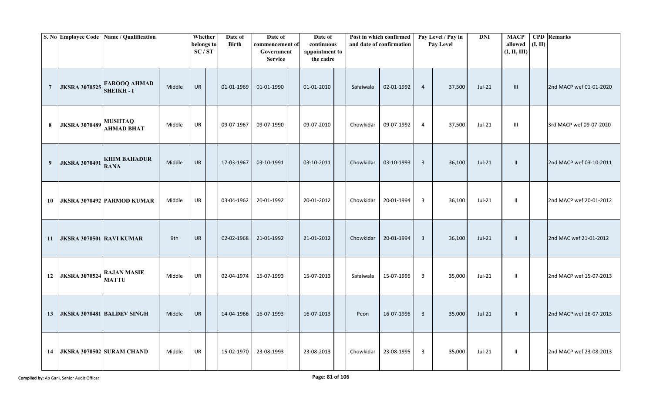|                |                          | S. No Employee Code Name / Qualification |        | Whether<br>belongs to<br>SC/ST | Date of<br><b>Birth</b> | Date of<br>commencement of<br>Government<br><b>Service</b> | Date of<br>continuous<br>appointment to<br>the cadre |           | Post in which confirmed<br>and date of confirmation |                | Pay Level / Pay in<br>Pay Level | <b>DNI</b> | <b>MACP</b><br>allowed $(I, II)$<br>(I, II, III) | <b>CPD</b> Remarks      |
|----------------|--------------------------|------------------------------------------|--------|--------------------------------|-------------------------|------------------------------------------------------------|------------------------------------------------------|-----------|-----------------------------------------------------|----------------|---------------------------------|------------|--------------------------------------------------|-------------------------|
| $\overline{7}$ | <b>JKSRA 3070525</b>     | <b>FAROOQ AHMAD</b><br><b>SHEIKH-I</b>   | Middle | <b>UR</b>                      | 01-01-1969              | 01-01-1990                                                 | 01-01-2010                                           | Safaiwala | 02-01-1992                                          | $\overline{4}$ | 37,500                          | $Jul-21$   | III                                              | 2nd MACP wef 01-01-2020 |
| $\bf{8}$       | <b>JKSRA 3070489</b>     | <b>MUSHTAQ</b><br><b>AHMAD BHAT</b>      | Middle | UR                             | 09-07-1967              | 09-07-1990                                                 | 09-07-2010                                           | Chowkidar | 09-07-1992                                          | $\overline{4}$ | 37,500                          | Jul-21     | $\mathbf{III}$                                   | 3rd MACP wef 09-07-2020 |
| 9              | <b>JKSRA 3070491</b>     | <b>KHIM BAHADUR</b><br><b>RANA</b>       | Middle | <b>UR</b>                      | 17-03-1967              | 03-10-1991                                                 | 03-10-2011                                           | Chowkidar | 03-10-1993                                          | $\overline{3}$ | 36,100                          | $Jul-21$   | $\mathbf{II}$                                    | 2nd MACP wef 03-10-2011 |
| 10             |                          | JKSRA 3070492 PARMOD KUMAR               | Middle | <b>UR</b>                      | 03-04-1962              | 20-01-1992                                                 | 20-01-2012                                           | Chowkidar | 20-01-1994                                          | 3              | 36,100                          | Jul-21     | $\mathbf{H}$                                     | 2nd MACP wef 20-01-2012 |
| 11             | JKSRA 3070501 RAVI KUMAR |                                          | 9th    | <b>UR</b>                      | 02-02-1968              | 21-01-1992                                                 | 21-01-2012                                           | Chowkidar | 20-01-1994                                          | $\overline{3}$ | 36,100                          | $Jul-21$   | $\mathbf{H}$                                     | 2nd MAC wef 21-01-2012  |
| 12             | <b>JKSRA 3070524</b>     | <b>RAJAN MASIE</b><br><b>MATTU</b>       | Middle | <b>UR</b>                      | 02-04-1974              | 15-07-1993                                                 | 15-07-2013                                           | Safaiwala | 15-07-1995                                          | $\overline{3}$ | 35,000                          | $Jul-21$   | $\mathbf{I}$                                     | 2nd MACP wef 15-07-2013 |
| 13             |                          | <b>JKSRA 3070481 BALDEV SINGH</b>        | Middle | <b>UR</b>                      | 14-04-1966              | 16-07-1993                                                 | 16-07-2013                                           | Peon      | 16-07-1995                                          | $\overline{3}$ | 35,000                          | $Jul-21$   | $\mathbf{H}$                                     | 2nd MACP wef 16-07-2013 |
| 14             |                          | <b>JKSRA 3070502 SURAM CHAND</b>         | Middle | <b>UR</b>                      | 15-02-1970              | 23-08-1993                                                 | 23-08-2013                                           | Chowkidar | 23-08-1995                                          | 3              | 35,000                          | Jul-21     | $\mathbf{H}$                                     | 2nd MACP wef 23-08-2013 |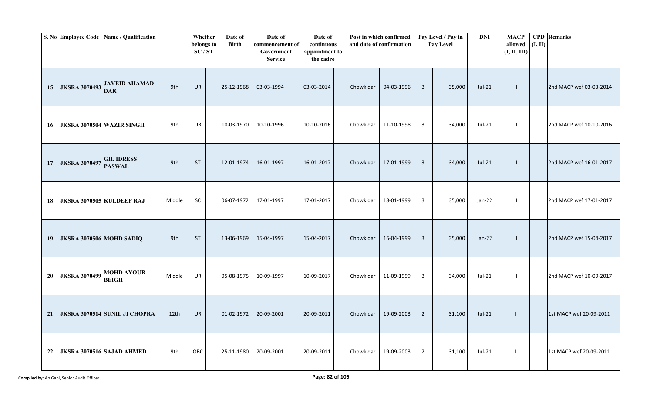|    |                                  | S. No Employee Code Name / Qualification |        | Whether<br>belongs to<br>SC/ST | Date of<br><b>Birth</b> | Date of<br>commencement of<br>Government<br><b>Service</b> | Date of<br>continuous<br>appointment to<br>the cadre |           | Post in which confirmed<br>and date of confirmation |                | Pay Level / Pay in<br>Pay Level | <b>DNI</b> | <b>MACP</b><br>allowed $(I, II)$<br>(I, II, III) | <b>CPD</b> Remarks      |
|----|----------------------------------|------------------------------------------|--------|--------------------------------|-------------------------|------------------------------------------------------------|------------------------------------------------------|-----------|-----------------------------------------------------|----------------|---------------------------------|------------|--------------------------------------------------|-------------------------|
| 15 | <b>JKSRA 3070493</b>             | <b>JAVEID AHAMAD</b><br><b>DAR</b>       | 9th    | UR                             | 25-12-1968              | 03-03-1994                                                 | 03-03-2014                                           | Chowkidar | 04-03-1996                                          | $\overline{3}$ | 35,000                          | $Jul-21$   | $\mathbf{II}$                                    | 2nd MACP wef 03-03-2014 |
| 16 | <b>JKSRA 3070504 WAZIR SINGH</b> |                                          | 9th    | UR                             | 10-03-1970              | 10-10-1996                                                 | 10-10-2016                                           | Chowkidar | 11-10-1998                                          | $\overline{3}$ | 34,000                          | Jul-21     | $\mathbf{I}$                                     | 2nd MACP wef 10-10-2016 |
| 17 | <b>JKSRA 3070497</b>             | <b>GH. IDRESS</b><br><b>PASWAL</b>       | 9th    | <b>ST</b>                      | 12-01-1974              | 16-01-1997                                                 | 16-01-2017                                           | Chowkidar | 17-01-1999                                          | $\overline{3}$ | 34,000                          | $Jul-21$   | $\mathbf{II}$                                    | 2nd MACP wef 16-01-2017 |
| 18 | JKSRA 3070505 KULDEEP RAJ        |                                          | Middle | SC                             | 06-07-1972              | 17-01-1997                                                 | 17-01-2017                                           | Chowkidar | 18-01-1999                                          | 3              | 35,000                          | $Jan-22$   | $\mathbf{H}$                                     | 2nd MACP wef 17-01-2017 |
| 19 | <b>JKSRA 3070506 MOHD SADIQ</b>  |                                          | 9th    | <b>ST</b>                      | 13-06-1969              | 15-04-1997                                                 | 15-04-2017                                           | Chowkidar | 16-04-1999                                          | $\overline{3}$ | 35,000                          | $Jan-22$   | $\mathbf{I}$                                     | 2nd MACP wef 15-04-2017 |
| 20 | <b>JKSRA 3070499</b>             | <b>MOHD AYOUB</b><br><b>BEIGH</b>        | Middle | <b>UR</b>                      | 05-08-1975              | 10-09-1997                                                 | 10-09-2017                                           | Chowkidar | 11-09-1999                                          | $\overline{3}$ | 34,000                          | $Jul-21$   | $\mathbf{I}$                                     | 2nd MACP wef 10-09-2017 |
| 21 |                                  | <b>JKSRA 3070514 SUNIL JI CHOPRA</b>     | 12th   | <b>UR</b>                      | 01-02-1972              | 20-09-2001                                                 | 20-09-2011                                           | Chowkidar | 19-09-2003                                          | $\overline{2}$ | 31,100                          | $Jul-21$   | $\mathbf{I}$                                     | 1st MACP wef 20-09-2011 |
| 22 |                                  | JKSRA 3070516 SAJAD AHMED                | 9th    | OBC                            | 25-11-1980              | 20-09-2001                                                 | 20-09-2011                                           | Chowkidar | 19-09-2003                                          | $\overline{2}$ | 31,100                          | Jul-21     | $\overline{1}$                                   | 1st MACP wef 20-09-2011 |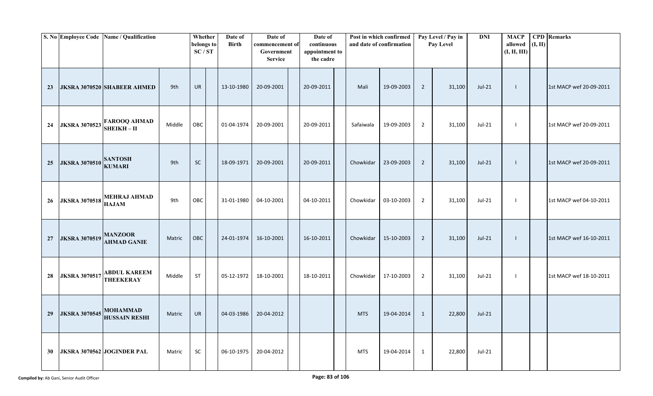|    |                              | S. No Employee Code Name / Qualification          |        | Whether<br>belongs to<br>SC/ST | Date of<br><b>Birth</b> | Date of<br>commencement of<br>Government<br><b>Service</b> | Date of<br>continuous<br>appointment to<br>the cadre |            | Post in which confirmed<br>and date of confirmation |                | Pay Level / Pay in<br>Pay Level | <b>DNI</b> | <b>MACP</b><br>allowed<br>(I, II, III) | (I, II) | <b>CPD</b> Remarks      |
|----|------------------------------|---------------------------------------------------|--------|--------------------------------|-------------------------|------------------------------------------------------------|------------------------------------------------------|------------|-----------------------------------------------------|----------------|---------------------------------|------------|----------------------------------------|---------|-------------------------|
| 23 |                              | <b>JKSRA 3070520 SHABEER AHMED</b>                | 9th    | UR                             | 13-10-1980              | 20-09-2001                                                 | 20-09-2011                                           | Mali       | 19-09-2003                                          | $\overline{2}$ | 31,100                          | $Jul-21$   | $\mathbf{I}$                           |         | 1st MACP wef 20-09-2011 |
| 24 |                              | <b>JKSRA 3070523</b> FAROOQ AHMAD<br>SHEIKH - II  | Middle | OBC                            | 01-04-1974              | 20-09-2001                                                 | 20-09-2011                                           | Safaiwala  | 19-09-2003                                          | $\overline{2}$ | 31,100                          | Jul-21     | $\blacksquare$                         |         | 1st MACP wef 20-09-2011 |
| 25 | JKSRA 3070510 SANTOSH        |                                                   | 9th    | SC                             | 18-09-1971              | 20-09-2001                                                 | 20-09-2011                                           | Chowkidar  | 23-09-2003                                          | $\overline{2}$ | 31,100                          | $Jul-21$   | $\mathbf{I}$                           |         | 1st MACP wef 20-09-2011 |
| 26 |                              | <b>JKSRA 3070518 MEHRAJ AHMAD</b><br><b>HAJAM</b> | 9th    | OBC                            | 31-01-1980              | 04-10-2001                                                 | 04-10-2011                                           | Chowkidar  | 03-10-2003                                          | $\overline{2}$ | 31,100                          | Jul-21     | $\blacksquare$                         |         | 1st MACP wef 04-10-2011 |
| 27 | <b>JKSRA 3070519 MANZOOR</b> | <b>AHMAD GANIE</b>                                | Matric | OBC                            | 24-01-1974              | 16-10-2001                                                 | 16-10-2011                                           | Chowkidar  | 15-10-2003                                          | 2              | 31,100                          | $Jul-21$   | $\perp$                                |         | 1st MACP wef 16-10-2011 |
| 28 | <b>JKSRA 3070517</b>         | <b>ABDUL KAREEM</b><br><b>THEEKERAY</b>           | Middle | <b>ST</b>                      | 05-12-1972              | 18-10-2001                                                 | 18-10-2011                                           | Chowkidar  | 17-10-2003                                          | $\overline{2}$ | 31,100                          | Jul-21     | $\blacksquare$                         |         | 1st MACP wef 18-10-2011 |
| 29 | <b>JKSRA 3070545</b>         | <b>MOHAMMAD</b><br><b>HUSSAIN RESHI</b>           | Matric | <b>UR</b>                      | 04-03-1986              | 20-04-2012                                                 |                                                      | <b>MTS</b> | 19-04-2014                                          | $\mathbf{1}$   | 22,800                          | $Jul-21$   |                                        |         |                         |
| 30 |                              | JKSRA 3070562 JOGINDER PAL                        | Matric | SC                             | 06-10-1975              | 20-04-2012                                                 |                                                      | <b>MTS</b> | 19-04-2014                                          | 1              | 22,800                          | Jul-21     |                                        |         |                         |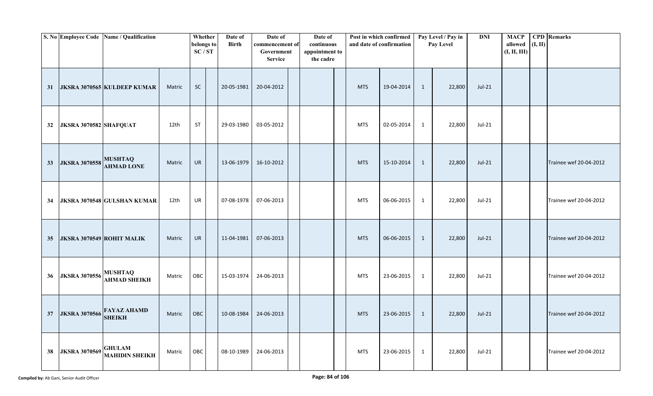|                 |                                  | S. No Employee Code Name / Qualification |        | Whether<br>belongs to<br>SC/ST | Date of<br><b>Birth</b> | Date of<br>commencement of<br>Government<br><b>Service</b> | Date of<br>continuous<br>appointment to<br>the cadre |            | Post in which confirmed<br>and date of confirmation |              | Pay Level / Pay in<br>Pay Level | <b>DNI</b> | <b>MACP</b><br>allowed $(I, II)$<br>(I, II, III) | <b>CPD</b> Remarks     |
|-----------------|----------------------------------|------------------------------------------|--------|--------------------------------|-------------------------|------------------------------------------------------------|------------------------------------------------------|------------|-----------------------------------------------------|--------------|---------------------------------|------------|--------------------------------------------------|------------------------|
| 31              |                                  | <b>JKSRA 3070565 KULDEEP KUMAR</b>       | Matric | <b>SC</b>                      | 20-05-1981              | 20-04-2012                                                 |                                                      | <b>MTS</b> | 19-04-2014                                          | 1            | 22,800                          | $Jul-21$   |                                                  |                        |
| 32              | JKSRA 3070582 SHAFQUAT           |                                          | 12th   | ST                             | 29-03-1980              | 03-05-2012                                                 |                                                      | <b>MTS</b> | 02-05-2014                                          | $\mathbf{1}$ | 22,800                          | Jul-21     |                                                  |                        |
| 33              | JKSRA 3070558 MUSHTAQ            | <b>AHMAD LONE</b>                        | Matric | UR                             | 13-06-1979              | 16-10-2012                                                 |                                                      | <b>MTS</b> | 15-10-2014                                          | $\mathbf{1}$ | 22,800                          | $Jul-21$   |                                                  | Trainee wef 20-04-2012 |
| 34              |                                  | JKSRA 3070548 GULSHAN KUMAR              | 12th   | <b>UR</b>                      | 07-08-1978              | 07-06-2013                                                 |                                                      | <b>MTS</b> | 06-06-2015                                          | $\mathbf{1}$ | 22,800                          | Jul-21     |                                                  | Trainee wef 20-04-2012 |
| 35 <sub>5</sub> | <b>JKSRA 3070549 ROHIT MALIK</b> |                                          | Matric | <b>UR</b>                      | 11-04-1981              | 07-06-2013                                                 |                                                      | <b>MTS</b> | 06-06-2015                                          | 1            | 22,800                          | $Jul-21$   |                                                  | Trainee wef 20-04-2012 |
| 36              | <b>JKSRA 3070556</b>             | <b>MUSHTAQ</b><br><b>AHMAD SHEIKH</b>    | Matric | OBC                            | 15-03-1974              | 24-06-2013                                                 |                                                      | <b>MTS</b> | 23-06-2015                                          | $\mathbf{1}$ | 22,800                          | $Jul-21$   |                                                  | Trainee wef 20-04-2012 |
| 37              |                                  | JKSRA 3070566 FAYAZ AHAMD                | Matric | OBC                            | 10-08-1984              | 24-06-2013                                                 |                                                      | <b>MTS</b> | 23-06-2015                                          | $\mathbf{1}$ | 22,800                          | $Jul-21$   |                                                  | Trainee wef 20-04-2012 |
| 38              | <b>JKSRA 3070569</b>             | <b>GHULAM</b><br><b>MAHIDIN SHEIKH</b>   | Matric | OBC                            | 08-10-1989              | 24-06-2013                                                 |                                                      | <b>MTS</b> | 23-06-2015                                          | $\mathbf{1}$ | 22,800                          | Jul-21     |                                                  | Trainee wef 20-04-2012 |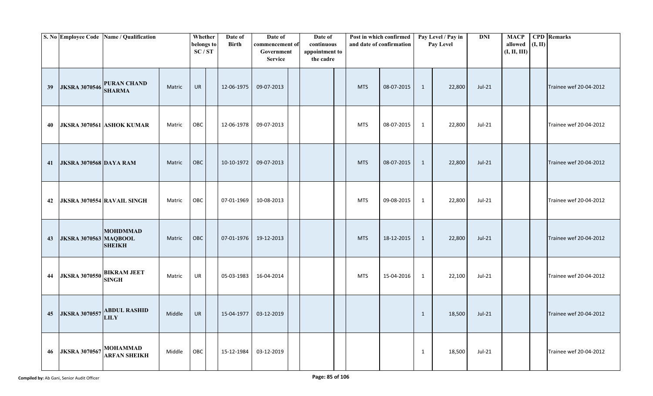|    |                               | S. No Employee Code Name / Qualification |        | Whether<br>belongs to<br>SC/ST | Date of<br><b>Birth</b> | Date of<br>commencement of<br>Government<br><b>Service</b> | Date of<br>continuous<br>appointment to<br>the cadre |            | Post in which confirmed<br>and date of confirmation |              | Pay Level / Pay in<br>Pay Level | <b>DNI</b> | <b>MACP</b><br>allowed<br>(I, II, III) | (I, II) | <b>CPD</b> Remarks     |
|----|-------------------------------|------------------------------------------|--------|--------------------------------|-------------------------|------------------------------------------------------------|------------------------------------------------------|------------|-----------------------------------------------------|--------------|---------------------------------|------------|----------------------------------------|---------|------------------------|
| 39 | <b>JKSRA 3070546</b>          | <b>PURAN CHAND</b><br><b>SHARMA</b>      | Matric | <b>UR</b>                      | 12-06-1975              | 09-07-2013                                                 |                                                      | <b>MTS</b> | 08-07-2015                                          | 1            | 22,800                          | $Jul-21$   |                                        |         | Trainee wef 20-04-2012 |
| 40 |                               | <b>JKSRA 3070561 ASHOK KUMAR</b>         | Matric | OBC                            | 12-06-1978              | 09-07-2013                                                 |                                                      | <b>MTS</b> | 08-07-2015                                          | 1            | 22,800                          | Jul-21     |                                        |         | Trainee wef 20-04-2012 |
| 41 | <b>JKSRA 3070568 DAYA RAM</b> |                                          | Matric | OBC                            | 10-10-1972              | 09-07-2013                                                 |                                                      | <b>MTS</b> | 08-07-2015                                          | $\mathbf{1}$ | 22,800                          | $Jul-21$   |                                        |         | Trainee wef 20-04-2012 |
| 42 |                               | JKSRA 3070554 RAVAIL SINGH               | Matric | OBC                            | 07-01-1969              | 10-08-2013                                                 |                                                      | <b>MTS</b> | 09-08-2015                                          | $\mathbf{1}$ | 22,800                          | Jul-21     |                                        |         | Trainee wef 20-04-2012 |
| 43 | <b>JKSRA 3070563 MAQBOOL</b>  | <b>MOHDMMAD</b><br><b>SHEIKH</b>         | Matric | OBC                            | 07-01-1976              | 19-12-2013                                                 |                                                      | <b>MTS</b> | 18-12-2015                                          | $\mathbf{1}$ | 22,800                          | $Jul-21$   |                                        |         | Trainee wef 20-04-2012 |
| 44 | <b>JKSRA 3070550</b>          | <b>BIKRAM JEET</b><br><b>SINGH</b>       | Matric | UR                             | 05-03-1983              | 16-04-2014                                                 |                                                      | <b>MTS</b> | 15-04-2016                                          | 1            | 22,100                          | Jul-21     |                                        |         | Trainee wef 20-04-2012 |
| 45 | <b>JKSRA 3070557</b>          | <b>ABDUL RASHID</b><br><b>LILY</b>       | Middle | <b>UR</b>                      | 15-04-1977              | 03-12-2019                                                 |                                                      |            |                                                     | $\mathbf{1}$ | 18,500                          | $Jul-21$   |                                        |         | Trainee wef 20-04-2012 |
| 46 | <b>JKSRA 3070567</b>          | MOHAMMAD<br><b>ARFAN SHEIKH</b>          | Middle | OBC                            | 15-12-1984              | 03-12-2019                                                 |                                                      |            |                                                     | $\mathbf{1}$ | 18,500                          | Jul-21     |                                        |         | Trainee wef 20-04-2012 |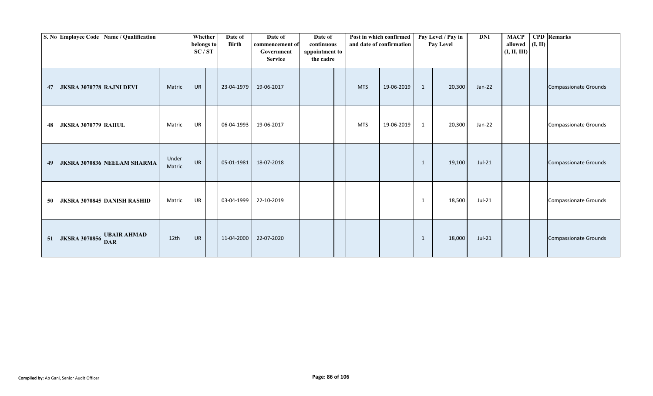|    |                                 | S. No Employee Code Name / Qualification |                 | Whether<br>belongs to<br>SC/ST | Date of<br><b>Birth</b> | Date of<br>commencement of<br>Government<br><b>Service</b> | Date of<br>continuous<br>appointment to<br>the cadre |            | Post in which confirmed<br>and date of confirmation |              | Pay Level / Pay in<br>Pay Level | <b>DNI</b> | <b>MACP</b><br>allowed $(I, II)$<br>(I, II, III) | <b>CPD</b> Remarks           |
|----|---------------------------------|------------------------------------------|-----------------|--------------------------------|-------------------------|------------------------------------------------------------|------------------------------------------------------|------------|-----------------------------------------------------|--------------|---------------------------------|------------|--------------------------------------------------|------------------------------|
| 47 | <b>JKSRA 3070778 RAJNI DEVI</b> |                                          | Matric          | <b>UR</b>                      | 23-04-1979              | 19-06-2017                                                 |                                                      | <b>MTS</b> | 19-06-2019                                          | $\mathbf{1}$ | 20,300                          | $Jan-22$   |                                                  | <b>Compassionate Grounds</b> |
| 48 | <b>JKSRA 3070779 RAHUL</b>      |                                          | Matric          | UR                             | 06-04-1993              | 19-06-2017                                                 |                                                      | <b>MTS</b> | 19-06-2019                                          | $\mathbf{1}$ | 20,300                          | $Jan-22$   |                                                  | <b>Compassionate Grounds</b> |
| 49 |                                 | JKSRA 3070836 NEELAM SHARMA              | Under<br>Matric | <b>UR</b>                      | 05-01-1981              | 18-07-2018                                                 |                                                      |            |                                                     | 1            | 19,100                          | $Jul-21$   |                                                  | <b>Compassionate Grounds</b> |
| 50 |                                 | <b>JKSRA 3070845 DANISH RASHID</b>       | Matric          | <b>UR</b>                      | 03-04-1999              | 22-10-2019                                                 |                                                      |            |                                                     | $\mathbf{1}$ | 18,500                          | Jul-21     |                                                  | <b>Compassionate Grounds</b> |
| 51 | <b>JKSRA 3070856</b>            | <b>UBAIR AHMAD</b><br><b>DAR</b>         | 12th            | <b>UR</b>                      | 11-04-2000              | 22-07-2020                                                 |                                                      |            |                                                     | 1            | 18,000                          | $Jul-21$   |                                                  | <b>Compassionate Grounds</b> |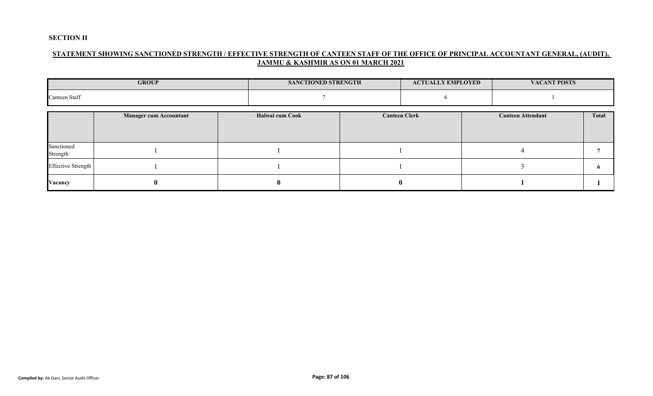### **SECTION II**

## **STATEMENT SHOWING SANCTIONED STRENGTH / EFFECTIVE STRENGTH OF CANTEEN STAFF OF THE OFFICE OF PRINCIPAL ACCOUNTANT GENERAL, (AUDIT), JAMMU & KASHMIR AS ON 01 MARCH 2021**

|                        | <b>GROUP</b>                  | <b>SANCTIONED STRENGTH</b> |   | <b>ACTUALLY EMPLOYED</b> | <b>VACANT POSTS</b>      |       |
|------------------------|-------------------------------|----------------------------|---|--------------------------|--------------------------|-------|
| Canteen Staff          |                               |                            |   |                          |                          |       |
|                        | <b>Manager cum Accountant</b> | Halwai cum Cook            |   | <b>Canteen Clerk</b>     | <b>Canteen Attendant</b> | Total |
| Sanctioned<br>Strength |                               |                            |   |                          |                          |       |
| Effective Strength     |                               |                            |   |                          |                          | o     |
| Vacancy                |                               | .,                         | v |                          |                          |       |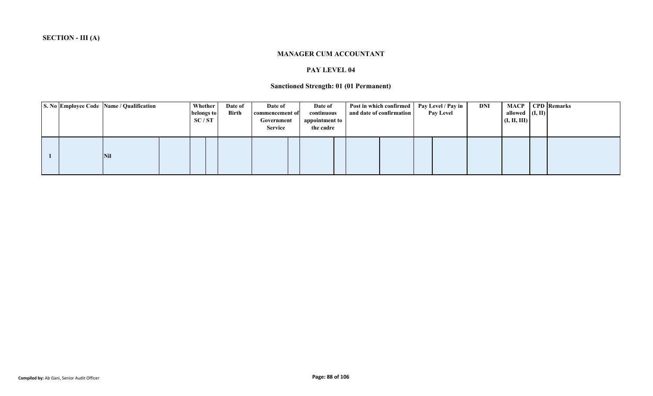#### **MANAGER CUM ACCOUNTANT**

#### **PAY LEVEL 04**

### **Sanctioned Strength: 01 (01 Permanent)**

|  | S. No Employee Code Name / Qualification | Whether<br>belongs to<br>SC/ST | Date of<br><b>Birth</b> | Date of<br>commencement of<br>Government<br><b>Service</b> | Date of<br>continuous<br>appointment to<br>the cadre | Post in which confirmed<br>and date of confirmation | Pay Level / Pay in<br><b>Pay Level</b> | DNI | allowed $($ I, II)<br>(I, II, III) | <b>MACP</b> CPD Remarks |
|--|------------------------------------------|--------------------------------|-------------------------|------------------------------------------------------------|------------------------------------------------------|-----------------------------------------------------|----------------------------------------|-----|------------------------------------|-------------------------|
|  | <b>Nil</b>                               |                                |                         |                                                            |                                                      |                                                     |                                        |     |                                    |                         |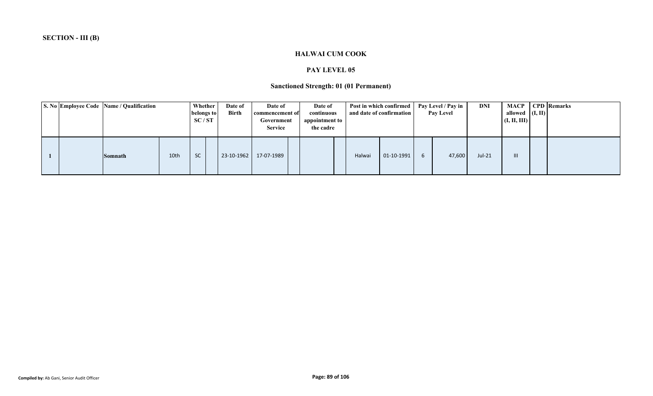#### **HALWAI CUM COOK**

#### **PAY LEVEL 05**

# **Sanctioned Strength: 01 (01 Permanent)**

|  | S. No Employee Code Name / Qualification |      | <b>Whether</b><br>belongs to<br>SC/ST | Date of<br><b>Birth</b> | Date of<br>commencement of<br>Government<br><b>Service</b> | Date of<br>continuous<br>appointment to<br>the cadre |        | Post in which confirmed<br>and date of confirmation |   | Pay Level / Pay in<br><b>Pay Level</b> | DNI      | MACP  <br>allowed $($ I, II) $ $<br>(I, II, III) | <b>CPD</b> Remarks |
|--|------------------------------------------|------|---------------------------------------|-------------------------|------------------------------------------------------------|------------------------------------------------------|--------|-----------------------------------------------------|---|----------------------------------------|----------|--------------------------------------------------|--------------------|
|  | <b>Somnath</b>                           | 10th | <b>SC</b>                             | 23-10-1962              | 17-07-1989                                                 |                                                      | Halwai | 01-10-1991                                          | 6 | 47,600                                 | $Jul-21$ | III                                              |                    |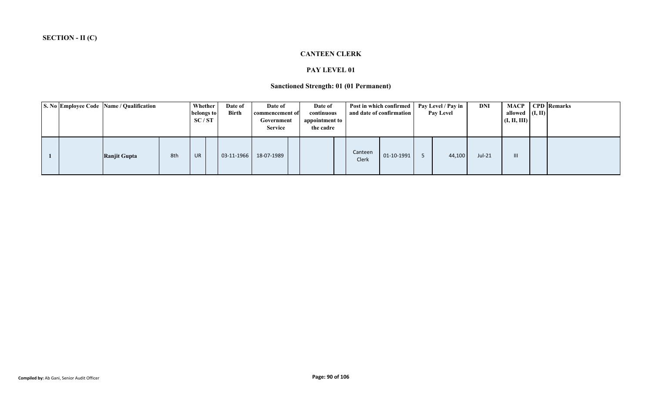### **CANTEEN CLERK**

#### **PAY LEVEL 01**

### **Sanctioned Strength: 01 (01 Permanent)**

|  | S. No Employee Code Name / Qualification |     | Whether<br>belongs to<br>SC/ST | Date of<br><b>Birth</b> | Date of<br>commencement of<br>Government<br><b>Service</b> | Date of<br>continuous<br>appointment to<br>the cadre |                         | Post in which confirmed<br>and date of confirmation | Pay Level / Pay in<br><b>Pay Level</b> | DNI      | allowed $($ I, II $)$<br>(I, II, III) | <b>MACP</b> CPD Remarks |
|--|------------------------------------------|-----|--------------------------------|-------------------------|------------------------------------------------------------|------------------------------------------------------|-------------------------|-----------------------------------------------------|----------------------------------------|----------|---------------------------------------|-------------------------|
|  | Ranjit Gupta                             | 8th | UR                             | 03-11-1966              | 18-07-1989                                                 |                                                      | Canteen<br><b>Clerk</b> | 01-10-1991                                          | 44,100                                 | $Jul-21$ | III                                   |                         |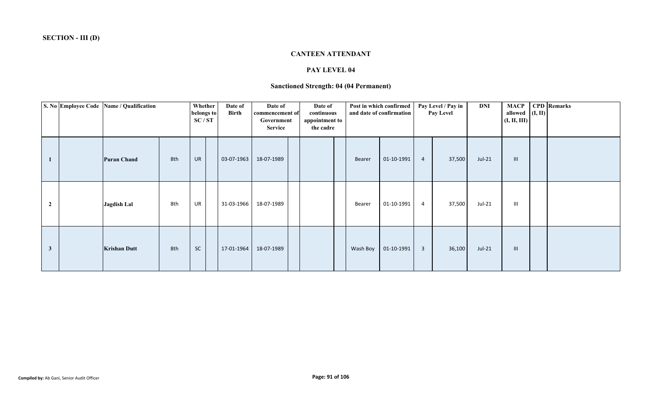#### **CANTEEN ATTENDANT**

#### **PAY LEVEL 04**

### **Sanctioned Strength: 04 (04 Permanent)**

|              | S. No Employee Code Name / Qualification |     | Whether<br>belongs to<br>SC/ST | Date of<br>Birth | Date of<br>commencement of<br>Government<br>Service | Date of<br>continuous<br>appointment to<br>the cadre |          | Post in which confirmed<br>and date of confirmation |                | Pay Level / Pay in<br>Pay Level | DNI      | <b>MACP</b><br>allowed $(I, II)$<br>(I, II, III) | <b>CPD</b> Remarks |
|--------------|------------------------------------------|-----|--------------------------------|------------------|-----------------------------------------------------|------------------------------------------------------|----------|-----------------------------------------------------|----------------|---------------------------------|----------|--------------------------------------------------|--------------------|
|              | <b>Puran Chand</b>                       | 8th | <b>UR</b>                      | 03-07-1963       | 18-07-1989                                          |                                                      | Bearer   | 01-10-1991                                          | $\overline{4}$ | 37,500                          | $Jul-21$ | $\  \cdot \ $                                    |                    |
| 2            | <b>Jagdish Lal</b>                       | 8th | UR                             | 31-03-1966       | 18-07-1989                                          |                                                      | Bearer   | 01-10-1991                                          | 4              | 37,500                          | $Jul-21$ | $\mathbf{III}$                                   |                    |
| $\mathbf{3}$ | <b>Krishan Dutt</b>                      | 8th | $\sf SC$                       | 17-01-1964       | 18-07-1989                                          |                                                      | Wash Boy | 01-10-1991                                          | $\overline{3}$ | 36,100                          | $Jul-21$ | $\mathbf{III}$                                   |                    |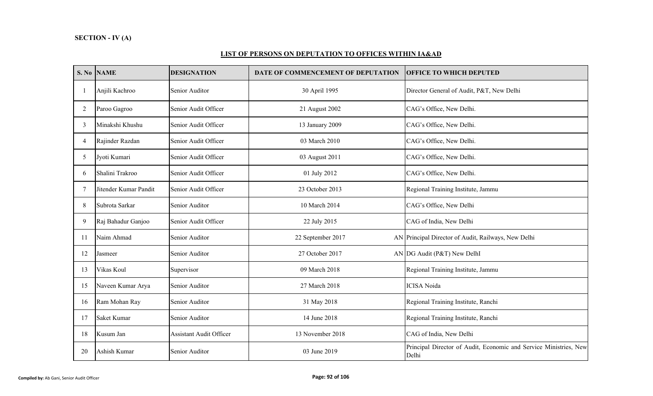### **LIST OF PERSONS ON DEPUTATION TO OFFICES WITHIN IA&AD**

|                | S. No NAME            | <b>DESIGNATION</b>             | DATE OF COMMENCEMENT OF DEPUTATION | <b>OFFICE TO WHICH DEPUTED</b>                                             |
|----------------|-----------------------|--------------------------------|------------------------------------|----------------------------------------------------------------------------|
|                | Anjili Kachroo        | Senior Auditor                 | 30 April 1995                      | Director General of Audit, P&T, New Delhi                                  |
| 2              | Paroo Gagroo          | Senior Audit Officer           | 21 August 2002                     | CAG's Office, New Delhi.                                                   |
| 3              | Minakshi Khushu       | Senior Audit Officer           | 13 January 2009                    | CAG's Office, New Delhi.                                                   |
| $\overline{4}$ | Rajinder Razdan       | Senior Audit Officer           | 03 March 2010                      | CAG's Office, New Delhi.                                                   |
| 5              | Jyoti Kumari          | Senior Audit Officer           | 03 August 2011                     | CAG's Office, New Delhi.                                                   |
| 6              | Shalini Trakroo       | Senior Audit Officer           | 01 July 2012                       | CAG's Office, New Delhi.                                                   |
|                | Jitender Kumar Pandit | Senior Audit Officer           | 23 October 2013                    | Regional Training Institute, Jammu                                         |
| 8              | Subrota Sarkar        | Senior Auditor                 | 10 March 2014                      | CAG's Office, New Delhi                                                    |
| 9              | Raj Bahadur Ganjoo    | Senior Audit Officer           | 22 July 2015                       | CAG of India, New Delhi                                                    |
| -11            | Naim Ahmad            | Senior Auditor                 | 22 September 2017                  | AN Principal Director of Audit, Railways, New Delhi                        |
| 12             | Jasmeer               | Senior Auditor                 | 27 October 2017                    | AN DG Audit (P&T) New DelhI                                                |
| 13             | Vikas Koul            | Supervisor                     | 09 March 2018                      | Regional Training Institute, Jammu                                         |
| 15             | Naveen Kumar Arya     | Senior Auditor                 | 27 March 2018                      | <b>ICISA</b> Noida                                                         |
| 16             | Ram Mohan Ray         | Senior Auditor                 | 31 May 2018                        | Regional Training Institute, Ranchi                                        |
| 17             | Saket Kumar           | Senior Auditor                 | 14 June 2018                       | Regional Training Institute, Ranchi                                        |
| 18             | Kusum Jan             | <b>Assistant Audit Officer</b> | 13 November 2018                   | CAG of India, New Delhi                                                    |
| 20             | Ashish Kumar          | Senior Auditor                 | 03 June 2019                       | Principal Director of Audit, Economic and Service Ministries, New<br>Delhi |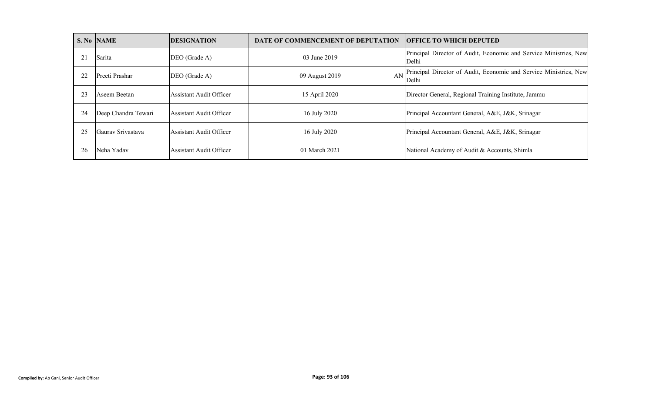|                | <b>S. No NAME</b>   | <b>DESIGNATION</b>      | DATE OF COMMENCEMENT OF DEPUTATION | <b>OFFICE TO WHICH DEPUTED</b>                                                |
|----------------|---------------------|-------------------------|------------------------------------|-------------------------------------------------------------------------------|
| 2 <sub>1</sub> | Sarita              | DEO (Grade A)           | 03 June 2019                       | Principal Director of Audit, Economic and Service Ministries, New<br>Delhi    |
|                | Preeti Prashar      | DEO (Grade A)           | 09 August 2019                     | AN Principal Director of Audit, Economic and Service Ministries, New<br>Delhi |
| 23             | Aseem Beetan        | Assistant Audit Officer | 15 April 2020                      | Director General, Regional Training Institute, Jammu                          |
| 24             | Deep Chandra Tewari | Assistant Audit Officer | 16 July 2020                       | Principal Accountant General, A&E, J&K, Srinagar                              |
| 25             | Gauray Srivastava   | Assistant Audit Officer | 16 July 2020                       | Principal Accountant General, A&E, J&K, Srinagar                              |
| 26             | Neha Yadav          | Assistant Audit Officer | 01 March 2021                      | National Academy of Audit & Accounts, Shimla                                  |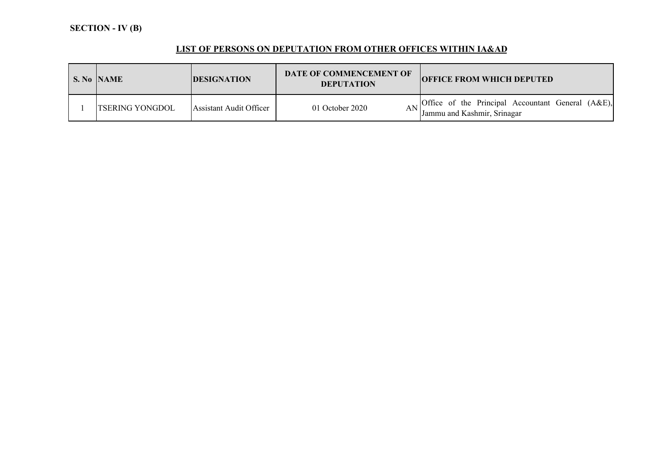# **LIST OF PERSONS ON DEPUTATION FROM OTHER OFFICES WITHIN IA&AD**

| S. No NAME             | <b>DESIGNATION</b>      | DATE OF COMMENCEMENT OF<br><b>DEPUTATION</b> | <b>OFFICE FROM WHICH DEPUTED</b>                                                                        |
|------------------------|-------------------------|----------------------------------------------|---------------------------------------------------------------------------------------------------------|
| <b>TSERING YONGDOL</b> | Assistant Audit Officer | 01 October 2020                              | $\Lambda$ <sub>I</sub> Office of the Principal Accountant General (A&E),<br>Jammu and Kashmir, Srinagar |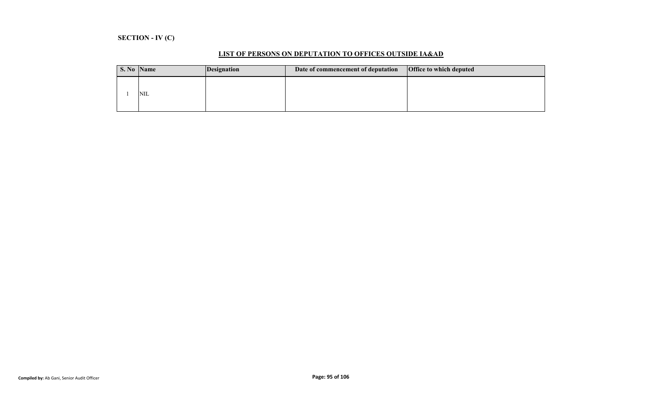# **SECTION - IV (C)**

| S. No Name | <i>Designation</i> | Date of commencement of deputation | <b>Office to which deputed</b> |
|------------|--------------------|------------------------------------|--------------------------------|
| <b>NIL</b> |                    |                                    |                                |

### **LIST OF PERSONS ON DEPUTATION TO OFFICES OUTSIDE IA&AD**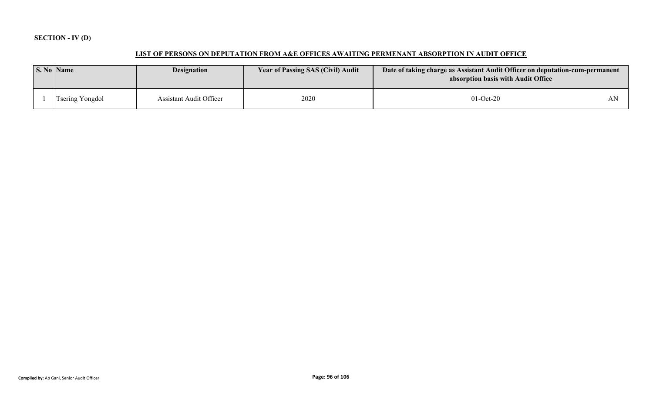# **SECTION - IV (D)**

# **LIST OF PERSONS ON DEPUTATION FROM A&E OFFICES AWAITING PERMENANT ABSORPTION IN AUDIT OFFICE**

| S. No Name             | <b>Designation</b>             | <b>Year of Passing SAS (Civil) Audit</b> | Date of taking charge as Assistant Audit Officer on deputation-cum-permanent<br>absorption basis with Audit Office |  |
|------------------------|--------------------------------|------------------------------------------|--------------------------------------------------------------------------------------------------------------------|--|
| <b>Tsering Yongdol</b> | <b>Assistant Audit Officer</b> | 2020                                     | $01-Oct-20$                                                                                                        |  |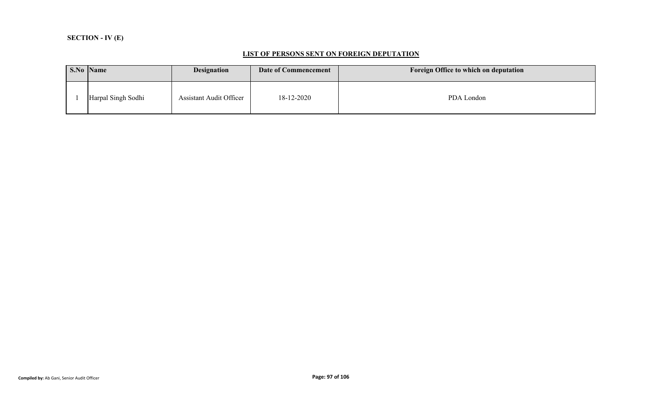# **SECTION - IV (E)**

#### **LIST OF PERSONS SENT ON FOREIGN DEPUTATION**

| S.No Name          | <b>Designation</b>             | Date of Commencement | Foreign Office to which on deputation |
|--------------------|--------------------------------|----------------------|---------------------------------------|
| Harpal Singh Sodhi | <b>Assistant Audit Officer</b> | 18-12-2020           | PDA London                            |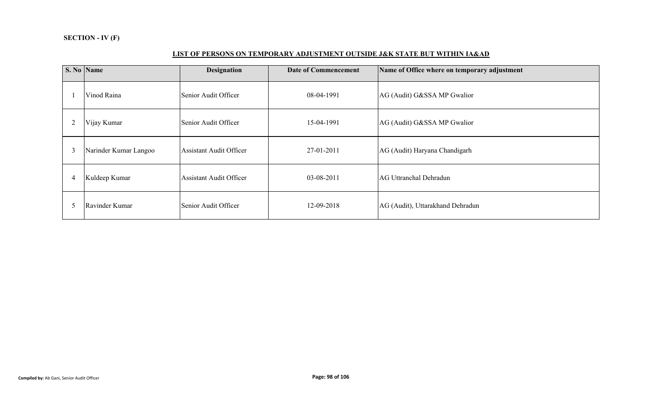### **LIST OF PERSONS ON TEMPORARY ADJUSTMENT OUTSIDE J&K STATE BUT WITHIN IA&AD**

|                | S. No Name            | <b>Designation</b>             | <b>Date of Commencement</b> | Name of Office where on temporary adjustment |
|----------------|-----------------------|--------------------------------|-----------------------------|----------------------------------------------|
|                | Vinod Raina           | Senior Audit Officer           | 08-04-1991                  | AG (Audit) G&SSA MP Gwalior                  |
|                | Vijay Kumar           | Senior Audit Officer           | 15-04-1991                  | AG (Audit) G&SSA MP Gwalior                  |
| 3              | Narinder Kumar Langoo | <b>Assistant Audit Officer</b> | 27-01-2011                  | AG (Audit) Haryana Chandigarh                |
| $\overline{4}$ | Kuldeep Kumar         | <b>Assistant Audit Officer</b> | 03-08-2011                  | AG Uttranchal Dehradun                       |
|                | Ravinder Kumar        | Senior Audit Officer           | 12-09-2018                  | AG (Audit), Uttarakhand Dehradun             |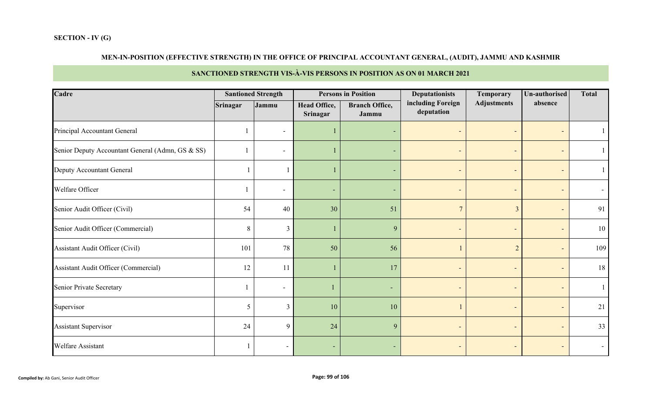# **MEN-IN-POSITION (EFFECTIVE STRENGTH) IN THE OFFICE OF PRINCIPAL ACCOUNTANT GENERAL, (AUDIT), JAMMU AND KASHMIR**

# **SANCTIONED STRENGTH VIS-À-VIS PERSONS IN POSITION AS ON 01 MARCH 2021**

| Cadre                                            |                 | <b>Santioned Strength</b> |                                 | <b>Persons in Position</b>     | <b>Deputationists</b>           | <b>Temporary</b>         | Un-authorised            | <b>Total</b> |
|--------------------------------------------------|-----------------|---------------------------|---------------------------------|--------------------------------|---------------------------------|--------------------------|--------------------------|--------------|
|                                                  | <b>Srinagar</b> | Jammu                     | <b>Head Office,</b><br>Srinagar | <b>Branch Office,</b><br>Jammu | including Foreign<br>deputation | <b>Adjustments</b>       | absence                  |              |
| Principal Accountant General                     |                 | $\sim$                    |                                 | ٠                              |                                 | $\overline{\phantom{a}}$ | $\overline{\phantom{a}}$ |              |
| Senior Deputy Accountant General (Admn, GS & SS) |                 | $\overline{\phantom{a}}$  |                                 | ٠                              |                                 | $\overline{\phantom{a}}$ | $\blacksquare$           |              |
| Deputy Accountant General                        |                 |                           |                                 | ٠                              |                                 |                          | $\qquad \qquad -$        |              |
| Welfare Officer                                  |                 | $\overline{\phantom{a}}$  |                                 | ٠                              |                                 |                          | $\qquad \qquad -$        |              |
| Senior Audit Officer (Civil)                     | 54              | 40                        | 30                              | 51                             | $\overline{7}$                  | $\overline{3}$           | $\overline{\phantom{a}}$ | 91           |
| Senior Audit Officer (Commercial)                | $\,8\,$         | 3                         |                                 | 9                              | $\overline{\phantom{0}}$        | $\overline{\phantom{a}}$ | $\sim$                   | 10           |
| Assistant Audit Officer (Civil)                  | 101             | 78                        | 50                              | 56                             |                                 | $\overline{2}$           | $\blacksquare$           | 109          |
| Assistant Audit Officer (Commercial)             | 12              | 11                        |                                 | 17                             | $\overline{\phantom{0}}$        | $\overline{\phantom{a}}$ | $\blacksquare$           | 18           |
| <b>Senior Private Secretary</b>                  |                 | $\blacksquare$            |                                 | $\overline{\phantom{0}}$       |                                 | $\overline{\phantom{a}}$ | $\overline{\phantom{a}}$ |              |
| Supervisor                                       | 5               | $\overline{3}$            | 10                              | 10                             |                                 | $\overline{\phantom{a}}$ | $\blacksquare$           | 21           |
| <b>Assistant Supervisor</b>                      | 24              | 9                         | 24                              | 9                              |                                 | $\overline{\phantom{a}}$ | $\overline{\phantom{a}}$ | 33           |
| Welfare Assistant                                |                 | $\overline{\phantom{a}}$  |                                 |                                |                                 |                          | $\blacksquare$           |              |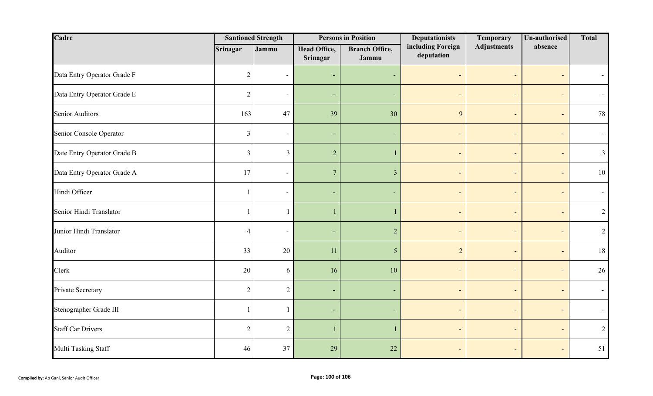| Cadre                       |                | <b>Santioned Strength</b> |                                        | <b>Persons in Position</b>     | <b>Deputationists</b>           | Temporary                    | Un-authorised            | <b>Total</b>   |
|-----------------------------|----------------|---------------------------|----------------------------------------|--------------------------------|---------------------------------|------------------------------|--------------------------|----------------|
|                             | Srinagar       | Jammu                     | <b>Head Office,</b><br><b>Srinagar</b> | <b>Branch Office,</b><br>Jammu | including Foreign<br>deputation | <b>Adjustments</b>           | absence                  |                |
| Data Entry Operator Grade F | 2              | $\sim$                    | ٠                                      | ٠                              | $\overline{\phantom{a}}$        | $\overline{\phantom{a}}$     | $\overline{\phantom{a}}$ |                |
| Data Entry Operator Grade E | $\overline{2}$ | $\sim$                    | ٠                                      | $\overline{\phantom{a}}$       | $\overline{\phantom{a}}$        | ٠                            | $\overline{\phantom{a}}$ |                |
| <b>Senior Auditors</b>      | 163            | 47                        | 39                                     | 30                             | 9                               | $\overline{\phantom{a}}$     | $\overline{\phantom{a}}$ | 78             |
| Senior Console Operator     | $\mathfrak{Z}$ | $\sim$                    | ٠                                      | ٠                              | $\overline{\phantom{a}}$        | $\overline{\phantom{a}}$     | $\blacksquare$           |                |
| Date Entry Operator Grade B | $\mathfrak{Z}$ | $\overline{3}$            | $\overline{2}$                         | $\mathbf{1}$                   | $\overline{\phantom{a}}$        | $\overline{\phantom{a}}$     | $\overline{\phantom{a}}$ | $\mathfrak{Z}$ |
| Data Entry Operator Grade A | 17             | $\sim$                    | $\overline{7}$                         | $\mathfrak{Z}$                 | $\overline{\phantom{a}}$        | ÷                            | $\overline{\phantom{a}}$ | $10\,$         |
| Hindi Officer               | 1              | $\blacksquare$            | $\overline{\phantom{a}}$               | ٠                              | $\overline{\phantom{a}}$        | $\overline{\phantom{a}}$     | $\overline{\phantom{a}}$ |                |
| Senior Hindi Translator     | 1              |                           |                                        | 1                              | $\overline{\phantom{a}}$        | $\overline{\phantom{a}}$     | $\overline{\phantom{a}}$ | 2              |
| Junior Hindi Translator     | $\overline{4}$ | $\overline{\phantom{a}}$  | ٠                                      | $\sqrt{2}$                     | $\overline{\phantom{a}}$        | $\overline{\phantom{a}}$     | $\overline{\phantom{a}}$ | $\overline{2}$ |
| Auditor                     | 33             | 20                        | 11                                     | $5\overline{)}$                | $\overline{2}$                  | $\overline{\phantom{a}}$     | $\overline{\phantom{a}}$ | 18             |
| Clerk                       | 20             | 6                         | 16                                     | 10                             | $\overline{a}$                  | $\overline{\phantom{a}}$     | $\overline{\phantom{a}}$ | 26             |
| Private Secretary           | $\sqrt{2}$     | $\overline{2}$            | ٠                                      | $\blacksquare$                 | $\overline{a}$                  | $\overline{\phantom{a}}$     | $\overline{\phantom{a}}$ |                |
| Stenographer Grade III      | $\mathbf{1}$   | $\overline{1}$            | ٠                                      | ٠                              | ÷                               | ٠                            | $\overline{\phantom{a}}$ |                |
| <b>Staff Car Drivers</b>    | $\overline{2}$ | $\overline{2}$            |                                        | -1                             | $\qquad \qquad \blacksquare$    | $\qquad \qquad \blacksquare$ | $\overline{\phantom{a}}$ | $\overline{2}$ |
| Multi Tasking Staff         | 46             | 37                        | 29                                     | 22                             | $\overline{a}$                  | $\overline{\phantom{a}}$     | $\overline{\phantom{a}}$ | 51             |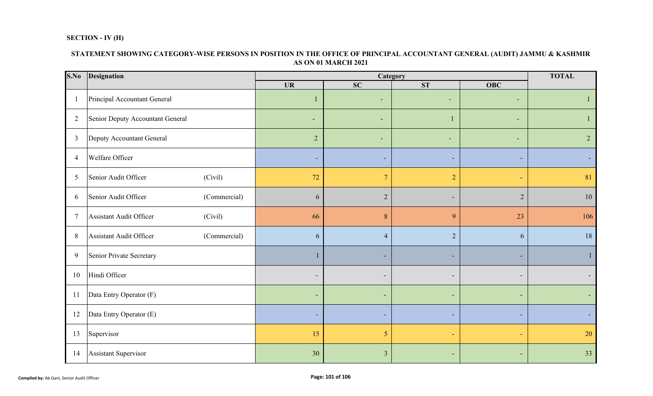### **SECTION - IV (H)**

## **STATEMENT SHOWING CATEGORY-WISE PERSONS IN POSITION IN THE OFFICE OF PRINCIPAL ACCOUNTANT GENERAL (AUDIT) JAMMU & KASHMIR AS ON 01 MARCH 2021**

| S.No           | Designation                             |                          |                              | Category                 |                          | <b>TOTAL</b>   |  |
|----------------|-----------------------------------------|--------------------------|------------------------------|--------------------------|--------------------------|----------------|--|
|                |                                         | <b>UR</b>                | SC                           | <b>ST</b>                | <b>OBC</b>               |                |  |
|                | Principal Accountant General            |                          | $\overline{\phantom{0}}$     | $\sim$                   | ٠                        | 1              |  |
| 2              | Senior Deputy Accountant General        | $\overline{\phantom{a}}$ | ٠                            |                          | ٠                        |                |  |
| $\mathfrak{Z}$ | Deputy Accountant General               | $\overline{2}$           | ٠                            | $\sim$                   | ٠                        | 2 <sup>1</sup> |  |
| 4              | Welfare Officer                         |                          | ٠                            | ٠                        | $\sim$                   | ٠              |  |
| 5              | Senior Audit Officer<br>(Civil)         | 72                       | $\overline{7}$               | $\overline{2}$           | ÷                        | 81             |  |
| 6              | Senior Audit Officer<br>(Commercial)    | 6                        | $\overline{2}$               | $\blacksquare$           | $\overline{2}$           | 10             |  |
| 7              | Assistant Audit Officer<br>(Civil)      | 66                       | 8                            | 9                        | 23                       | 106            |  |
| $\,8\,$        | Assistant Audit Officer<br>(Commercial) | 6                        | $\overline{4}$               | $\overline{2}$           | 6                        | 18             |  |
| 9              | Senior Private Secretary                |                          |                              |                          | ٠                        | $\mathbf{1}$   |  |
| 10             | Hindi Officer                           |                          | $\qquad \qquad \blacksquare$ | $\overline{\phantom{a}}$ | $\overline{\phantom{a}}$ | ۰.             |  |
| 11             | Data Entry Operator (F)                 |                          | ٠                            |                          | $\sim$                   | ٠.             |  |
| 12             | Data Entry Operator (E)                 |                          | ٠                            | ٠                        | $\sim$                   | ٠.             |  |
| 13             | Supervisor                              | 15                       | 5                            | ٠                        | $\blacksquare$           | 20             |  |
| 14             | Assistant Supervisor                    | 30                       | $\overline{3}$               |                          |                          | 33             |  |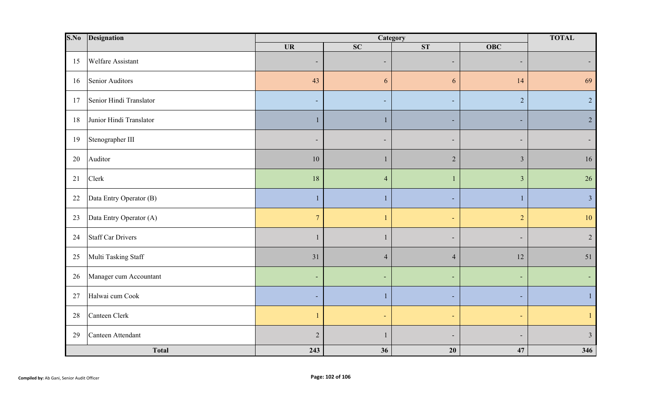| S.No   | Designation              |                          | Category                 |                          |                          | <b>TOTAL</b>   |
|--------|--------------------------|--------------------------|--------------------------|--------------------------|--------------------------|----------------|
|        |                          | <b>UR</b>                | SC                       | ST                       | $\overline{O}$ BC        |                |
| 15     | <b>Welfare Assistant</b> | $\overline{\phantom{a}}$ | $\overline{\phantom{0}}$ | $\overline{\phantom{a}}$ | ٠                        |                |
| 16     | Senior Auditors          | 43                       | 6                        | 6                        | 14                       | 69             |
| 17     | Senior Hindi Translator  |                          |                          | $\overline{\phantom{a}}$ | $\overline{2}$           | $\overline{2}$ |
| 18     | Junior Hindi Translator  |                          |                          |                          | ٠                        | $\overline{2}$ |
| 19     | Stenographer III         |                          |                          | $\overline{\phantom{a}}$ | ۰                        |                |
| 20     | Auditor                  | 10                       |                          | $\overline{2}$           | $\overline{3}$           | 16             |
| 21     | Clerk                    | 18                       | $\overline{4}$           |                          | $\overline{3}$           | 26             |
| 22     | Data Entry Operator (B)  | -1                       | 1                        |                          | $\mathbf{1}$             | $\overline{3}$ |
| 23     | Data Entry Operator (A)  | $7\phantom{.0}$          |                          | $\overline{\phantom{a}}$ | $\overline{2}$           | $10\,$         |
| 24     | <b>Staff Car Drivers</b> |                          |                          | $\overline{\phantom{a}}$ | -                        | $\overline{2}$ |
| 25     | Multi Tasking Staff      | 31                       | $\overline{4}$           | $\overline{4}$           | $12\,$                   | 51             |
| 26     | Manager cum Accountant   | $\overline{a}$           |                          | $\overline{a}$           | Ξ                        |                |
| $27\,$ | Halwai cum Cook          |                          |                          |                          |                          |                |
| 28     | Canteen Clerk            |                          |                          | $\overline{\phantom{a}}$ | $\overline{\phantom{a}}$ |                |
| 29     | Canteen Attendant        | $\overline{2}$           |                          |                          |                          | $\overline{3}$ |
|        | <b>Total</b>             | 243                      | 36                       | 20                       | 47                       | 346            |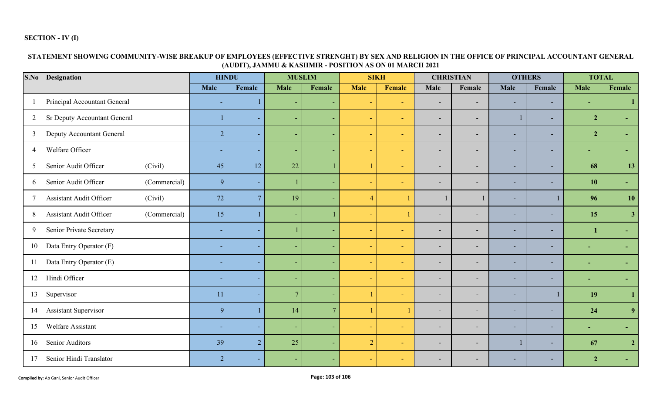### **SECTION - IV (I)**

# **STATEMENT SHOWING COMMUNITY-WISE BREAKUP OF EMPLOYEES (EFFECTIVE STRENGHT) BY SEX AND RELIGION IN THE OFFICE OF PRINCIPAL ACCOUNTANT GENERAL (AUDIT), JAMMU & KASHMIR - POSITION AS ON 01 MARCH 2021**

| S.No                     | <b>Designation</b>                             |                          | <b>HINDU</b>             |      | <b>MUSLIM</b>  |                | <b>SIKH</b> | <b>CHRISTIAN</b>         |                          | <b>OTHERS</b>            |                          | <b>TOTAL</b>   |                |
|--------------------------|------------------------------------------------|--------------------------|--------------------------|------|----------------|----------------|-------------|--------------------------|--------------------------|--------------------------|--------------------------|----------------|----------------|
|                          |                                                | Male                     | Female                   | Male | Female         | <b>Male</b>    | Female      | <b>Male</b>              | Female                   | <b>Male</b>              | Female                   | Male           | Female         |
| $\overline{\phantom{0}}$ | Principal Accountant General                   | $\overline{\phantom{a}}$ |                          | ٠    |                | ÷              | ٠           | $\overline{\phantom{a}}$ | -                        | $\overline{\phantom{a}}$ | $\overline{\phantom{a}}$ | ٠              | 1              |
| $\overline{2}$           | <b>Sr Deputy Accountant General</b>            |                          | ٠                        | ٠    | ٠              | $\sim$         | ÷           | $\overline{\phantom{a}}$ | -                        | 1                        | $\overline{\phantom{a}}$ | $\overline{2}$ |                |
| $\overline{3}$           | Deputy Accountant General                      | $\overline{2}$           | ٠                        | ٠    | ٠              | $\sim$         | $\sim$      | $\overline{\phantom{a}}$ | $\overline{\phantom{0}}$ | ٠                        | $\sim$                   | $\overline{2}$ |                |
| $\overline{4}$           | Welfare Officer                                | $\sim$                   | ٠                        | ٠    | ٠              | ÷              | $\sim$      | $\overline{\phantom{a}}$ | $\overline{\phantom{0}}$ | ٠                        | $\sim$                   | ٠              |                |
| 5                        | Senior Audit Officer<br>(Civil)                | 45                       | 12                       | 22   |                | $\mathbf{1}$   | $\sim$      | $\overline{\phantom{a}}$ | $\overline{\phantom{a}}$ | ٠                        | $\sim$                   | 68             | 13             |
| 6                        | Senior Audit Officer<br>(Commercial)           | 9                        | $\overline{\phantom{a}}$ |      | ٠              | ÷              | $\sim$      | $\overline{\phantom{a}}$ | $\overline{\phantom{0}}$ | ۰                        | $\overline{\phantom{a}}$ | 10             | ۰              |
|                          | (Civil)<br><b>Assistant Audit Officer</b>      | 72                       | $7\overline{ }$          | 19   |                | $\overline{4}$ |             |                          |                          | ٠                        |                          | 96             | 10             |
| 8                        | <b>Assistant Audit Officer</b><br>(Commercial) | 15                       |                          |      |                |                |             |                          | ٠                        | ٠                        | ٠                        | 15             | 3 <sup>1</sup> |
| 9                        | <b>Senior Private Secretary</b>                | $\sim$                   |                          |      |                |                |             | $\overline{\phantom{0}}$ | ٠                        | ۳                        | $\overline{\phantom{0}}$ |                |                |
| 10                       | Data Entry Operator (F)                        |                          |                          |      |                | ٠              |             | $\overline{\phantom{a}}$ | -                        | ۰                        | ٠                        | ٠              |                |
| 11                       | Data Entry Operator (E)                        | ٠                        |                          | ۰    |                | ٠              | ۰           | $\overline{\phantom{a}}$ | ٠                        | ٠                        | ٠                        | ٠              |                |
| 12                       | Hindi Officer                                  | $\overline{\phantom{a}}$ |                          |      |                | ٠              |             | $\overline{\phantom{0}}$ | ٠                        | ۰                        | ٠                        | ٠              |                |
| 13                       | Supervisor                                     | 11                       | $\overline{\phantom{a}}$ | 7    |                |                | ٠           |                          | ٠                        | ٠                        |                          | 19             | $\mathbf{1}$   |
| 14                       | Assistant Supervisor                           | 9                        |                          | 14   | $\overline{7}$ |                |             | ۰                        | ٠                        | ۰                        | $\sim$                   | 24             | 9 <sup>°</sup> |
| 15                       | Welfare Assistant                              | $\sim$                   | ٠                        | ٠    | ۰              | ÷              | H.          | $\overline{\phantom{a}}$ | ٠                        | ٠                        | $\overline{\phantom{a}}$ | ٠              |                |
| 16                       | Senior Auditors                                | 39                       | 2                        | 25   | ٠              | $\overline{2}$ | $\sim$      |                          | ۰                        | 1                        | $\sim$                   | 67             | $\overline{2}$ |
| 17                       | Senior Hindi Translator                        | $\overline{2}$           |                          |      |                | $\equiv$       | $\sim$      |                          |                          |                          | $\overline{\phantom{0}}$ | $\overline{2}$ |                |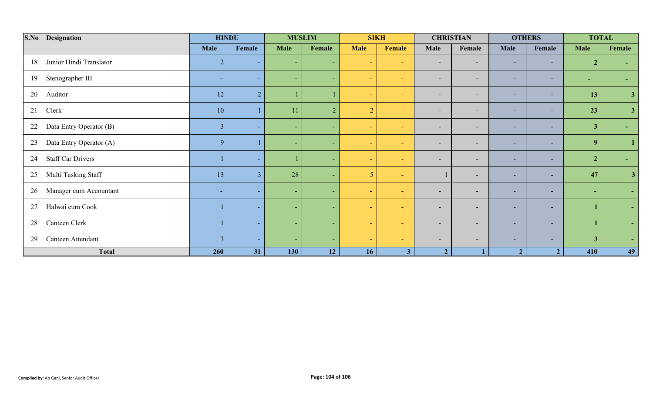| S.No | <b>Designation</b>       | <b>HINDU</b>   |                |                          | <b>MUSLIM</b>  |                 | <b>SIKH</b>    |                          | <b>CHRISTIAN</b>         |                          | <b>OTHERS</b>            | <b>TOTAL</b>   |                |
|------|--------------------------|----------------|----------------|--------------------------|----------------|-----------------|----------------|--------------------------|--------------------------|--------------------------|--------------------------|----------------|----------------|
|      |                          | Male           | Female         | <b>Male</b>              | Female         | <b>Male</b>     | Female         | Male                     | Female                   | Male                     | Female                   | <b>Male</b>    | Female         |
| 18   | Junior Hindi Translator  | $\overline{2}$ | ٠              | ٠                        |                | ÷.              | $\sim$         | $\overline{\phantom{a}}$ | $\overline{\phantom{a}}$ | $\overline{\phantom{0}}$ | $\sim$                   | 2 <sup>1</sup> |                |
| 19   | Stenographer III         | ٠              | ٠              | $\overline{\phantom{0}}$ |                | ÷.              | ÷              | ٠                        | $\overline{\phantom{a}}$ | н.                       | $\sim$                   | ٠              |                |
| 20   | Auditor                  | 12             | $\overline{2}$ |                          |                | $\sim$          | contract.      | ٠                        | $\overline{\phantom{a}}$ | $\overline{\phantom{a}}$ | $\sim$                   | 13             | 3 <sup>1</sup> |
| 21   | Clerk                    | 10             |                | 11                       | $\overline{2}$ | 2               | $\sim$         | $\overline{\phantom{a}}$ | $\overline{\phantom{a}}$ | ٠                        | $\overline{\phantom{a}}$ | 23             | 3 <sup>7</sup> |
| 22   | Data Entry Operator (B)  | 3              | ٠              | ٠                        |                | ÷.              | ÷              | $\overline{\phantom{a}}$ | $\overline{\phantom{a}}$ | $\overline{\phantom{a}}$ | $\overline{\phantom{a}}$ | $\mathbf{3}$   |                |
| 23   | Data Entry Operator (A)  | 9              |                |                          |                | ÷               | c.             | $\sim$                   | $\blacksquare$           | н.                       | $\sim$                   | 9              |                |
| 24   | <b>Staff Car Drivers</b> |                | ٠              |                          |                |                 | ÷              | -                        | $\overline{\phantom{a}}$ | ٠                        | ٠                        | $\overline{2}$ |                |
| 25   | Multi Tasking Staff      | 13             | 3              | 28                       |                | $5\overline{)}$ | ÷              |                          | $\overline{\phantom{a}}$ | н.                       | $\overline{\phantom{a}}$ | 47             | 3 <sup>1</sup> |
| 26   | Manager cum Accountant   | ۰              | ٠              | $\overline{\phantom{a}}$ |                | ÷               | ÷              | $\overline{\phantom{a}}$ | $\overline{\phantom{a}}$ | н.                       | ж.                       | $\sim$         | $\sim$         |
| 27   | Halwai cum Cook          |                | ٠              |                          |                | $\sim$          | ÷              | $\overline{\phantom{a}}$ | $\overline{\phantom{a}}$ | ٠                        | $\overline{\phantom{a}}$ |                | $\sim$         |
| 28   | Canteen Clerk            |                | ٠              | ٠                        |                | <b>Section</b>  | ÷              | -                        | $\overline{\phantom{a}}$ | н.                       | $\overline{\phantom{a}}$ |                | $\sim$         |
| 29   | Canteen Attendant        | $\overline{3}$ | ٠              | -                        |                | $\sim$          | contract.      | $\overline{\phantom{a}}$ | $\overline{\phantom{a}}$ | $\overline{\phantom{a}}$ | $\sim$                   | 3 <sup>1</sup> | $\sim$         |
|      | Total                    | 260            | 31             | 130                      | 12             | 16 <sup>1</sup> | 3 <sup>1</sup> | 2 <sup>1</sup>           |                          | $\overline{2}$           | $\overline{2}$           | 410            | 49             |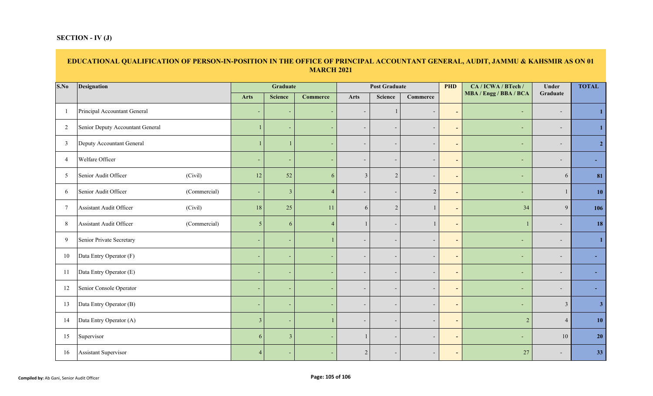### **SECTION - IV (J)**

### **EDUCATIONAL QUALIFICATION OF PERSON-IN-POSITION IN THE OFFICE OF PRINCIPAL ACCOUNTANT GENERAL, AUDIT, JAMMU & KAHSMIR AS ON 01 MARCH 2021**

| S.No           | <b>Designation</b>                      |                          | Graduate       |                          |                          | <b>Post Graduate</b>     |                          | <b>PHD</b>               | CA / ICWA / BTech /      | Under                    | <b>TOTAL</b>   |
|----------------|-----------------------------------------|--------------------------|----------------|--------------------------|--------------------------|--------------------------|--------------------------|--------------------------|--------------------------|--------------------------|----------------|
|                |                                         | Arts                     | <b>Science</b> | <b>Commerce</b>          | <b>Arts</b>              | <b>Science</b>           | Commerce                 |                          | MBA / Engg / BBA / BCA   | Graduate                 |                |
| - 1            | Principal Accountant General            | $\overline{\phantom{0}}$ |                |                          | $\overline{\phantom{a}}$ |                          | $\overline{\phantom{a}}$ | $\overline{\phantom{a}}$ | $\sim$                   | $\overline{\phantom{0}}$ | -1             |
| 2              | Senior Deputy Accountant General        |                          |                |                          | $\overline{\phantom{a}}$ | $\overline{\phantom{a}}$ | $\overline{\phantom{a}}$ | $\overline{\phantom{a}}$ | ٠                        | $\overline{\phantom{a}}$ | $\mathbf{1}$   |
| $\overline{3}$ | Deputy Accountant General               |                          |                |                          | $\overline{\phantom{a}}$ | $\overline{\phantom{a}}$ | $\overline{\phantom{a}}$ | $\sim$                   | ٠                        | $\overline{\phantom{a}}$ | $\overline{2}$ |
| $\overline{4}$ | Welfare Officer                         |                          |                |                          | $\overline{\phantom{a}}$ | $\overline{\phantom{a}}$ | $\overline{\phantom{a}}$ | $\blacksquare$           |                          |                          |                |
| 5              | (Civil)<br>Senior Audit Officer         | 12                       | 52             | 6                        | $\mathbf{3}$             | $\overline{2}$           | $\overline{\phantom{a}}$ | $\blacksquare$           | ÷                        | 6                        | 81             |
| 6              | Senior Audit Officer<br>(Commercial)    | $\overline{\phantom{a}}$ | $\mathfrak{Z}$ | $\overline{4}$           | $\sim$                   | $\overline{\phantom{a}}$ | $\overline{2}$           | $\blacksquare$           | ٠                        |                          | 10             |
| $\overline{7}$ | Assistant Audit Officer<br>(Civil)      | 18                       | 25             | 11                       | 6                        | $\sqrt{2}$               | $\mathbf{1}$             | $\blacksquare$           | 34                       | $\overline{9}$           | 106            |
| $\,8\,$        | Assistant Audit Officer<br>(Commercial) | 5 <sup>5</sup>           | 6              | $\boldsymbol{\Lambda}$   |                          | $\overline{\phantom{a}}$ | $\mathbf{1}$             | $\blacksquare$           |                          | $\overline{\phantom{a}}$ | 18             |
| 9              | Senior Private Secretary                | ٠                        |                |                          | $\overline{\phantom{a}}$ | $\overline{\phantom{a}}$ | $\overline{\phantom{a}}$ | $\blacksquare$           | ٠                        | $\overline{\phantom{a}}$ | $\mathbf{1}$   |
| 10             | Data Entry Operator (F)                 |                          |                |                          | $\overline{\phantom{a}}$ | $\overline{\phantom{0}}$ | $\overline{\phantom{0}}$ | $\overline{\phantom{a}}$ | $\overline{\phantom{0}}$ |                          |                |
| 11             | Data Entry Operator (E)                 | $\overline{\phantom{a}}$ |                |                          | $\sim$                   | $\overline{\phantom{a}}$ | $\overline{\phantom{a}}$ | $\blacksquare$           | ٠                        | $\overline{\phantom{a}}$ |                |
| 12             | Senior Console Operator                 | ٠                        |                |                          | $\overline{\phantom{a}}$ | $\overline{\phantom{a}}$ | $\overline{\phantom{a}}$ | $\blacksquare$           | $\overline{\phantom{a}}$ | $\overline{\phantom{a}}$ |                |
| 13             | Data Entry Operator (B)                 | $\overline{\phantom{a}}$ |                | $\overline{\phantom{a}}$ | $\overline{\phantom{a}}$ | $\overline{\phantom{a}}$ | $\overline{\phantom{a}}$ | $\overline{\phantom{0}}$ | $\sim$                   | $\mathfrak{Z}$           | 3 <sup>1</sup> |
| 14             | Data Entry Operator (A)                 | $\overline{3}$           |                |                          | $\overline{\phantom{a}}$ | $\overline{\phantom{a}}$ | $\overline{\phantom{a}}$ | $\blacksquare$           | 2                        | $\overline{4}$           | 10             |
| 15             | Supervisor                              | 6                        | $\mathcal{E}$  |                          |                          | $\overline{\phantom{a}}$ | $\overline{\phantom{a}}$ | $\sim$                   |                          | 10                       | 20             |
| 16             | Assistant Supervisor                    | $\overline{4}$           |                |                          | 2                        |                          | $\overline{\phantom{a}}$ | $\overline{\phantom{a}}$ | 27                       |                          | 33             |